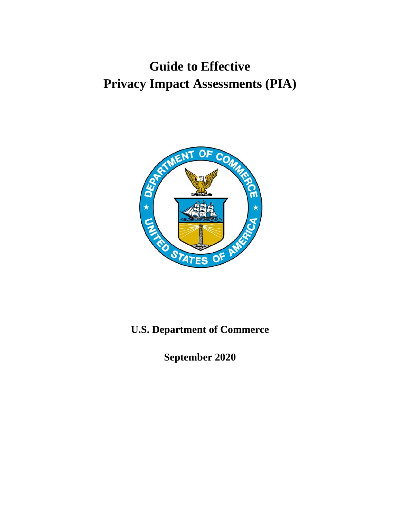## **Guide to Effective Privacy Impact Assessments (PIA)**



## **U.S. Department of Commerce**

**September 2020**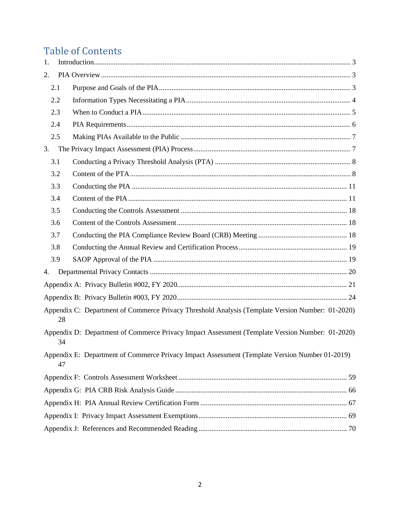## **Table of Contents**

| 1. |     |                                                                                                  |
|----|-----|--------------------------------------------------------------------------------------------------|
| 2. |     |                                                                                                  |
|    | 2.1 |                                                                                                  |
|    | 2.2 |                                                                                                  |
|    | 2.3 |                                                                                                  |
|    | 2.4 |                                                                                                  |
|    | 2.5 |                                                                                                  |
| 3. |     |                                                                                                  |
|    | 3.1 |                                                                                                  |
|    | 3.2 |                                                                                                  |
|    | 3.3 |                                                                                                  |
|    | 3.4 |                                                                                                  |
|    | 3.5 |                                                                                                  |
|    | 3.6 |                                                                                                  |
|    | 3.7 |                                                                                                  |
|    | 3.8 |                                                                                                  |
|    | 3.9 |                                                                                                  |
| 4. |     |                                                                                                  |
|    |     |                                                                                                  |
|    |     |                                                                                                  |
|    | 28  | Appendix C: Department of Commerce Privacy Threshold Analysis (Template Version Number: 01-2020) |
|    | 34  | Appendix D: Department of Commerce Privacy Impact Assessment (Template Version Number: 01-2020)  |
|    | 47  | Appendix E: Department of Commerce Privacy Impact Assessment (Template Version Number 01-2019)   |
|    |     |                                                                                                  |
|    |     |                                                                                                  |
|    |     |                                                                                                  |
|    |     |                                                                                                  |
|    |     |                                                                                                  |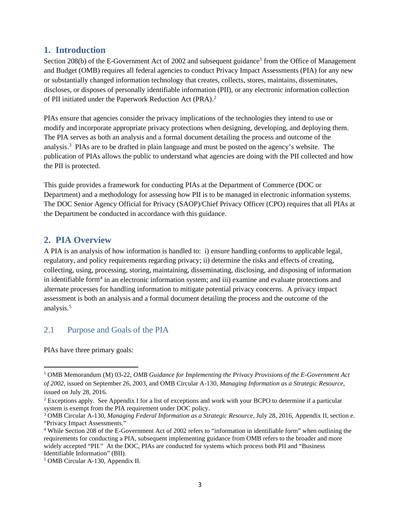#### <span id="page-2-0"></span>**1. Introduction**

Section 208(b) of the E-Government Act of 2002 and subsequent guidance<sup>[1](#page-2-3)</sup> from the Office of Management and Budget (OMB) requires all federal agencies to conduct Privacy Impact Assessments (PIA) for any new or substantially changed information technology that creates, collects, stores, maintains, disseminates, discloses, or disposes of personally identifiable information (PII), or any electronic information collection of PII initiated under the Paperwork Reduction Act (PRA). [2](#page-2-4)

PIAs ensure that agencies consider the privacy implications of the technologies they intend to use or modify and incorporate appropriate privacy protections when designing, developing, and deploying them. The PIA serves as both an analysis and a formal document detailing the process and outcome of the analysis. [3](#page-2-5) PIAs are to be drafted in plain language and must be posted on the agency's website. The publication of PIAs allows the public to understand what agencies are doing with the PII collected and how the PII is protected.

This guide provides a framework for conducting PIAs at the Department of Commerce (DOC or Department) and a methodology for assessing how PII is to be managed in electronic information systems. The DOC Senior Agency Official for Privacy (SAOP)/Chief Privacy Officer (CPO) requires that all PIAs at the Department be conducted in accordance with this guidance.

#### <span id="page-2-1"></span>**2. PIA Overview**

A PIA is an analysis of how information is handled to: i) ensure handling conforms to applicable legal, regulatory, and policy requirements regarding privacy; ii) determine the risks and effects of creating, collecting, using, processing, storing, maintaining, disseminating, disclosing, and disposing of information in identifiable form<sup>[4](#page-2-6)</sup> in an electronic information system; and iii) examine and evaluate protections and alternate processes for handling information to mitigate potential privacy concerns. A privacy impact assessment is both an analysis and a formal document detailing the process and the outcome of the analysis.<sup>[5](#page-2-7)</sup>

#### <span id="page-2-2"></span>2.1 Purpose and Goals of the PIA

PIAs have three primary goals:

<span id="page-2-3"></span><sup>1</sup> OMB Memorandum (M) 03-22, *OMB Guidance for Implementing the Privacy Provisions of the E-Government Act of 2002*, issued on September 26, 2003, and OMB Circular A-130, *Managing Information as a Strategic Resource*, issued on July 28, 2016.

<span id="page-2-4"></span><sup>2</sup> Exceptions apply. See Appendix I for a list of exceptions and work with your BCPO to determine if a particular system is exempt from the PIA requirement under DOC policy.

<span id="page-2-5"></span><sup>3</sup> OMB Circular A-130, *Managing Federal Information as a Strategic Resource*, July 28, 2016, Appendix II, section e. "Privacy Impact Assessments."

<span id="page-2-6"></span><sup>4</sup> While Section 208 of the E-Government Act of 2002 refers to "information in identifiable form" when outlining the requirements for conducting a PIA, subsequent implementing guidance from OMB refers to the broader and more widely accepted "PII." At the DOC, PIAs are conducted for systems which process both PII and "Business Identifiable Information" (BII).

<span id="page-2-7"></span><sup>5</sup> OMB Circular A-130, Appendix II.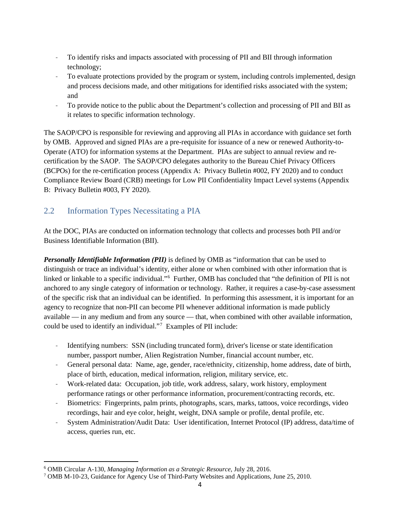- To identify risks and impacts associated with processing of PII and BII through information technology;
- To evaluate protections provided by the program or system, including controls implemented, design and process decisions made, and other mitigations for identified risks associated with the system; and
- To provide notice to the public about the Department's collection and processing of PII and BII as it relates to specific information technology.

The SAOP/CPO is responsible for reviewing and approving all PIAs in accordance with guidance set forth by OMB. Approved and signed PIAs are a pre-requisite for issuance of a new or renewed Authority-to-Operate (ATO) for information systems at the Department. PIAs are subject to annual review and recertification by the SAOP. The SAOP/CPO delegates authority to the Bureau Chief Privacy Officers (BCPOs) for the re-certification process (Appendix A: Privacy Bulletin #002, FY 2020) and to conduct Compliance Review Board (CRB) meetings for Low PII Confidentiality Impact Level systems (Appendix B: Privacy Bulletin #003, FY 2020).

## <span id="page-3-0"></span>2.2 Information Types Necessitating a PIA

At the DOC, PIAs are conducted on information technology that collects and processes both PII and/or Business Identifiable Information (BII).

*Personally Identifiable Information (PII)* is defined by OMB as "information that can be used to distinguish or trace an individual's identity, either alone or when combined with other information that is linked or linkable to a specific individual."[6](#page-3-1) Further, OMB has concluded that "the definition of PII is not anchored to any single category of information or technology. Rather, it requires a case-by-case assessment of the specific risk that an individual can be identified. In performing this assessment, it is important for an agency to recognize that non-PII can become PII whenever additional information is made publicly available — in any medium and from any source — that, when combined with other available information, could be used to identify an individual."<sup>[7](#page-3-2)</sup> Examples of PII include:

- Identifying numbers: SSN (including truncated form), driver's license or state identification number, passport number, Alien Registration Number, financial account number, etc.
- General personal data: Name, age, gender, race/ethnicity, citizenship, home address, date of birth, place of birth, education, medical information, religion, military service, etc.
- Work-related data: Occupation, job title, work address, salary, work history, employment performance ratings or other performance information, procurement/contracting records, etc.
- Biometrics: Fingerprints, palm prints, photographs, scars, marks, tattoos, voice recordings, video recordings, hair and eye color, height, weight, DNA sample or profile, dental profile, etc.
- System Administration/Audit Data: User identification, Internet Protocol (IP) address, data/time of access, queries run, etc.

<span id="page-3-1"></span><sup>6</sup> OMB Circular A-130, *Managing Information as a Strategic Resource*, July 28, 2016.

<span id="page-3-2"></span><sup>7</sup> OMB M-10-23, Guidance for Agency Use of Third-Party Websites and Applications, June 25, 2010.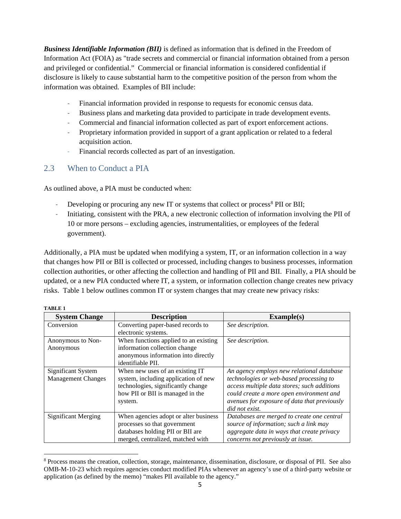*Business Identifiable Information (BII)* is defined as information that is defined in the Freedom of Information Act (FOIA) as "trade secrets and commercial or financial information obtained from a person and privileged or confidential." Commercial or financial information is considered confidential if disclosure is likely to cause substantial harm to the competitive position of the person from whom the information was obtained. Examples of BII include:

- Financial information provided in response to requests for economic census data.
- Business plans and marketing data provided to participate in trade development events.
- Commercial and financial information collected as part of export enforcement actions.
- Proprietary information provided in support of a grant application or related to a federal acquisition action.
- Financial records collected as part of an investigation.

### <span id="page-4-0"></span>2.3 When to Conduct a PIA

As outlined above, a PIA must be conducted when:

- Developing or procuring any new IT or systems that collect or process<sup>[8](#page-4-1)</sup> PII or BII;
- Initiating, consistent with the PRA, a new electronic collection of information involving the PII of 10 or more persons – excluding agencies, instrumentalities, or employees of the federal government).

Additionally, a PIA must be updated when modifying a system, IT, or an information collection in a way that changes how PII or BII is collected or processed, including changes to business processes, information collection authorities, or other affecting the collection and handling of PII and BII. Finally, a PIA should be updated, or a new PIA conducted where IT, a system, or information collection change creates new privacy risks. Table 1 below outlines common IT or system changes that may create new privacy risks:

| <b>System Change</b>       | <b>Description</b>                    | Example(s)                                   |  |
|----------------------------|---------------------------------------|----------------------------------------------|--|
| Conversion                 | Converting paper-based records to     | See description.                             |  |
|                            | electronic systems.                   |                                              |  |
| Anonymous to Non-          | When functions applied to an existing | See description.                             |  |
| Anonymous                  | information collection change         |                                              |  |
|                            | anonymous information into directly   |                                              |  |
|                            | identifiable PII.                     |                                              |  |
| Significant System         | When new uses of an existing IT       | An agency employs new relational database    |  |
| <b>Management Changes</b>  | system, including application of new  | technologies or web-based processing to      |  |
|                            | technologies, significantly change    | access multiple data stores; such additions  |  |
|                            | how PII or BII is managed in the      | could create a more open environment and     |  |
|                            | system.                               | avenues for exposure of data that previously |  |
|                            |                                       | did not exist.                               |  |
| <b>Significant Merging</b> | When agencies adopt or alter business | Databases are merged to create one central   |  |
|                            | processes so that government          | source of information; such a link may       |  |
|                            | databases holding PII or BII are      | aggregate data in ways that create privacy   |  |
|                            | merged, centralized, matched with     | concerns not previously at issue.            |  |

<span id="page-4-1"></span><sup>8</sup> Process means the creation, collection, storage, maintenance, dissemination, disclosure, or disposal of PII. See also OMB-M-10-23 which requires agencies conduct modified PIAs whenever an agency's use of a third-party website or application (as defined by the memo) "makes PII available to the agency."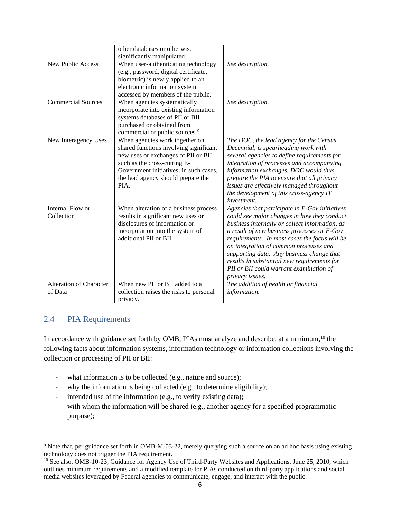|                                           | other databases or otherwise                                                                                                                                                                                                             |                                                                                                                                                                                                                                                                                                                                                                                                                                                     |
|-------------------------------------------|------------------------------------------------------------------------------------------------------------------------------------------------------------------------------------------------------------------------------------------|-----------------------------------------------------------------------------------------------------------------------------------------------------------------------------------------------------------------------------------------------------------------------------------------------------------------------------------------------------------------------------------------------------------------------------------------------------|
|                                           | significantly manipulated.                                                                                                                                                                                                               |                                                                                                                                                                                                                                                                                                                                                                                                                                                     |
| New Public Access                         | When user-authenticating technology<br>(e.g., password, digital certificate,<br>biometric) is newly applied to an<br>electronic information system<br>accessed by members of the public.                                                 | See description.                                                                                                                                                                                                                                                                                                                                                                                                                                    |
| <b>Commercial Sources</b>                 | When agencies systematically<br>incorporate into existing information<br>systems databases of PII or BII<br>purchased or obtained from<br>commercial or public sources. <sup>9</sup>                                                     | See description.                                                                                                                                                                                                                                                                                                                                                                                                                                    |
| New Interagency Uses                      | When agencies work together on<br>shared functions involving significant<br>new uses or exchanges of PII or BII,<br>such as the cross-cutting E-<br>Government initiatives; in such cases,<br>the lead agency should prepare the<br>PIA. | The DOC, the lead agency for the Census<br>Decennial, is spearheading work with<br>several agencies to define requirements for<br>integration of processes and accompanying<br>information exchanges. DOC would thus<br>prepare the PIA to ensure that all privacy<br>issues are effectively managed throughout<br>the development of this cross-agency IT<br><i>investment.</i>                                                                    |
| Internal Flow or<br>Collection            | When alteration of a business process<br>results in significant new uses or<br>disclosures of information or<br>incorporation into the system of<br>additional PII or BII.                                                               | Agencies that participate in E-Gov initiatives<br>could see major changes in how they conduct<br>business internally or collect information, as<br>a result of new business processes or E-Gov<br>requirements. In most cases the focus will be<br>on integration of common processes and<br>supporting data. Any business change that<br>results in substantial new requirements for<br>PII or BII could warrant examination of<br>privacy issues. |
| <b>Alteration of Character</b><br>of Data | When new PII or BII added to a<br>collection raises the risks to personal<br>privacy.                                                                                                                                                    | The addition of health or financial<br>information.                                                                                                                                                                                                                                                                                                                                                                                                 |

#### <span id="page-5-0"></span>2.4 PIA Requirements

In accordance with guidance set forth by OMB, PIAs must analyze and describe, at a minimum, [10](#page-5-2) the following facts about information systems, information technology or information collections involving the collection or processing of PII or BII:

- what information is to be collected (e.g., nature and source);
- why the information is being collected (e.g., to determine eligibility);
- intended use of the information (e.g., to verify existing data);
- with whom the information will be shared (e.g., another agency for a specified programmatic purpose);

<span id="page-5-1"></span><sup>&</sup>lt;sup>9</sup> Note that, per guidance set forth in OMB-M-03-22, merely querying such a source on an ad hoc basis using existing technology does not trigger the PIA requirement.

<span id="page-5-2"></span><sup>&</sup>lt;sup>10</sup> See also, OMB-10-23, Guidance for Agency Use of Third-Party Websites and Applications, June 25, 2010, which outlines minimum requirements and a modified template for PIAs conducted on third-party applications and social media websites leveraged by Federal agencies to communicate, engage, and interact with the public.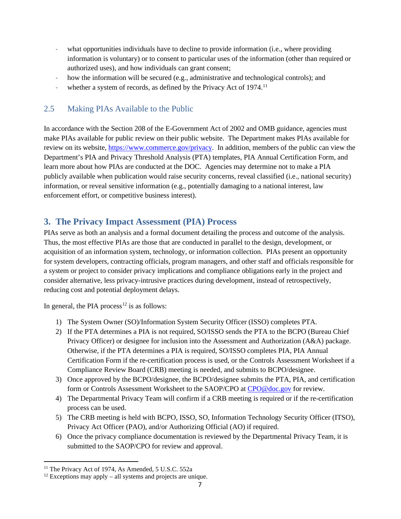- what opportunities individuals have to decline to provide information (i.e., where providing information is voluntary) or to consent to particular uses of the information (other than required or authorized uses), and how individuals can grant consent;
- how the information will be secured (e.g., administrative and technological controls); and
- whether a system of records, as defined by the Privacy Act of 1974.<sup>[11](#page-6-2)</sup>

### <span id="page-6-0"></span>2.5 Making PIAs Available to the Public

In accordance with the Section 208 of the E-Government Act of 2002 and OMB guidance, agencies must make PIAs available for public review on their public website. The Department makes PIAs available for review on its website, [https://www.commerce.gov/](http://www.osec.doc.gov/opog/privacy/compliance.html#approvedpias)privacy. In addition, members of the public can view the Department's PIA and Privacy Threshold Analysis (PTA) templates, PIA Annual Certification Form, and learn more about how PIAs are conducted at the DOC. Agencies may determine not to make a PIA publicly available when publication would raise security concerns, reveal classified (i.e., national security) information, or reveal sensitive information (e.g., potentially damaging to a national interest, law enforcement effort, or competitive business interest).

## <span id="page-6-1"></span>**3. The Privacy Impact Assessment (PIA) Process**

PIAs serve as both an analysis and a formal document detailing the process and outcome of the analysis. Thus, the most effective PIAs are those that are conducted in parallel to the design, development, or acquisition of an information system, technology, or information collection. PIAs present an opportunity for system developers, contracting officials, program managers, and other staff and officials responsible for a system or project to consider privacy implications and compliance obligations early in the project and consider alternative, less privacy-intrusive practices during development, instead of retrospectively, reducing cost and potential deployment delays.

In general, the PIA process<sup>[12](#page-6-3)</sup> is as follows:

- 1) The System Owner (SO)/Information System Security Officer (ISSO) completes PTA.
- 2) If the PTA determines a PIA is not required, SO/ISSO sends the PTA to the BCPO (Bureau Chief Privacy Officer) or designee for inclusion into the Assessment and Authorization (A&A) package. Otherwise, if the PTA determines a PIA is required, SO/ISSO completes PIA, PIA Annual Certification Form if the re-certification process is used, or the Controls Assessment Worksheet if a Compliance Review Board (CRB) meeting is needed, and submits to BCPO/designee.
- 3) Once approved by the BCPO/designee, the BCPO/designee submits the PTA, PIA, and certification form or Controls Assessment Worksheet to the SAOP/CPO at [CPO@doc.gov](mailto:CPO@doc.gov) for review.
- 4) The Departmental Privacy Team will confirm if a CRB meeting is required or if the re-certification process can be used.
- 5) The CRB meeting is held with BCPO, ISSO, SO, Information Technology Security Officer (ITSO), Privacy Act Officer (PAO), and/or Authorizing Official (AO) if required.
- 6) Once the privacy compliance documentation is reviewed by the Departmental Privacy Team, it is submitted to the SAOP/CPO for review and approval.

<span id="page-6-2"></span><sup>&</sup>lt;sup>11</sup> The Privacy Act of 1974, As Amended, 5 U.S.C. 552a

<span id="page-6-3"></span> $12$  Exceptions may apply – all systems and projects are unique.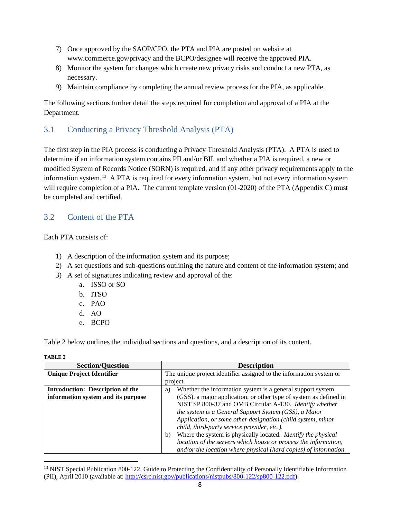- 7) Once approved by the SAOP/CPO, the PTA and PIA are posted on website at www.commerce.gov/privacy and the BCPO/designee will receive the approved PIA.
- 8) Monitor the system for changes which create new privacy risks and conduct a new PTA, as necessary.
- 9) Maintain compliance by completing the annual review process for the PIA, as applicable.

The following sections further detail the steps required for completion and approval of a PIA at the Department.

### <span id="page-7-0"></span>3.1 Conducting a Privacy Threshold Analysis (PTA)

The first step in the PIA process is conducting a Privacy Threshold Analysis (PTA). A PTA is used to determine if an information system contains PII and/or BII, and whether a PIA is required, a new or modified System of Records Notice (SORN) is required, and if any other privacy requirements apply to the information system.[13](#page-7-2) A PTA is required for every information system, but not every information system will require completion of a PIA. The current template version (01-2020) of the PTA (Appendix C) must be completed and certified.

### <span id="page-7-1"></span>3.2 Content of the PTA

Each PTA consists of:

- 1) A description of the information system and its purpose;
- 2) A set questions and sub-questions outlining the nature and content of the information system; and
- 3) A set of signatures indicating review and approval of the:
	- a. ISSO or SO
	- b. ITSO
	- c. PAO
	- d. AO
	- e. BCPO

Table 2 below outlines the individual sections and questions, and a description of its content.

**TABLE 2**

| <b>Section/Question</b>                 | <b>Description</b>                                                                                                                                                                                                                                                                                                                                                                                                                                                                                               |  |
|-----------------------------------------|------------------------------------------------------------------------------------------------------------------------------------------------------------------------------------------------------------------------------------------------------------------------------------------------------------------------------------------------------------------------------------------------------------------------------------------------------------------------------------------------------------------|--|
| <b>Unique Project Identifier</b>        | The unique project identifier assigned to the information system or                                                                                                                                                                                                                                                                                                                                                                                                                                              |  |
|                                         | project.                                                                                                                                                                                                                                                                                                                                                                                                                                                                                                         |  |
| <b>Introduction: Description of the</b> | Whether the information system is a general support system<br>a)                                                                                                                                                                                                                                                                                                                                                                                                                                                 |  |
| information system and its purpose      | (GSS), a major application, or other type of system as defined in<br>NIST SP 800-37 and OMB Circular A-130. Identify whether<br>the system is a General Support System (GSS), a Major<br>Application, or some other designation (child system, minor<br>child, third-party service provider, etc.).<br>Where the system is physically located. Identify the physical<br>b)<br>location of the servers which house or process the information,<br>and/or the location where physical (hard copies) of information |  |

<span id="page-7-2"></span> $<sup>13</sup>$  NIST Special Publication 800-122, Guide to Protecting the Confidentiality of Personally Identifiable Information</sup> (PII), April 2010 (available at: [http://csrc.nist.gov/publications/nistpubs/800-122/sp800-122.pdf\)](http://csrc.nist.gov/publications/nistpubs/800-122/sp800-122.pdf).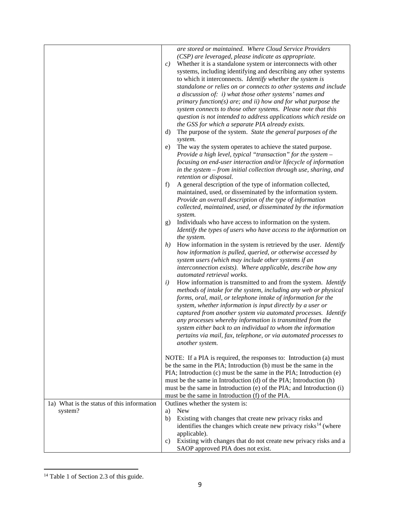|                                            | are stored or maintained. Where Cloud Service Providers                                    |
|--------------------------------------------|--------------------------------------------------------------------------------------------|
|                                            | (CSP) are leveraged, please indicate as appropriate.                                       |
|                                            |                                                                                            |
|                                            | Whether it is a standalone system or interconnects with other<br>c)                        |
|                                            | systems, including identifying and describing any other systems                            |
|                                            | to which it interconnects. Identify whether the system is                                  |
|                                            | standalone or relies on or connects to other systems and include                           |
|                                            | a discussion of: $i$ ) what those other systems' names and                                 |
|                                            | $primary function(s)$ are; and $ii)$ how and $for$ what purpose the                        |
|                                            | system connects to those other systems. Please note that this                              |
|                                            |                                                                                            |
|                                            | question is not intended to address applications which reside on                           |
|                                            | the GSS for which a separate PIA already exists.                                           |
|                                            | The purpose of the system. State the general purposes of the<br>$\rm d)$                   |
|                                            | system.                                                                                    |
|                                            | The way the system operates to achieve the stated purpose.<br>e)                           |
|                                            | Provide a high level, typical "transaction" for the system -                               |
|                                            | focusing on end-user interaction and/or lifecycle of information                           |
|                                            | in the system – from initial collection through use, sharing, and                          |
|                                            |                                                                                            |
|                                            | retention or disposal.                                                                     |
|                                            | A general description of the type of information collected,<br>f                           |
|                                            | maintained, used, or disseminated by the information system.                               |
|                                            | Provide an overall description of the type of information                                  |
|                                            | collected, maintained, used, or disseminated by the information                            |
|                                            | system.                                                                                    |
|                                            | Individuals who have access to information on the system.<br>g)                            |
|                                            | Identify the types of users who have access to the information on                          |
|                                            | the system.                                                                                |
|                                            | h)<br>How information in the system is retrieved by the user. <i>Identify</i>              |
|                                            | how information is pulled, queried, or otherwise accessed by                               |
|                                            |                                                                                            |
|                                            | system users (which may include other systems if an                                        |
|                                            | interconnection exists). Where applicable, describe how any                                |
|                                            | automated retrieval works.                                                                 |
|                                            | $\left(i\right)$<br>How information is transmitted to and from the system. <i>Identify</i> |
|                                            | methods of intake for the system, including any web or physical                            |
|                                            | forms, oral, mail, or telephone intake of information for the                              |
|                                            | system, whether information is input directly by a user or                                 |
|                                            | captured from another system via automated processes. Identify                             |
|                                            | any processes whereby information is transmitted from the                                  |
|                                            |                                                                                            |
|                                            | system either back to an individual to whom the information                                |
|                                            | pertains via mail, fax, telephone, or via automated processes to                           |
|                                            | another system.                                                                            |
|                                            |                                                                                            |
|                                            | NOTE: If a PIA is required, the responses to: Introduction (a) must                        |
|                                            | be the same in the PIA; Introduction (b) must be the same in the                           |
|                                            | PIA; Introduction (c) must be the same in the PIA; Introduction (e)                        |
|                                            | must be the same in Introduction (d) of the PIA; Introduction (h)                          |
|                                            | must be the same in Introduction (e) of the PIA; and Introduction (i)                      |
|                                            |                                                                                            |
|                                            | must be the same in Introduction (f) of the PIA.                                           |
| 1a) What is the status of this information | Outlines whether the system is:                                                            |
| system?                                    | New<br>a)                                                                                  |
|                                            | Existing with changes that create new privacy risks and<br>b)                              |
|                                            | identifies the changes which create new privacy risks <sup>14</sup> (where                 |
|                                            | applicable).                                                                               |
|                                            | Existing with changes that do not create new privacy risks and a<br>c)                     |
|                                            | SAOP approved PIA does not exist.                                                          |
|                                            |                                                                                            |

<span id="page-8-0"></span><sup>&</sup>lt;sup>14</sup> Table 1 of Section 2.3 of this guide.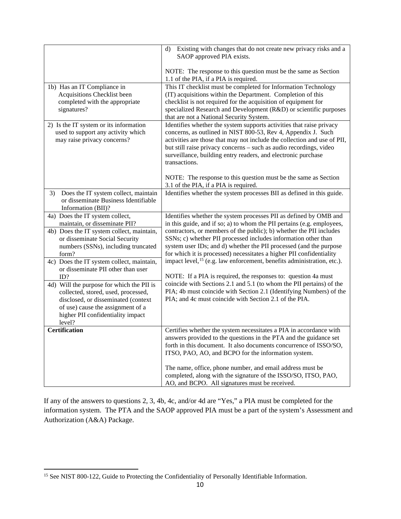|                                                                                                                                                                                                                                                                                                                                                                                                                                                                                                          | Existing with changes that do not create new privacy risks and a<br>d)<br>SAOP approved PIA exists.                                                                                                                                                                                                                                                                                                                                                                                                                                                                                                                                                                                                                                                                                                 |
|----------------------------------------------------------------------------------------------------------------------------------------------------------------------------------------------------------------------------------------------------------------------------------------------------------------------------------------------------------------------------------------------------------------------------------------------------------------------------------------------------------|-----------------------------------------------------------------------------------------------------------------------------------------------------------------------------------------------------------------------------------------------------------------------------------------------------------------------------------------------------------------------------------------------------------------------------------------------------------------------------------------------------------------------------------------------------------------------------------------------------------------------------------------------------------------------------------------------------------------------------------------------------------------------------------------------------|
|                                                                                                                                                                                                                                                                                                                                                                                                                                                                                                          | NOTE: The response to this question must be the same as Section<br>1.1 of the PIA, if a PIA is required.                                                                                                                                                                                                                                                                                                                                                                                                                                                                                                                                                                                                                                                                                            |
| 1b) Has an IT Compliance in<br>Acquisitions Checklist been<br>completed with the appropriate<br>signatures?                                                                                                                                                                                                                                                                                                                                                                                              | This IT checklist must be completed for Information Technology<br>(IT) acquisitions within the Department. Completion of this<br>checklist is not required for the acquisition of equipment for<br>specialized Research and Development (R&D) or scientific purposes<br>that are not a National Security System.                                                                                                                                                                                                                                                                                                                                                                                                                                                                                    |
| 2) Is the IT system or its information<br>used to support any activity which<br>may raise privacy concerns?                                                                                                                                                                                                                                                                                                                                                                                              | Identifies whether the system supports activities that raise privacy<br>concerns, as outlined in NIST 800-53, Rev 4, Appendix J. Such<br>activities are those that may not include the collection and use of PII,<br>but still raise privacy concerns - such as audio recordings, video<br>surveillance, building entry readers, and electronic purchase<br>transactions.                                                                                                                                                                                                                                                                                                                                                                                                                           |
|                                                                                                                                                                                                                                                                                                                                                                                                                                                                                                          | NOTE: The response to this question must be the same as Section<br>3.1 of the PIA, if a PIA is required.                                                                                                                                                                                                                                                                                                                                                                                                                                                                                                                                                                                                                                                                                            |
| Does the IT system collect, maintain<br>3)<br>or disseminate Business Identifiable<br>Information (BII)?                                                                                                                                                                                                                                                                                                                                                                                                 | Identifies whether the system processes BII as defined in this guide.                                                                                                                                                                                                                                                                                                                                                                                                                                                                                                                                                                                                                                                                                                                               |
| 4a) Does the IT system collect,<br>maintain, or disseminate PII?<br>4b) Does the IT system collect, maintain,<br>or disseminate Social Security<br>numbers (SSNs), including truncated<br>form?<br>4c) Does the IT system collect, maintain,<br>or disseminate PII other than user<br>ID?<br>4d) Will the purpose for which the PII is<br>collected, stored, used, processed,<br>disclosed, or disseminated (context<br>of use) cause the assignment of a<br>higher PII confidentiality impact<br>level? | Identifies whether the system processes PII as defined by OMB and<br>in this guide, and if so; a) to whom the PII pertains (e.g. employees,<br>contractors, or members of the public); b) whether the PII includes<br>SSNs; c) whether PII processed includes information other than<br>system user IDs; and d) whether the PII processed (and the purpose<br>for which it is processed) necessitates a higher PII confidentiality<br>impact level, <sup>15</sup> (e.g. law enforcement, benefits administration, etc.).<br>NOTE: If a PIA is required, the responses to: question 4a must<br>coincide with Sections 2.1 and 5.1 (to whom the PII pertains) of the<br>PIA; 4b must coincide with Section 2.1 (Identifying Numbers) of the<br>PIA; and 4c must coincide with Section 2.1 of the PIA. |
| <b>Certification</b>                                                                                                                                                                                                                                                                                                                                                                                                                                                                                     | Certifies whether the system necessitates a PIA in accordance with<br>answers provided to the questions in the PTA and the guidance set<br>forth in this document. It also documents concurrence of ISSO/SO,<br>ITSO, PAO, AO, and BCPO for the information system.                                                                                                                                                                                                                                                                                                                                                                                                                                                                                                                                 |
|                                                                                                                                                                                                                                                                                                                                                                                                                                                                                                          | The name, office, phone number, and email address must be<br>completed, along with the signature of the ISSO/SO, ITSO, PAO,<br>AO, and BCPO. All signatures must be received.                                                                                                                                                                                                                                                                                                                                                                                                                                                                                                                                                                                                                       |

If any of the answers to questions 2, 3, 4b, 4c, and/or 4d are "Yes," a PIA must be completed for the information system. The PTA and the SAOP approved PIA must be a part of the system's Assessment and Authorization (A&A) Package.

<span id="page-9-0"></span><sup>&</sup>lt;sup>15</sup> See NIST 800-122, Guide to Protecting the Confidentiality of Personally Identifiable Information.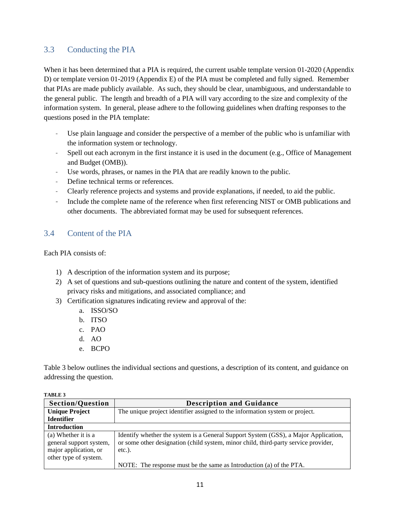### <span id="page-10-0"></span>3.3 Conducting the PIA

When it has been determined that a PIA is required, the current usable template version 01-2020 (Appendix D) or template version 01-2019 (Appendix E) of the PIA must be completed and fully signed. Remember that PIAs are made publicly available. As such, they should be clear, unambiguous, and understandable to the general public. The length and breadth of a PIA will vary according to the size and complexity of the information system. In general, please adhere to the following guidelines when drafting responses to the questions posed in the PIA template:

- Use plain language and consider the perspective of a member of the public who is unfamiliar with the information system or technology.
- Spell out each acronym in the first instance it is used in the document (e.g., Office of Management and Budget (OMB)).
- Use words, phrases, or names in the PIA that are readily known to the public.
- Define technical terms or references.
- Clearly reference projects and systems and provide explanations, if needed, to aid the public.
- Include the complete name of the reference when first referencing NIST or OMB publications and other documents. The abbreviated format may be used for subsequent references.

#### <span id="page-10-1"></span>3.4 Content of the PIA

Each PIA consists of:

- 1) A description of the information system and its purpose;
- 2) A set of questions and sub-questions outlining the nature and content of the system, identified privacy risks and mitigations, and associated compliance; and
- 3) Certification signatures indicating review and approval of the:
	- a. ISSO/SO
	- b. ITSO
	- c. PAO
	- d. AO
	- e. BCPO

Table 3 below outlines the individual sections and questions, a description of its content, and guidance on addressing the question.

| 17111777                                                                                         |                                                                                                                                                                                         |  |
|--------------------------------------------------------------------------------------------------|-----------------------------------------------------------------------------------------------------------------------------------------------------------------------------------------|--|
| <b>Section/Question</b>                                                                          | <b>Description and Guidance</b>                                                                                                                                                         |  |
| <b>Unique Project</b>                                                                            | The unique project identifier assigned to the information system or project.                                                                                                            |  |
| <b>Identifier</b>                                                                                |                                                                                                                                                                                         |  |
| <b>Introduction</b>                                                                              |                                                                                                                                                                                         |  |
| (a) Whether it is a<br>general support system,<br>major application, or<br>other type of system. | Identify whether the system is a General Support System (GSS), a Major Application,<br>or some other designation (child system, minor child, third-party service provider,<br>$etc.$ ). |  |
|                                                                                                  | NOTE: The response must be the same as Introduction (a) of the PTA.                                                                                                                     |  |

**TABLE 3**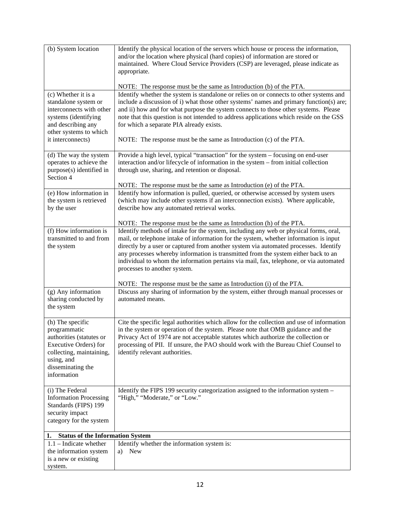| (b) System location                                                                                                                                                        | Identify the physical location of the servers which house or process the information,<br>and/or the location where physical (hard copies) of information are stored or<br>maintained. Where Cloud Service Providers (CSP) are leveraged, please indicate as<br>appropriate.                                                                                                                                                                                                                                                                                   |
|----------------------------------------------------------------------------------------------------------------------------------------------------------------------------|---------------------------------------------------------------------------------------------------------------------------------------------------------------------------------------------------------------------------------------------------------------------------------------------------------------------------------------------------------------------------------------------------------------------------------------------------------------------------------------------------------------------------------------------------------------|
|                                                                                                                                                                            | NOTE: The response must be the same as Introduction (b) of the PTA.                                                                                                                                                                                                                                                                                                                                                                                                                                                                                           |
| (c) Whether it is a<br>standalone system or<br>interconnects with other<br>systems (identifying<br>and describing any<br>other systems to which<br>it interconnects)       | Identify whether the system is standalone or relies on or connects to other systems and<br>include a discussion of i) what those other systems' names and primary function(s) are;<br>and ii) how and for what purpose the system connects to those other systems. Please<br>note that this question is not intended to address applications which reside on the GSS<br>for which a separate PIA already exists.<br>NOTE: The response must be the same as Introduction (c) of the PTA.                                                                       |
| (d) The way the system<br>operates to achieve the<br>purpose(s) identified in<br>Section 4                                                                                 | Provide a high level, typical "transaction" for the system – focusing on end-user<br>interaction and/or lifecycle of information in the system - from initial collection<br>through use, sharing, and retention or disposal.                                                                                                                                                                                                                                                                                                                                  |
|                                                                                                                                                                            | NOTE: The response must be the same as Introduction (e) of the PTA.                                                                                                                                                                                                                                                                                                                                                                                                                                                                                           |
| (e) How information in<br>the system is retrieved<br>by the user                                                                                                           | Identify how information is pulled, queried, or otherwise accessed by system users<br>(which may include other systems if an interconnection exists). Where applicable,<br>describe how any automated retrieval works.                                                                                                                                                                                                                                                                                                                                        |
| (f) How information is<br>transmitted to and from<br>the system                                                                                                            | NOTE: The response must be the same as Introduction (h) of the PTA.<br>Identify methods of intake for the system, including any web or physical forms, oral,<br>mail, or telephone intake of information for the system, whether information is input<br>directly by a user or captured from another system via automated processes. Identify<br>any processes whereby information is transmitted from the system either back to an<br>individual to whom the information pertains via mail, fax, telephone, or via automated<br>processes to another system. |
|                                                                                                                                                                            | NOTE: The response must be the same as Introduction (i) of the PTA.                                                                                                                                                                                                                                                                                                                                                                                                                                                                                           |
| (g) Any information<br>sharing conducted by<br>the system                                                                                                                  | Discuss any sharing of information by the system, either through manual processes or<br>automated means.                                                                                                                                                                                                                                                                                                                                                                                                                                                      |
| (h) The specific<br>programmatic<br>authorities (statutes or<br><b>Executive Orders)</b> for<br>collecting, maintaining,<br>using, and<br>disseminating the<br>information | Cite the specific legal authorities which allow for the collection and use of information<br>in the system or operation of the system. Please note that OMB guidance and the<br>Privacy Act of 1974 are not acceptable statutes which authorize the collection or<br>processing of PII. If unsure, the PAO should work with the Bureau Chief Counsel to<br>identify relevant authorities.                                                                                                                                                                     |
| (i) The Federal<br><b>Information Processing</b><br>Standards (FIPS) 199<br>security impact<br>category for the system                                                     | Identify the FIPS 199 security categorization assigned to the information system -<br>"High," "Moderate," or "Low."                                                                                                                                                                                                                                                                                                                                                                                                                                           |
| <b>Status of the Information System</b><br>1.                                                                                                                              |                                                                                                                                                                                                                                                                                                                                                                                                                                                                                                                                                               |
| $1.1$ – Indicate whether<br>the information system<br>is a new or existing<br>system.                                                                                      | Identify whether the information system is:<br>a) New                                                                                                                                                                                                                                                                                                                                                                                                                                                                                                         |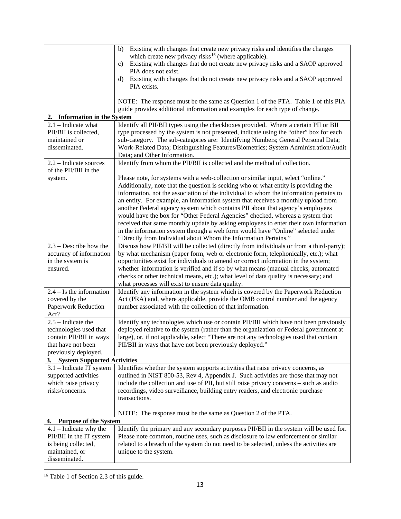|                                                        | Existing with changes that create new privacy risks and identifies the changes<br>b)                                                                                   |  |  |
|--------------------------------------------------------|------------------------------------------------------------------------------------------------------------------------------------------------------------------------|--|--|
|                                                        | which create new privacy risks <sup>16</sup> (where applicable).                                                                                                       |  |  |
|                                                        | Existing with changes that do not create new privacy risks and a SAOP approved<br>$\mathbf{c})$<br>PIA does not exist.                                                 |  |  |
|                                                        | Existing with changes that do not create new privacy risks and a SAOP approved<br>d)                                                                                   |  |  |
|                                                        | PIA exists.                                                                                                                                                            |  |  |
|                                                        |                                                                                                                                                                        |  |  |
|                                                        | NOTE: The response must be the same as Question 1 of the PTA. Table 1 of this PIA                                                                                      |  |  |
|                                                        | guide provides additional information and examples for each type of change.                                                                                            |  |  |
| 2. Information in the System                           |                                                                                                                                                                        |  |  |
| $2.1$ – Indicate what                                  | Identify all PII/BII types using the checkboxes provided. Where a certain PII or BII                                                                                   |  |  |
| PII/BII is collected,                                  | type processed by the system is not presented, indicate using the "other" box for each                                                                                 |  |  |
| maintained or                                          | sub-category. The sub-categories are: Identifying Numbers; General Personal Data;                                                                                      |  |  |
| disseminated.                                          | Work-Related Data; Distinguishing Features/Biometrics; System Administration/Audit                                                                                     |  |  |
|                                                        | Data; and Other Information.                                                                                                                                           |  |  |
| 2.2 - Indicate sources                                 | Identify from whom the PII/BII is collected and the method of collection.                                                                                              |  |  |
| of the PII/BII in the                                  |                                                                                                                                                                        |  |  |
| system.                                                | Please note, for systems with a web-collection or similar input, select "online."                                                                                      |  |  |
|                                                        | Additionally, note that the question is seeking who or what entity is providing the                                                                                    |  |  |
|                                                        | information, not the association of the individual to whom the information pertains to                                                                                 |  |  |
|                                                        | an entity. For example, an information system that receives a monthly upload from                                                                                      |  |  |
|                                                        | another Federal agency system which contains PII about that agency's employees                                                                                         |  |  |
|                                                        | would have the box for "Other Federal Agencies" checked, whereas a system that<br>received that same monthly update by asking employees to enter their own information |  |  |
|                                                        | in the information system through a web form would have "Online" selected under                                                                                        |  |  |
|                                                        | "Directly from Individual about Whom the Information Pertains."                                                                                                        |  |  |
| $2.3$ – Describe how the                               | Discuss how PII/BII will be collected (directly from individuals or from a third-party);                                                                               |  |  |
| accuracy of information                                | by what mechanism (paper form, web or electronic form, telephonically, etc.); what                                                                                     |  |  |
| in the system is                                       | opportunities exist for individuals to amend or correct information in the system;                                                                                     |  |  |
| ensured.                                               | whether information is verified and if so by what means (manual checks, automated                                                                                      |  |  |
|                                                        | checks or other technical means, etc.); what level of data quality is necessary; and                                                                                   |  |  |
|                                                        | what processes will exist to ensure data quality.                                                                                                                      |  |  |
| $2.4 - Is$ the information                             | Identify any information in the system which is covered by the Paperwork Reduction                                                                                     |  |  |
| covered by the                                         | Act (PRA) and, where applicable, provide the OMB control number and the agency                                                                                         |  |  |
| <b>Paperwork Reduction</b>                             | number associated with the collection of that information.                                                                                                             |  |  |
| Act?                                                   |                                                                                                                                                                        |  |  |
| $2.5$ – Indicate the                                   | Identify any technologies which use or contain PII/BII which have not been previously                                                                                  |  |  |
| technologies used that                                 | deployed relative to the system (rather than the organization or Federal government at                                                                                 |  |  |
| contain PII/BII in ways<br>that have not been          | large), or, if not applicable, select "There are not any technologies used that contain<br>PII/BII in ways that have not been previously deployed."                    |  |  |
|                                                        |                                                                                                                                                                        |  |  |
| previously deployed.<br>3. System Supported Activities |                                                                                                                                                                        |  |  |
| $3.1$ – Indicate IT system                             | Identifies whether the system supports activities that raise privacy concerns, as                                                                                      |  |  |
| supported activities                                   | outlined in NIST 800-53, Rev 4, Appendix J. Such activities are those that may not                                                                                     |  |  |
| which raise privacy                                    | include the collection and use of PII, but still raise privacy concerns - such as audio                                                                                |  |  |
| risks/concerns.                                        | recordings, video surveillance, building entry readers, and electronic purchase                                                                                        |  |  |
|                                                        | transactions.                                                                                                                                                          |  |  |
|                                                        |                                                                                                                                                                        |  |  |
|                                                        | NOTE: The response must be the same as Question 2 of the PTA.                                                                                                          |  |  |
| <b>Purpose of the System</b><br>4.                     |                                                                                                                                                                        |  |  |
| $4.1$ – Indicate why the                               | Identify the primary and any secondary purposes PII/BII in the system will be used for.                                                                                |  |  |
| PII/BII in the IT system                               | Please note common, routine uses, such as disclosure to law enforcement or similar                                                                                     |  |  |
| is being collected,                                    | related to a breach of the system do not need to be selected, unless the activities are                                                                                |  |  |
| maintained, or                                         | unique to the system.                                                                                                                                                  |  |  |
| disseminated.                                          |                                                                                                                                                                        |  |  |

<span id="page-12-0"></span><sup>&</sup>lt;sup>16</sup> Table 1 of Section 2.3 of this guide.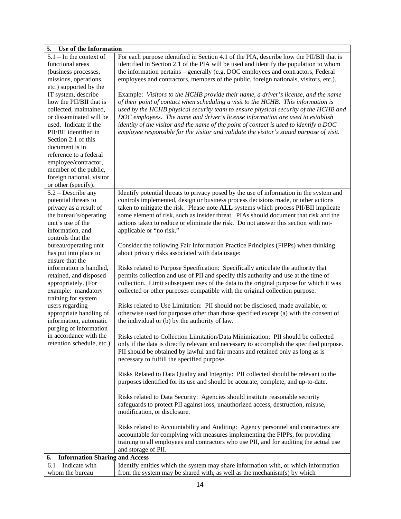| 5. Use of the Information                     |                                                                                                                                                                                  |  |
|-----------------------------------------------|----------------------------------------------------------------------------------------------------------------------------------------------------------------------------------|--|
| $5.1 -$ In the context of<br>functional areas | For each purpose identified in Section 4.1 of the PIA, describe how the PII/BII that is<br>identified in Section 2.1 of the PIA will be used and identify the population to whom |  |
| (business processes,                          | the information pertains – generally (e.g. DOC employees and contractors, Federal                                                                                                |  |
| missions, operations,                         | employees and contractors, members of the public, foreign nationals, visitors, etc.).                                                                                            |  |
| etc.) supported by the                        |                                                                                                                                                                                  |  |
| IT system, describe                           | Example: Visitors to the HCHB provide their name, a driver's license, and the name                                                                                               |  |
| how the PII/BII that is                       | of their point of contact when scheduling a visit to the HCHB. This information is                                                                                               |  |
| collected, maintained,                        | used by the HCHB physical security team to ensure physical security of the HCHB and                                                                                              |  |
| or disseminated will be                       | DOC employees. The name and driver's license information are used to establish                                                                                                   |  |
| used. Indicate if the                         | identity of the visitor and the name of the point of contact is used to identify a $DOC$                                                                                         |  |
| PII/BII identified in                         | employee responsible for the visitor and validate the visitor's stated purpose of visit.                                                                                         |  |
| Section 2.1 of this                           |                                                                                                                                                                                  |  |
| document is in                                |                                                                                                                                                                                  |  |
| reference to a federal                        |                                                                                                                                                                                  |  |
| employee/contractor,                          |                                                                                                                                                                                  |  |
| member of the public,                         |                                                                                                                                                                                  |  |
| foreign national, visitor                     |                                                                                                                                                                                  |  |
| or other (specify).                           |                                                                                                                                                                                  |  |
| $5.2$ – Describe any                          | Identify potential threats to privacy posed by the use of information in the system and                                                                                          |  |
| potential threats to                          | controls implemented, design or business process decisions made, or other actions                                                                                                |  |
| privacy as a result of                        | taken to mitigate the risk. Please note <b>ALL</b> systems which process PII/BII implicate                                                                                       |  |
| the bureau's/operating                        | some element of risk, such as insider threat. PIAs should document that risk and the                                                                                             |  |
| unit's use of the                             | actions taken to reduce or eliminate the risk. Do not answer this section with not-                                                                                              |  |
| information, and<br>controls that the         | applicable or "no risk."                                                                                                                                                         |  |
| bureau/operating unit                         | Consider the following Fair Information Practice Principles (FIPPs) when thinking                                                                                                |  |
| has put into place to                         | about privacy risks associated with data usage:                                                                                                                                  |  |
| ensure that the                               |                                                                                                                                                                                  |  |
| information is handled,                       | Risks related to Purpose Specification: Specifically articulate the authority that                                                                                               |  |
| retained, and disposed                        | permits collection and use of PII and specify this authority and use at the time of                                                                                              |  |
| appropriately. (For                           | collection. Limit subsequent uses of the data to the original purpose for which it was                                                                                           |  |
| example: mandatory                            | collected or other purposes compatible with the original collection purpose.                                                                                                     |  |
| training for system                           |                                                                                                                                                                                  |  |
| users regarding                               | Risks related to Use Limitation: PII should not be disclosed, made available, or                                                                                                 |  |
| appropriate handling of                       | otherwise used for purposes other than those specified except (a) with the consent of                                                                                            |  |
| information, automatic                        | the individual or (b) by the authority of law.                                                                                                                                   |  |
| purging of information                        |                                                                                                                                                                                  |  |
| in accordance with the                        | Risks related to Collection Limitation/Data Minimization: PII should be collected                                                                                                |  |
| retention schedule, etc.)                     | only if the data is directly relevant and necessary to accomplish the specified purpose.                                                                                         |  |
|                                               | PII should be obtained by lawful and fair means and retained only as long as is                                                                                                  |  |
|                                               | necessary to fulfill the specified purpose.                                                                                                                                      |  |
|                                               |                                                                                                                                                                                  |  |
|                                               | Risks Related to Data Quality and Integrity: PII collected should be relevant to the                                                                                             |  |
|                                               | purposes identified for its use and should be accurate, complete, and up-to-date.                                                                                                |  |
|                                               |                                                                                                                                                                                  |  |
|                                               | Risks related to Data Security: Agencies should institute reasonable security                                                                                                    |  |
|                                               | safeguards to protect PII against loss, unauthorized access, destruction, misuse,                                                                                                |  |
|                                               | modification, or disclosure.                                                                                                                                                     |  |
|                                               |                                                                                                                                                                                  |  |
|                                               | Risks related to Accountability and Auditing: Agency personnel and contractors are<br>accountable for complying with measures implementing the FIPPs, for providing              |  |
|                                               | training to all employees and contractors who use PII, and for auditing the actual use                                                                                           |  |
|                                               | and storage of PII.                                                                                                                                                              |  |
| <b>Information Sharing and Access</b><br>6.   |                                                                                                                                                                                  |  |
| $6.1$ – Indicate with                         | Identify entities which the system may share information with, or which information                                                                                              |  |
| whom the bureau                               | from the system may be shared with, as well as the mechanism(s) by which                                                                                                         |  |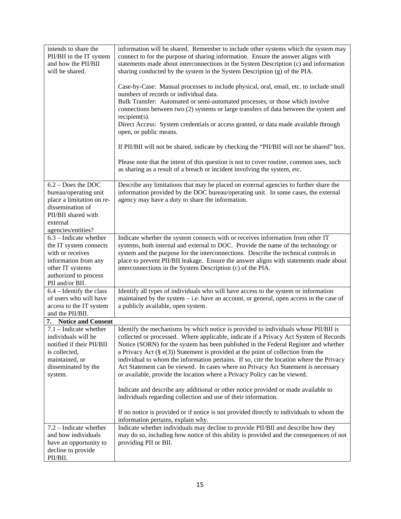| intends to share the<br>PII/BII in the IT system<br>and how the PII/BII<br>will be shared.                                                              | information will be shared. Remember to include other systems which the system may<br>connect to for the purpose of sharing information. Ensure the answer aligns with<br>statements made about interconnections in the System Description (c) and information<br>sharing conducted by the system in the System Description (g) of the PIA. |
|---------------------------------------------------------------------------------------------------------------------------------------------------------|---------------------------------------------------------------------------------------------------------------------------------------------------------------------------------------------------------------------------------------------------------------------------------------------------------------------------------------------|
|                                                                                                                                                         | Case-by-Case: Manual processes to include physical, oral, email, etc. to include small<br>numbers of records or individual data.                                                                                                                                                                                                            |
|                                                                                                                                                         | Bulk Transfer: Automated or semi-automated processes, or those which involve<br>connections between two (2) systems or large transfers of data between the system and                                                                                                                                                                       |
|                                                                                                                                                         | $recipient(s)$ .<br>Direct Access: System credentials or access granted, or data made available through<br>open, or public means.                                                                                                                                                                                                           |
|                                                                                                                                                         | If PII/BII will not be shared, indicate by checking the "PII/BII will not be shared" box.                                                                                                                                                                                                                                                   |
|                                                                                                                                                         | Please note that the intent of this question is not to cover routine, common uses, such<br>as sharing as a result of a breach or incident involving the system, etc.                                                                                                                                                                        |
| $6.2 - Does the DOC$<br>bureau/operating unit<br>place a limitation on re-<br>dissemination of<br>PII/BII shared with<br>external<br>agencies/entities? | Describe any limitations that may be placed on external agencies to further share the<br>information provided by the DOC bureau/operating unit. In some cases, the external<br>agency may have a duty to share the information.                                                                                                             |
| $6.3$ – Indicate whether                                                                                                                                | Indicate whether the system connects with or receives information from other IT                                                                                                                                                                                                                                                             |
| the IT system connects<br>with or receives                                                                                                              | systems, both internal and external to DOC. Provide the name of the technology or                                                                                                                                                                                                                                                           |
| information from any                                                                                                                                    | system and the purpose for the interconnections. Describe the technical controls in<br>place to prevent PII/BII leakage. Ensure the answer aligns with statements made about                                                                                                                                                                |
| other IT systems                                                                                                                                        | interconnections in the System Description (c) of the PIA.                                                                                                                                                                                                                                                                                  |
| authorized to process                                                                                                                                   |                                                                                                                                                                                                                                                                                                                                             |
| PII and/or BII.                                                                                                                                         |                                                                                                                                                                                                                                                                                                                                             |
| $6.4$ – Identify the class<br>of users who will have                                                                                                    | Identify all types of individuals who will have access to the system or information<br>maintained by the system $-$ i.e. have an account, or general, open access in the case of                                                                                                                                                            |
| access to the IT system                                                                                                                                 | a publicly available, open system.                                                                                                                                                                                                                                                                                                          |
| and the PII/BII.                                                                                                                                        |                                                                                                                                                                                                                                                                                                                                             |
| 7. Notice and Consent                                                                                                                                   |                                                                                                                                                                                                                                                                                                                                             |
| $7.1$ – Indicate whether<br>individuals will be                                                                                                         | Identify the mechanisms by which notice is provided to individuals whose PII/BII is<br>collected or processed. Where applicable, indicate if a Privacy Act System of Records                                                                                                                                                                |
| notified if their PII/BII                                                                                                                               | Notice (SORN) for the system has been published in the Federal Register and whether                                                                                                                                                                                                                                                         |
| is collected,                                                                                                                                           | a Privacy Act $(\S e(3))$ Statement is provided at the point of collection from the                                                                                                                                                                                                                                                         |
| maintained, or                                                                                                                                          | individual to whom the information pertains. If so, cite the location where the Privacy                                                                                                                                                                                                                                                     |
| disseminated by the                                                                                                                                     | Act Statement can be viewed. In cases where no Privacy Act Statement is necessary                                                                                                                                                                                                                                                           |
| system.                                                                                                                                                 | or available, provide the location where a Privacy Policy can be viewed.                                                                                                                                                                                                                                                                    |
|                                                                                                                                                         | Indicate and describe any additional or other notice provided or made available to                                                                                                                                                                                                                                                          |
|                                                                                                                                                         | individuals regarding collection and use of their information.                                                                                                                                                                                                                                                                              |
|                                                                                                                                                         | If no notice is provided or if notice is not provided directly to individuals to whom the<br>information pertains, explain why.                                                                                                                                                                                                             |
| 7.2 – Indicate whether                                                                                                                                  | Indicate whether individuals may decline to provide PII/BII and describe how they                                                                                                                                                                                                                                                           |
| and how individuals                                                                                                                                     | may do so, including how notice of this ability is provided and the consequences of not                                                                                                                                                                                                                                                     |
| have an opportunity to<br>decline to provide                                                                                                            | providing PII or BII.                                                                                                                                                                                                                                                                                                                       |
| PII/BII.                                                                                                                                                |                                                                                                                                                                                                                                                                                                                                             |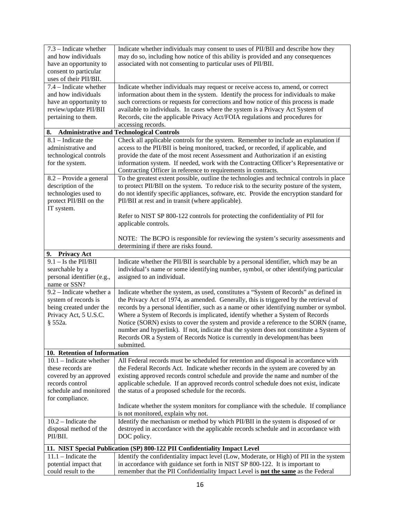| 7.3 - Indicate whether<br>and how individuals<br>have an opportunity to<br>consent to particular<br>uses of their PII/BII.               | Indicate whether individuals may consent to uses of PII/BII and describe how they<br>may do so, including how notice of this ability is provided and any consequences<br>associated with not consenting to particular uses of PII/BII.                                                                                                                                                                                                                                                                                                                                                                                                   |  |
|------------------------------------------------------------------------------------------------------------------------------------------|------------------------------------------------------------------------------------------------------------------------------------------------------------------------------------------------------------------------------------------------------------------------------------------------------------------------------------------------------------------------------------------------------------------------------------------------------------------------------------------------------------------------------------------------------------------------------------------------------------------------------------------|--|
| 7.4 – Indicate whether<br>and how individuals<br>have an opportunity to<br>review/update PII/BII<br>pertaining to them.                  | Indicate whether individuals may request or receive access to, amend, or correct<br>information about them in the system. Identify the process for individuals to make<br>such corrections or requests for corrections and how notice of this process is made<br>available to individuals. In cases where the system is a Privacy Act System of<br>Records, cite the applicable Privacy Act/FOIA regulations and procedures for<br>accessing records.                                                                                                                                                                                    |  |
| 8.                                                                                                                                       | <b>Administrative and Technological Controls</b>                                                                                                                                                                                                                                                                                                                                                                                                                                                                                                                                                                                         |  |
| $8.1$ – Indicate the<br>administrative and<br>technological controls<br>for the system.                                                  | Check all applicable controls for the system. Remember to include an explanation if<br>access to the PII/BII is being monitored, tracked, or recorded, if applicable, and<br>provide the date of the most recent Assessment and Authorization if an existing<br>information system. If needed, work with the Contracting Officer's Representative or<br>Contracting Officer in reference to requirements in contracts.                                                                                                                                                                                                                   |  |
| 8.2 – Provide a general<br>description of the<br>technologies used to<br>protect PII/BII on the<br>IT system.                            | To the greatest extent possible, outline the technologies and technical controls in place<br>to protect PII/BII on the system. To reduce risk to the security posture of the system,<br>do not identify specific appliances, software, etc. Provide the encryption standard for<br>PII/BII at rest and in transit (where applicable).                                                                                                                                                                                                                                                                                                    |  |
|                                                                                                                                          | Refer to NIST SP 800-122 controls for protecting the confidentiality of PII for<br>applicable controls.<br>NOTE: The BCPO is responsible for reviewing the system's security assessments and<br>determining if there are risks found.                                                                                                                                                                                                                                                                                                                                                                                                    |  |
| 9. Privacy Act                                                                                                                           |                                                                                                                                                                                                                                                                                                                                                                                                                                                                                                                                                                                                                                          |  |
| $9.1 -$ Is the PII/BII<br>searchable by a<br>personal identifier (e.g.,<br>name or SSN?                                                  | Indicate whether the PII/BII is searchable by a personal identifier, which may be an<br>individual's name or some identifying number, symbol, or other identifying particular<br>assigned to an individual.                                                                                                                                                                                                                                                                                                                                                                                                                              |  |
| 9.2 – Indicate whether a<br>system of records is<br>being created under the<br>Privacy Act, 5 U.S.C.<br>§ 552a.                          | Indicate whether the system, as used, constitutes a "System of Records" as defined in<br>the Privacy Act of 1974, as amended. Generally, this is triggered by the retrieval of<br>records by a personal identifier, such as a name or other identifying number or symbol.<br>Where a System of Records is implicated, identify whether a System of Records<br>Notice (SORN) exists to cover the system and provide a reference to the SORN (name,<br>number and hyperlink). If not, indicate that the system does not constitute a System of<br>Records OR a System of Records Notice is currently in development/has been<br>submitted. |  |
| 10. Retention of Information                                                                                                             |                                                                                                                                                                                                                                                                                                                                                                                                                                                                                                                                                                                                                                          |  |
| $10.1$ – Indicate whether<br>these records are<br>covered by an approved<br>records control<br>schedule and monitored<br>for compliance. | All Federal records must be scheduled for retention and disposal in accordance with<br>the Federal Records Act. Indicate whether records in the system are covered by an<br>existing approved records control schedule and provide the name and number of the<br>applicable schedule. If an approved records control schedule does not exist, indicate<br>the status of a proposed schedule for the records.<br>Indicate whether the system monitors for compliance with the schedule. If compliance                                                                                                                                     |  |
|                                                                                                                                          | is not monitored, explain why not.                                                                                                                                                                                                                                                                                                                                                                                                                                                                                                                                                                                                       |  |
| $10.2$ – Indicate the<br>disposal method of the<br>PII/BII.                                                                              | Identify the mechanism or method by which PII/BII in the system is disposed of or<br>destroyed in accordance with the applicable records schedule and in accordance with<br>DOC policy.                                                                                                                                                                                                                                                                                                                                                                                                                                                  |  |
| 11. NIST Special Publication (SP) 800-122 PII Confidentiality Impact Level                                                               |                                                                                                                                                                                                                                                                                                                                                                                                                                                                                                                                                                                                                                          |  |
| $11.1$ – Indicate the<br>potential impact that<br>could result to the                                                                    | Identify the confidentiality impact level (Low, Moderate, or High) of PII in the system<br>in accordance with guidance set forth in NIST SP 800-122. It is important to<br>remember that the PII Confidentiality Impact Level is not the same as the Federal                                                                                                                                                                                                                                                                                                                                                                             |  |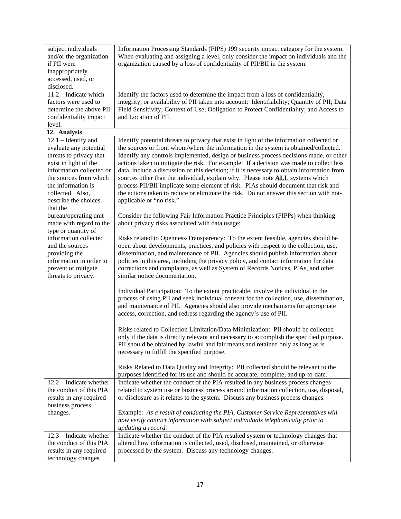| subject individuals<br>and/or the organization<br>if PII were<br>inappropriately<br>accessed, used, or<br>disclosed.                                                                                                                    | Information Processing Standards (FIPS) 199 security impact category for the system.<br>When evaluating and assigning a level, only consider the impact on individuals and the<br>organization caused by a loss of confidentiality of PII/BII in the system.                                                                                                                                                                                                                                                                                                                                                                                                                                                                                                             |
|-----------------------------------------------------------------------------------------------------------------------------------------------------------------------------------------------------------------------------------------|--------------------------------------------------------------------------------------------------------------------------------------------------------------------------------------------------------------------------------------------------------------------------------------------------------------------------------------------------------------------------------------------------------------------------------------------------------------------------------------------------------------------------------------------------------------------------------------------------------------------------------------------------------------------------------------------------------------------------------------------------------------------------|
| 11.2 - Indicate which<br>factors were used to<br>determine the above PII<br>confidentiality impact<br>level.                                                                                                                            | Identify the factors used to determine the impact from a loss of confidentiality,<br>integrity, or availability of PII taken into account: Identifiability; Quantity of PII; Data<br>Field Sensitivity; Context of Use; Obligation to Protect Confidentiality; and Access to<br>and Location of PII.                                                                                                                                                                                                                                                                                                                                                                                                                                                                     |
| 12. Analysis                                                                                                                                                                                                                            |                                                                                                                                                                                                                                                                                                                                                                                                                                                                                                                                                                                                                                                                                                                                                                          |
| $12.1$ – Identify and<br>evaluate any potential<br>threats to privacy that<br>exist in light of the<br>information collected or<br>the sources from which<br>the information is<br>collected. Also,<br>describe the choices<br>that the | Identify potential threats to privacy that exist in light of the information collected or<br>the sources or from whom/where the information in the system is obtained/collected.<br>Identify any controls implemented, design or business process decisions made, or other<br>actions taken to mitigate the risk. For example: If a decision was made to collect less<br>data, include a discussion of this decision; if it is necessary to obtain information from<br>sources other than the individual, explain why. Please note <b>ALL</b> systems which<br>process PII/BII implicate some element of risk. PIAs should document that risk and<br>the actions taken to reduce or eliminate the risk. Do not answer this section with not-<br>applicable or "no risk." |
| bureau/operating unit<br>made with regard to the                                                                                                                                                                                        | Consider the following Fair Information Practice Principles (FIPPs) when thinking<br>about privacy risks associated with data usage:                                                                                                                                                                                                                                                                                                                                                                                                                                                                                                                                                                                                                                     |
| type or quantity of<br>information collected<br>and the sources<br>providing the<br>information in order to<br>prevent or mitigate<br>threats to privacy.                                                                               | Risks related to Openness/Transparency: To the extent feasible, agencies should be<br>open about developments, practices, and policies with respect to the collection, use,<br>dissemination, and maintenance of PII. Agencies should publish information about<br>policies in this area, including the privacy policy, and contact information for data<br>corrections and complaints, as well as System of Records Notices, PIAs, and other<br>similar notice documentation.                                                                                                                                                                                                                                                                                           |
|                                                                                                                                                                                                                                         | Individual Participation: To the extent practicable, involve the individual in the<br>process of using PII and seek individual consent for the collection, use, dissemination,<br>and maintenance of PII. Agencies should also provide mechanisms for appropriate<br>access, correction, and redress regarding the agency's use of PII.                                                                                                                                                                                                                                                                                                                                                                                                                                  |
|                                                                                                                                                                                                                                         | Risks related to Collection Limitation/Data Minimization: PII should be collected<br>only if the data is directly relevant and necessary to accomplish the specified purpose.<br>PII should be obtained by lawful and fair means and retained only as long as is<br>necessary to fulfill the specified purpose.                                                                                                                                                                                                                                                                                                                                                                                                                                                          |
|                                                                                                                                                                                                                                         | Risks Related to Data Quality and Integrity: PII collected should be relevant to the<br>purposes identified for its use and should be accurate, complete, and up-to-date.                                                                                                                                                                                                                                                                                                                                                                                                                                                                                                                                                                                                |
| $12.2$ – Indicate whether<br>the conduct of this PIA<br>results in any required<br>business process<br>changes.                                                                                                                         | Indicate whether the conduct of the PIA resulted in any business process changes<br>related to system use or business process around information collection, use, disposal,<br>or disclosure as it relates to the system. Discuss any business process changes.<br>Example: As a result of conducting the PIA, Customer Service Representatives will<br>now verify contact information with subject individuals telephonically prior to<br>updating a record.                                                                                                                                                                                                                                                                                                            |
| $12.3$ – Indicate whether<br>the conduct of this PIA<br>results in any required<br>technology changes.                                                                                                                                  | Indicate whether the conduct of the PIA resulted system or technology changes that<br>altered how information is collected, used, disclosed, maintained, or otherwise<br>processed by the system. Discuss any technology changes.                                                                                                                                                                                                                                                                                                                                                                                                                                                                                                                                        |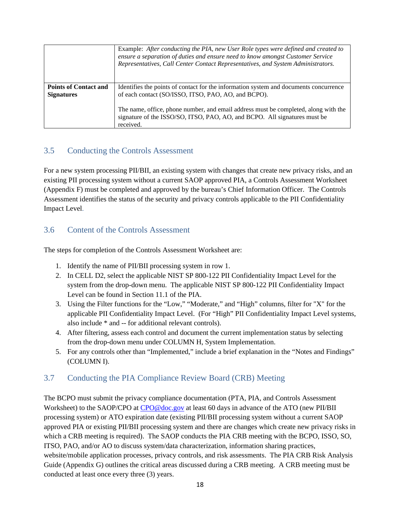|                              | Example: After conducting the PIA, new User Role types were defined and created to<br>ensure a separation of duties and ensure need to know amongst Customer Service<br>Representatives, Call Center Contact Representatives, and System Administrators. |
|------------------------------|----------------------------------------------------------------------------------------------------------------------------------------------------------------------------------------------------------------------------------------------------------|
| <b>Points of Contact and</b> | Identifies the points of contact for the information system and documents concurrence                                                                                                                                                                    |
| <b>Signatures</b>            | of each contact (SO/ISSO, ITSO, PAO, AO, and BCPO).                                                                                                                                                                                                      |
|                              | The name, office, phone number, and email address must be completed, along with the                                                                                                                                                                      |
|                              | signature of the ISSO/SO, ITSO, PAO, AO, and BCPO. All signatures must be                                                                                                                                                                                |
|                              | received.                                                                                                                                                                                                                                                |

#### <span id="page-17-0"></span>3.5 Conducting the Controls Assessment

For a new system processing PII/BII, an existing system with changes that create new privacy risks, and an existing PII processing system without a current SAOP approved PIA, a Controls Assessment Worksheet (Appendix F) must be completed and approved by the bureau's Chief Information Officer. The Controls Assessment identifies the status of the security and privacy controls applicable to the PII Confidentiality Impact Level.

#### <span id="page-17-1"></span>3.6 Content of the Controls Assessment

The steps for completion of the Controls Assessment Worksheet are:

- 1. Identify the name of PII/BII processing system in row 1.
- 2. In CELL D2, select the applicable NIST SP 800-122 PII Confidentiality Impact Level for the system from the drop-down menu. The applicable NIST SP 800-122 PII Confidentiality Impact Level can be found in Section 11.1 of the PIA.
- 3. Using the Filter functions for the "Low," "Moderate," and "High" columns, filter for "X" for the applicable PII Confidentiality Impact Level. (For "High" PII Confidentiality Impact Level systems, also include \* and -- for additional relevant controls).
- 4. After filtering, assess each control and document the current implementation status by selecting from the drop-down menu under COLUMN H, System Implementation.
- 5. For any controls other than "Implemented," include a brief explanation in the "Notes and Findings" (COLUMN I).

## <span id="page-17-2"></span>3.7 Conducting the PIA Compliance Review Board (CRB) Meeting

The BCPO must submit the privacy compliance documentation (PTA, PIA, and Controls Assessment Worksheet) to the SAOP/CPO at [CPO@doc.gov](mailto:CPO@doc.gov) at least 60 days in advance of the ATO (new PII/BII processing system) or ATO expiration date (existing PII/BII processing system without a current SAOP approved PIA or existing PII/BII processing system and there are changes which create new privacy risks in which a CRB meeting is required). The SAOP conducts the PIA CRB meeting with the BCPO, ISSO, SO, ITSO, PAO, and/or AO to discuss system/data characterization, information sharing practices, website/mobile application processes, privacy controls, and risk assessments. The PIA CRB Risk Analysis Guide (Appendix G) outlines the critical areas discussed during a CRB meeting. A CRB meeting must be conducted at least once every three (3) years.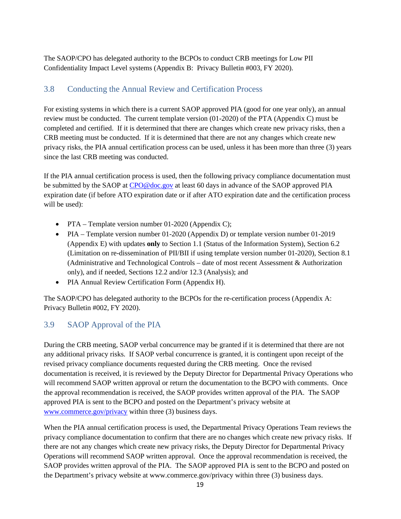The SAOP/CPO has delegated authority to the BCPOs to conduct CRB meetings for Low PII Confidentiality Impact Level systems (Appendix B: Privacy Bulletin #003, FY 2020).

### <span id="page-18-0"></span>3.8 Conducting the Annual Review and Certification Process

For existing systems in which there is a current SAOP approved PIA (good for one year only), an annual review must be conducted. The current template version (01-2020) of the PTA (Appendix C) must be completed and certified. If it is determined that there are changes which create new privacy risks, then a CRB meeting must be conducted. If it is determined that there are not any changes which create new privacy risks, the PIA annual certification process can be used, unless it has been more than three (3) years since the last CRB meeting was conducted.

If the PIA annual certification process is used, then the following privacy compliance documentation must be submitted by the SAOP at [CPO@doc.gov](mailto:CPO@doc.gov) at least 60 days in advance of the SAOP approved PIA expiration date (if before ATO expiration date or if after ATO expiration date and the certification process will be used):

- PTA Template version number 01-2020 (Appendix C);
- PIA Template version number 01-2020 (Appendix D) or template version number 01-2019 (Appendix E) with updates **only** to Section 1.1 (Status of the Information System), Section 6.2 (Limitation on re-dissemination of PII/BII if using template version number 01-2020), Section 8.1 (Administrative and Technological Controls – date of most recent Assessment & Authorization only), and if needed, Sections 12.2 and/or 12.3 (Analysis); and
- PIA Annual Review Certification Form (Appendix H).

The SAOP/CPO has delegated authority to the BCPOs for the re-certification process (Appendix A: Privacy Bulletin #002, FY 2020).

#### <span id="page-18-1"></span>3.9 SAOP Approval of the PIA

During the CRB meeting, SAOP verbal concurrence may be granted if it is determined that there are not any additional privacy risks. If SAOP verbal concurrence is granted, it is contingent upon receipt of the revised privacy compliance documents requested during the CRB meeting. Once the revised documentation is received, it is reviewed by the Deputy Director for Departmental Privacy Operations who will recommend SAOP written approval or return the documentation to the BCPO with comments. Once the approval recommendation is received, the SAOP provides written approval of the PIA. The SAOP approved PIA is sent to the BCPO and posted on the Department's privacy website at [www.commerce.gov/privacy](http://www.commerce.gov/privacy) within three (3) business days.

When the PIA annual certification process is used, the Departmental Privacy Operations Team reviews the privacy compliance documentation to confirm that there are no changes which create new privacy risks. If there are not any changes which create new privacy risks, the Deputy Director for Departmental Privacy Operations will recommend SAOP written approval. Once the approval recommendation is received, the SAOP provides written approval of the PIA. The SAOP approved PIA is sent to the BCPO and posted on the Department's privacy website at www.commerce.gov/privacy within three (3) business days.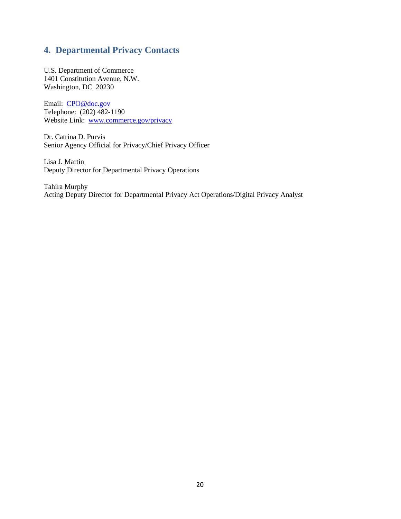## <span id="page-19-0"></span>**4. Departmental Privacy Contacts**

U.S. Department of Commerce 1401 Constitution Avenue, N.W. Washington, DC 20230

Email: [CPO@doc.gov](mailto:CPO@doc.gov) Telephone: (202) 482-1190 Website Link: [www.commerce.gov/privacy](http://www.commerce.gov/privacy)

Dr. Catrina D. Purvis Senior Agency Official for Privacy/Chief Privacy Officer

Lisa J. Martin Deputy Director for Departmental Privacy Operations

Tahira Murphy Acting Deputy Director for Departmental Privacy Act Operations/Digital Privacy Analyst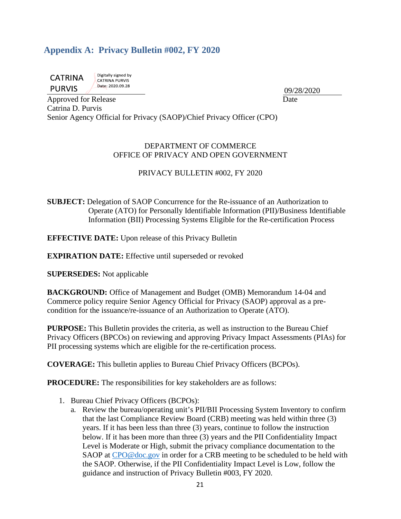## <span id="page-20-0"></span>**Appendix A: Privacy Bulletin #002, FY 2020**

**CATRINA PURVIS** 

Digitally signed by CATRINA PURVIS Date: 2020.09.28

09/28/2020

Approved for Release Date Date Date Date Catrina D. Purvis Senior Agency Official for Privacy (SAOP)/Chief Privacy Officer (CPO)

#### DEPARTMENT OF COMMERCE OFFICE OF PRIVACY AND OPEN GOVERNMENT

#### PRIVACY BULLETIN #002, FY 2020

**SUBJECT:** Delegation of SAOP Concurrence for the Re-issuance of an Authorization to Operate (ATO) for Personally Identifiable Information (PII)/Business Identifiable Information (BII) Processing Systems Eligible for the Re-certification Process

**EFFECTIVE DATE:** Upon release of this Privacy Bulletin

**EXPIRATION DATE:** Effective until superseded or revoked

**SUPERSEDES:** Not applicable

**BACKGROUND:** Office of Management and Budget (OMB) Memorandum 14-04 and Commerce policy require Senior Agency Official for Privacy (SAOP) approval as a precondition for the issuance/re-issuance of an Authorization to Operate (ATO).

**PURPOSE:** This Bulletin provides the criteria, as well as instruction to the Bureau Chief Privacy Officers (BPCOs) on reviewing and approving Privacy Impact Assessments (PIAs) for PII processing systems which are eligible for the re-certification process.

**COVERAGE:** This bulletin applies to Bureau Chief Privacy Officers (BCPOs).

**PROCEDURE:** The responsibilities for key stakeholders are as follows:

- 1. Bureau Chief Privacy Officers (BCPOs):
	- a. Review the bureau/operating unit's PII/BII Processing System Inventory to confirm that the last Compliance Review Board (CRB) meeting was held within three (3) years. If it has been less than three (3) years, continue to follow the instruction below. If it has been more than three (3) years and the PII Confidentiality Impact Level is Moderate or High, submit the privacy compliance documentation to the SAOP at [CPO@doc.gov](mailto:CPO@doc.gov) in order for a CRB meeting to be scheduled to be held with the SAOP. Otherwise, if the PII Confidentiality Impact Level is Low, follow the guidance and instruction of Privacy Bulletin #003, FY 2020.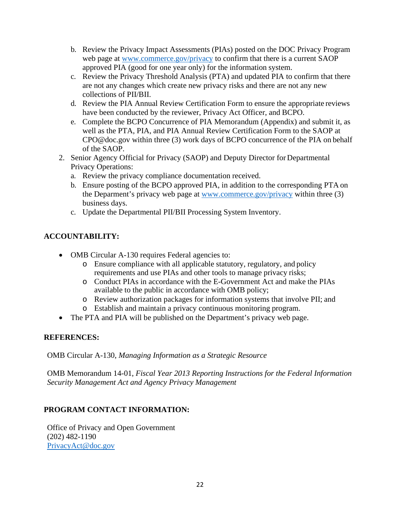- b. Review the Privacy Impact Assessments (PIAs) posted on the DOC Privacy Program web page at [www.commerce.gov/privacy](http://www.commerce.gov/privacy) to confirm that there is a current SAOP approved PIA (good for one year only) for the information system.
- c. Review the Privacy Threshold Analysis (PTA) and updated PIA to confirm that there are not any changes which create new privacy risks and there are not any new collections of PII/BII.
- d. Review the PIA Annual Review Certification Form to ensure the appropriate reviews have been conducted by the reviewer, Privacy Act Officer, and BCPO.
- e. Complete the BCPO Concurrence of PIA Memorandum (Appendix) and submit it, as well as the PTA, PIA, and PIA Annual Review Certification Form to the SAOP a[t](mailto:CPO@doc.gov) [CPO@doc.gov](mailto:CPO@doc.gov) within three (3) work days of BCPO concurrence of the PIA on behalf of the SAOP.
- 2. Senior Agency Official for Privacy (SAOP) and Deputy Director for Departmental Privacy Operations:
	- a. Review the privacy compliance documentation received.
	- b. Ensure posting of the BCPO approved PIA, in addition to the corresponding PTA on the Deparment's privacy web page at [www.commerce.gov/privacy](http://www.commerce.gov/privacy) within three (3) business days.
	- c. Update the Departmental PII/BII Processing System Inventory.

### **ACCOUNTABILITY:**

- OMB Circular A-130 requires Federal agencies to:
	- o Ensure compliance with all applicable statutory, regulatory, and policy requirements and use PIAs and other tools to manage privacy risks;
	- o Conduct PIAs in accordance with the E-Government Act and make the PIAs available to the public in accordance with OMB policy;
	- o Review authorization packages for information systems that involve PII; and
	- o Establish and maintain a privacy continuous monitoring program.
- The PTA and PIA will be published on the Department's privacy web page.

#### **REFERENCES:**

OMB Circular A-130, *Managing Information as a Strategic Resource*

OMB Memorandum 14-01, *Fiscal Year 2013 Reporting Instructions for the Federal Information Security Management Act and Agency Privacy Management*

#### **PROGRAM CONTACT INFORMATION:**

Office of Privacy and Open Government (202) 482-1190 [PrivacyAct@doc.gov](mailto:PrivacyAct@doc.gov)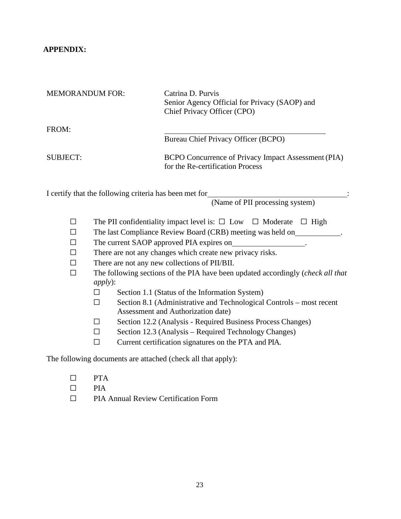#### **APPENDIX:**

| <b>MEMORANDUM FOR:</b> | Catrina D. Purvis<br>Senior Agency Official for Privacy (SAOP) and<br>Chief Privacy Officer (CPO) |
|------------------------|---------------------------------------------------------------------------------------------------|
| FROM:                  | Bureau Chief Privacy Officer (BCPO)                                                               |
| SUBJECT:               | BCPO Concurrence of Privacy Impact Assessment (PIA)<br>for the Re-certification Process           |

I certify that the following criteria has been met for

(Name of PII processing system)

- ☐ The PII confidentiality impact level is: ☐ Low ☐ Moderate ☐ High
- ☐ The last Compliance Review Board (CRB) meeting was held on .
- ☐ The current SAOP approved PIA expires on .
- $\Box$  There are not any changes which create new privacy risks.
- ☐ There are not any new collections of PII/BII.
- ☐ The following sections of the PIA have been updated accordingly (*check all that apply*):
	- ☐ Section 1.1 (Status of the Information System)
	- ☐ Section 8.1 (Administrative and Technological Controls most recent Assessment and Authorization date)
	- ☐ Section 12.2 (Analysis Required Business Process Changes)
	- $\Box$  Section 12.3 (Analysis Required Technology Changes)
	- ☐ Current certification signatures on the PTA and PIA.

The following documents are attached (check all that apply):

- ☐ PTA
- $\square$  PIA
- ☐ PIA Annual Review Certification Form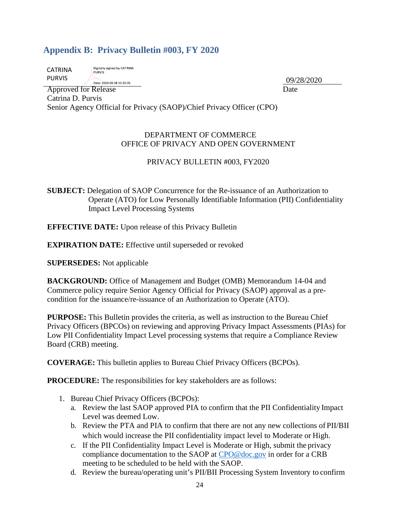## <span id="page-23-0"></span>**Appendix B: Privacy Bulletin #003, FY 2020**

| CATRINA       | Digitally signed by CATRIN<br><b>PURVIS</b> |
|---------------|---------------------------------------------|
| <b>PURVIS</b> | Date: 2020.09.28 12:35:35                   |

Approved for Release Date Catrina D. Purvis Senior Agency Official for Privacy (SAOP)/Chief Privacy Officer (CPO)

#### DEPARTMENT OF COMMERCE OFFICE OF PRIVACY AND OPEN GOVERNMENT

#### PRIVACY BULLETIN #003, FY2020

**SUBJECT:** Delegation of SAOP Concurrence for the Re-issuance of an Authorization to Operate (ATO) for Low Personally Identifiable Information (PII) Confidentiality Impact Level Processing Systems

**EFFECTIVE DATE:** Upon release of this Privacy Bulletin

**EXPIRATION DATE:** Effective until superseded or revoked

**SUPERSEDES:** Not applicable

**BACKGROUND:** Office of Management and Budget (OMB) Memorandum 14-04 and Commerce policy require Senior Agency Official for Privacy (SAOP) approval as a precondition for the issuance/re-issuance of an Authorization to Operate (ATO).

**PURPOSE:** This Bulletin provides the criteria, as well as instruction to the Bureau Chief Privacy Officers (BPCOs) on reviewing and approving Privacy Impact Assessments (PIAs) for Low PII Confidentiality Impact Level processing systems that require a Compliance Review Board (CRB) meeting.

**COVERAGE:** This bulletin applies to Bureau Chief Privacy Officers (BCPOs).

**PROCEDURE:** The responsibilities for key stakeholders are as follows:

- 1. Bureau Chief Privacy Officers (BCPOs):
	- a. Review the last SAOP approved PIA to confirm that the PII Confidentiality Impact Level was deemed Low.
	- b. Review the PTA and PIA to confirm that there are not any new collections of PII/BII which would increase the PII confidentiality impact level to Moderate or High.
	- c. If the PII Confidentiality Impact Level is Moderate or High, submit the privacy compliance documentation to the SAOP at [CPO@doc.gov](mailto:CPO@doc.gov) in order for a CRB meeting to be scheduled to be held with the SAOP.
	- d. Review the bureau/operating unit's PII/BII Processing System Inventory to confirm

09/28/2020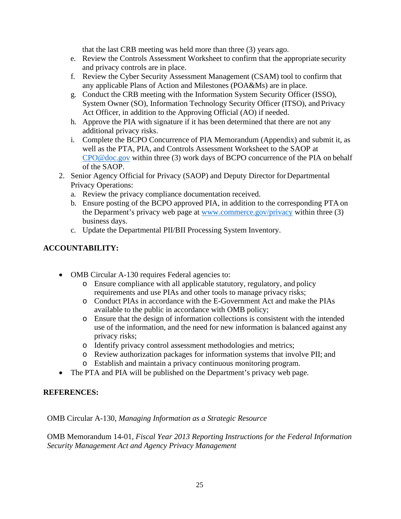that the last CRB meeting was held more than three (3) years ago.

- e. Review the Controls Assessment Worksheet to confirm that the appropriate security and privacy controls are in place.
- f. Review the Cyber Security Assessment Management (CSAM) tool to confirm that any applicable Plans of Action and Milestones (POA&Ms) are in place.
- g. Conduct the CRB meeting with the Information System Security Officer (ISSO), System Owner (SO), Information Technology Security Officer (ITSO), and Privacy Act Officer, in addition to the Approving Official (AO) if needed.
- h. Approve the PIA with signature if it has been determined that there are not any additional privacy risks.
- i. Complete the BCPO Concurrence of PIA Memorandum (Appendix) and submit it, as well as the PTA, PIA, and Controls Assessment Worksheet to the SAOP a[t](mailto:CPO@doc.gov) [CPO@doc.gov](mailto:CPO@doc.gov) within three (3) work days of BCPO concurrence of the PIA on behalf of the SAOP.
- 2. Senior Agency Official for Privacy (SAOP) and Deputy Director for Departmental Privacy Operations:
	- a. Review the privacy compliance documentation received.
	- b. Ensure posting of the BCPO approved PIA, in addition to the corresponding PTA on the Deparment's privacy web page at [www.commerce.gov/privacy](http://www.commerce.gov/privacy) within three (3) business days.
	- c. Update the Departmental PII/BII Processing System Inventory.

#### **ACCOUNTABILITY:**

- OMB Circular A-130 requires Federal agencies to:
	- o Ensure compliance with all applicable statutory, regulatory, and policy requirements and use PIAs and other tools to manage privacy risks;
	- o Conduct PIAs in accordance with the E-Government Act and make the PIAs available to the public in accordance with OMB policy;
	- o Ensure that the design of information collections is consistent with the intended use of the information, and the need for new information is balanced against any privacy risks;
	- o Identify privacy control assessment methodologies and metrics;
	- o Review authorization packages for information systems that involve PII; and
	- o Establish and maintain a privacy continuous monitoring program.
- The PTA and PIA will be published on the Department's privacy web page.

#### **REFERENCES:**

OMB Circular A-130, *Managing Information as a Strategic Resource*

OMB Memorandum 14-01, *Fiscal Year 2013 Reporting Instructions for the Federal Information Security Management Act and Agency Privacy Management*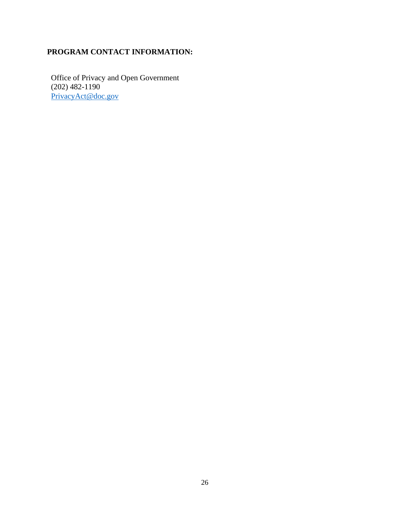## **PROGRAM CONTACT INFORMATION:**

Office of Privacy and Open Government (202) 482-1190 [PrivacyAct@doc.gov](mailto:PrivacyAct@doc.gov)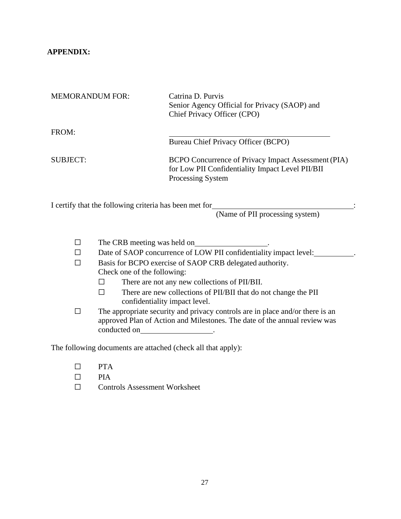#### **APPENDIX:**

| <b>MEMORANDUM FOR:</b>                                 | Catrina D. Purvis<br>Senior Agency Official for Privacy (SAOP) and<br>Chief Privacy Officer (CPO)                            |  |
|--------------------------------------------------------|------------------------------------------------------------------------------------------------------------------------------|--|
| FROM:                                                  | Bureau Chief Privacy Officer (BCPO)                                                                                          |  |
| <b>SUBJECT:</b>                                        | BCPO Concurrence of Privacy Impact Assessment (PIA)<br>for Low PII Confidentiality Impact Level PII/BII<br>Processing System |  |
| I certify that the following criteria has been met for | (Name of PII processing system)                                                                                              |  |
| The CRB meeting was held on                            |                                                                                                                              |  |

| $\Box$ | Date of SAOP concurrence of LOW PII confidentiality impact level: |
|--------|-------------------------------------------------------------------|
|        | Basis for BCPO exercise of SAOP CRB delegated authority.          |

- Check one of the following:
	- ☐ There are not any new collections of PII/BII.
	- ☐ There are new collections of PII/BII that do not change the PII confidentiality impact level.
- ☐ The appropriate security and privacy controls are in place and/or there is an approved Plan of Action and Milestones. The date of the annual review was conducted on \_\_\_\_\_\_\_\_\_\_\_\_\_\_\_\_\_\_\_\_\_\_.

The following documents are attached (check all that apply):

- ☐ PTA
- $\Box$  PIA<br> $\Box$  Com
- ☐ Controls Assessment Worksheet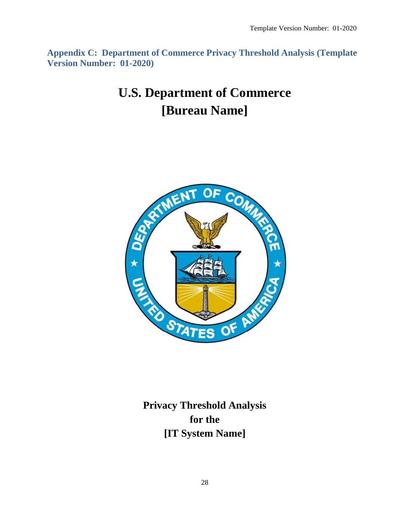<span id="page-27-0"></span>**Appendix C: Department of Commerce Privacy Threshold Analysis (Template Version Number: 01-2020)**

## **U.S. Department of Commerce [Bureau Name]**



**Privacy Threshold Analysis for the [IT System Name]**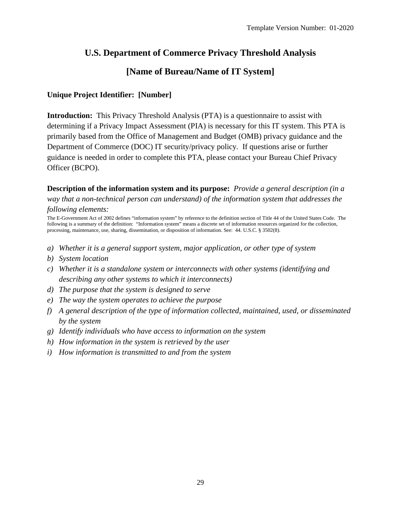## **U.S. Department of Commerce Privacy Threshold Analysis**

## **[Name of Bureau/Name of IT System]**

#### **Unique Project Identifier: [Number]**

**Introduction:** This Privacy Threshold Analysis (PTA) is a questionnaire to assist with determining if a Privacy Impact Assessment (PIA) is necessary for this IT system. This PTA is primarily based from the Office of Management and Budget (OMB) privacy guidance and the Department of Commerce (DOC) IT security/privacy policy*.* If questions arise or further guidance is needed in order to complete this PTA, please contact your Bureau Chief Privacy Officer (BCPO).

**Description of the information system and its purpose:** *Provide a general description (in a way that a non-technical person can understand) of the information system that addresses the following elements:* 

The E-Government Act of 2002 defines "information system" by reference to the definition section of Title 44 of the United States Code. The following is a summary of the definition: "Information system" means a discrete set of information resources organized for the collection, processing, maintenance, use, sharing, dissemination, or disposition of information. See: 44. U.S.C. § 3502(8).

- *a) Whether it is a general support system, major application, or other type of system*
- *b) System location*
- *c) Whether it is a standalone system or interconnects with other systems (identifying and describing any other systems to which it interconnects)*
- *d) The purpose that the system is designed to serve*
- *e) The way the system operates to achieve the purpose*
- *f) A general description of the type of information collected, maintained, used, or disseminated by the system*
- *g) Identify individuals who have access to information on the system*
- *h) How information in the system is retrieved by the user*
- *i) How information is transmitted to and from the system*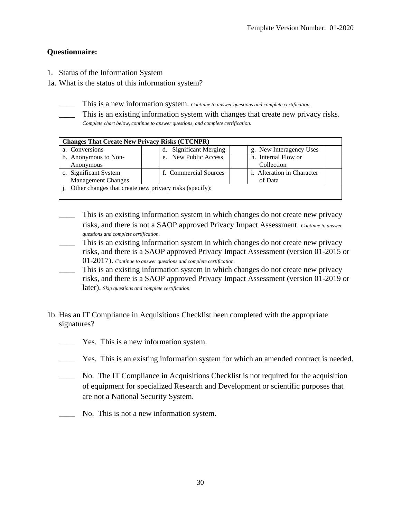#### **Questionnaire:**

- 1. Status of the Information System
- 1a. What is the status of this information system?
	- This is a new information system. *Continue to answer questions and complete certification*.
	- This is an existing information system with changes that create new privacy risks. *Complete chart below, continue to answer questions, and complete certification.*

| <b>Changes That Create New Privacy Risks (CTCNPR)</b>  |                                  |                                   |  |
|--------------------------------------------------------|----------------------------------|-----------------------------------|--|
| a. Conversions                                         | <b>Significant Merging</b><br>d. | g. New Interagency Uses           |  |
| b. Anonymous to Non-                                   | e. New Public Access             | h. Internal Flow or               |  |
| Anonymous                                              |                                  | Collection                        |  |
| c. Significant System                                  | f. Commercial Sources            | <i>i.</i> Alteration in Character |  |
| <b>Management Changes</b>                              |                                  | of Data                           |  |
| Other changes that create new privacy risks (specify): |                                  |                                   |  |
|                                                        |                                  |                                   |  |

- \_\_\_\_ This is an existing information system in which changes do not create new privacy risks, and there is not a SAOP approved Privacy Impact Assessment. *Continue to answer questions and complete certification.*
- This is an existing information system in which changes do not create new privacy risks, and there is a SAOP approved Privacy Impact Assessment (version 01-2015 or 01-2017). *Continue to answer questions and complete certification.*
- This is an existing information system in which changes do not create new privacy risks, and there is a SAOP approved Privacy Impact Assessment (version 01-2019 or later). *Skip questions and complete certification.*
- 1b. Has an IT Compliance in Acquisitions Checklist been completed with the appropriate signatures?
	- Yes. This is a new information system.
	- \_\_\_\_ Yes. This is an existing information system for which an amended contract is needed.
	- \_\_\_\_ No. The IT Compliance in Acquisitions Checklist is not required for the acquisition of equipment for specialized Research and Development or scientific purposes that are not a National Security System.
	- No. This is not a new information system.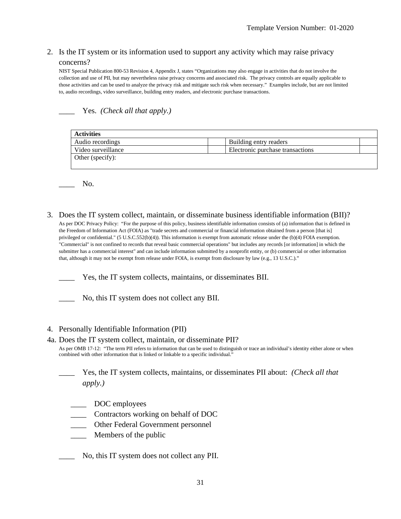## 2. Is the IT system or its information used to support any activity which may raise privacy

#### concerns?

NIST Special Publication 800-53 Revision 4, Appendix J, states "Organizations may also engage in activities that do not involve the collection and use of PII, but may nevertheless raise privacy concerns and associated risk. The privacy controls are equally applicable to those activities and can be used to analyze the privacy risk and mitigate such risk when necessary." Examples include, but are not limited to, audio recordings, video surveillance, building entry readers, and electronic purchase transactions.

\_\_\_\_ Yes. *(Check all that apply.)*

| <b>Activities</b>  |                                  |  |  |
|--------------------|----------------------------------|--|--|
| Audio recordings   | Building entry readers           |  |  |
| Video surveillance | Electronic purchase transactions |  |  |
| Other (specify):   |                                  |  |  |

No.

3. Does the IT system collect, maintain, or disseminate business identifiable information (BII)?

As per DOC Privacy Policy: "For the purpose of this policy, business identifiable information consists of (a) information that is defined in the Freedom of Information Act (FOIA) as "trade secrets and commercial or financial information obtained from a person [that is] privileged or confidential." (5 U.S.C.552(b)(4)). This information is exempt from automatic release under the (b)(4) FOIA exemption. "Commercial" is not confined to records that reveal basic commercial operations" but includes any records [or information] in which the submitter has a commercial interest" and can include information submitted by a nonprofit entity, or (b) commercial or other information that, although it may not be exempt from release under FOIA, is exempt from disclosure by law (e.g., 13 U.S.C.)."

Yes, the IT system collects, maintains, or disseminates BII.

No, this IT system does not collect any BII.

#### 4. Personally Identifiable Information (PII)

#### 4a. Does the IT system collect, maintain, or disseminate PII?

As per OMB 17-12: "The term PII refers to information that can be used to distinguish or trace an individual's identity either alone or when combined with other information that is linked or linkable to a specific individual."

\_\_\_\_ Yes, the IT system collects, maintains, or disseminates PII about: *(Check all that apply.)*

- \_\_\_\_ DOC employees
- \_\_\_\_ Contractors working on behalf of DOC
- \_\_\_\_ Other Federal Government personnel
- \_\_\_\_ Members of the public

\_\_\_\_ No, this IT system does not collect any PII.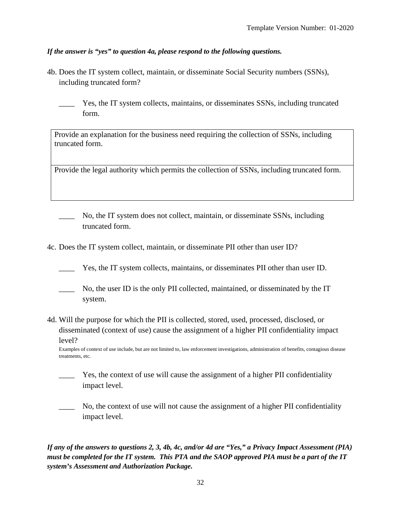#### *If the answer is "yes" to question 4a, please respond to the following questions.*

- 4b. Does the IT system collect, maintain, or disseminate Social Security numbers (SSNs), including truncated form?
	- Yes, the IT system collects, maintains, or disseminates SSNs, including truncated form.

Provide an explanation for the business need requiring the collection of SSNs, including truncated form.

Provide the legal authority which permits the collection of SSNs, including truncated form.

- No, the IT system does not collect, maintain, or disseminate SSNs, including truncated form.
- 4c. Does the IT system collect, maintain, or disseminate PII other than user ID?
	- Yes, the IT system collects, maintains, or disseminates PII other than user ID.
	- No, the user ID is the only PII collected, maintained, or disseminated by the IT system.
- 4d. Will the purpose for which the PII is collected, stored, used, processed, disclosed, or disseminated (context of use) cause the assignment of a higher PII confidentiality impact level?

Examples of context of use include, but are not limited to, law enforcement investigations, administration of benefits, contagious disease treatments, etc.

- Yes, the context of use will cause the assignment of a higher PII confidentiality impact level.
- No, the context of use will not cause the assignment of a higher PII confidentiality impact level.

*If any of the answers to questions 2, 3, 4b, 4c, and/or 4d are "Yes," a Privacy Impact Assessment (PIA) must be completed for the IT system. This PTA and the SAOP approved PIA must be a part of the IT system's Assessment and Authorization Package.*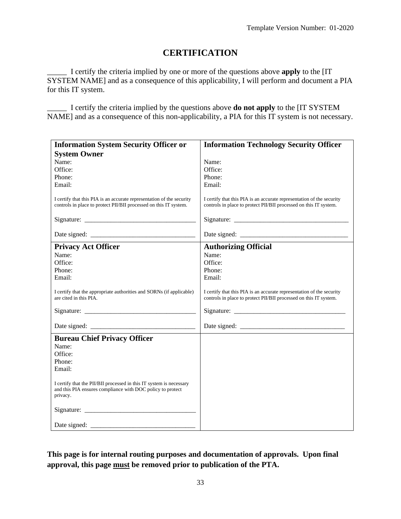## **CERTIFICATION**

\_\_\_\_\_ I certify the criteria implied by one or more of the questions above **apply** to the [IT SYSTEM NAME] and as a consequence of this applicability, I will perform and document a PIA for this IT system.

\_\_\_\_\_ I certify the criteria implied by the questions above **do not apply** to the [IT SYSTEM NAME] and as a consequence of this non-applicability, a PIA for this IT system is not necessary.

| <b>Information System Security Officer or</b>                                                                                                 | <b>Information Technology Security Officer</b>                                                                                             |  |
|-----------------------------------------------------------------------------------------------------------------------------------------------|--------------------------------------------------------------------------------------------------------------------------------------------|--|
| <b>System Owner</b>                                                                                                                           |                                                                                                                                            |  |
| Name:                                                                                                                                         | Name:                                                                                                                                      |  |
| Office:                                                                                                                                       | Office:                                                                                                                                    |  |
| Phone:                                                                                                                                        | Phone:                                                                                                                                     |  |
| Email:                                                                                                                                        | Email:                                                                                                                                     |  |
| I certify that this PIA is an accurate representation of the security<br>controls in place to protect PII/BII processed on this IT system.    | I certify that this PIA is an accurate representation of the security<br>controls in place to protect PII/BII processed on this IT system. |  |
|                                                                                                                                               |                                                                                                                                            |  |
| <b>Privacy Act Officer</b>                                                                                                                    | <b>Authorizing Official</b>                                                                                                                |  |
| Name:                                                                                                                                         | Name:                                                                                                                                      |  |
| Office:                                                                                                                                       | Office:                                                                                                                                    |  |
| Phone:                                                                                                                                        | Phone:                                                                                                                                     |  |
| Email:                                                                                                                                        | Email:                                                                                                                                     |  |
| I certify that the appropriate authorities and SORNs (if applicable)<br>are cited in this PIA.                                                | I certify that this PIA is an accurate representation of the security<br>controls in place to protect PII/BII processed on this IT system. |  |
|                                                                                                                                               |                                                                                                                                            |  |
|                                                                                                                                               |                                                                                                                                            |  |
| <b>Bureau Chief Privacy Officer</b>                                                                                                           |                                                                                                                                            |  |
| Name:                                                                                                                                         |                                                                                                                                            |  |
| Office:                                                                                                                                       |                                                                                                                                            |  |
| Phone:                                                                                                                                        |                                                                                                                                            |  |
| Email:                                                                                                                                        |                                                                                                                                            |  |
| I certify that the PII/BII processed in this IT system is necessary<br>and this PIA ensures compliance with DOC policy to protect<br>privacy. |                                                                                                                                            |  |
|                                                                                                                                               |                                                                                                                                            |  |
|                                                                                                                                               |                                                                                                                                            |  |

**This page is for internal routing purposes and documentation of approvals. Upon final approval, this page must be removed prior to publication of the PTA.**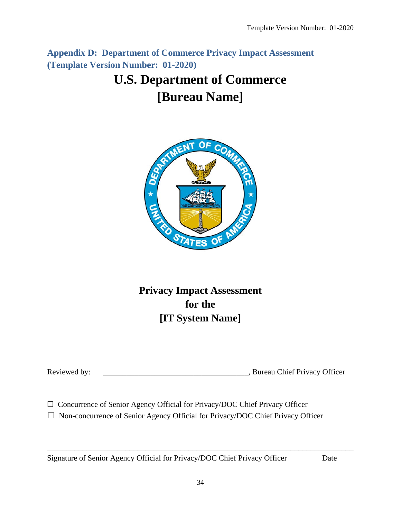<span id="page-33-0"></span>**Appendix D: Department of Commerce Privacy Impact Assessment (Template Version Number: 01-2020)**

## **U.S. Department of Commerce [Bureau Name]**



**Privacy Impact Assessment for the [IT System Name]**

Reviewed by: \_\_\_\_\_\_\_\_\_\_\_\_\_\_\_\_\_\_\_\_\_\_\_\_\_\_\_\_\_\_\_\_\_\_\_\_\_, Bureau Chief Privacy Officer

□ Concurrence of Senior Agency Official for Privacy/DOC Chief Privacy Officer

☐ Non-concurrence of Senior Agency Official for Privacy/DOC Chief Privacy Officer

Signature of Senior Agency Official for Privacy/DOC Chief Privacy Officer Date

\_\_\_\_\_\_\_\_\_\_\_\_\_\_\_\_\_\_\_\_\_\_\_\_\_\_\_\_\_\_\_\_\_\_\_\_\_\_\_\_\_\_\_\_\_\_\_\_\_\_\_\_\_\_\_\_\_\_\_\_\_\_\_\_\_\_\_\_\_\_\_\_\_\_\_\_\_\_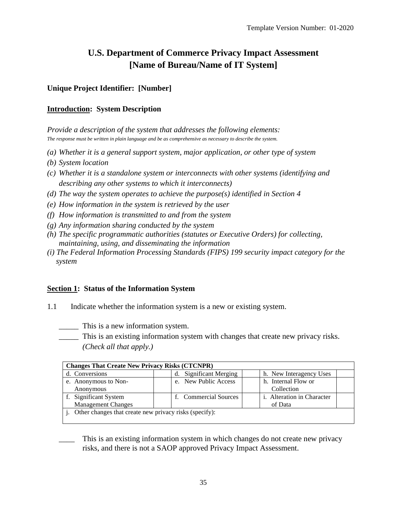## **U.S. Department of Commerce Privacy Impact Assessment [Name of Bureau/Name of IT System]**

#### **Unique Project Identifier: [Number]**

#### **Introduction: System Description**

*Provide a description of the system that addresses the following elements: The response must be written in plain language and be as comprehensive as necessary to describe the system.*

- *(a) Whether it is a general support system, major application, or other type of system*
- *(b) System location*
- *(c) Whether it is a standalone system or interconnects with other systems (identifying and describing any other systems to which it interconnects)*
- *(d) The way the system operates to achieve the purpose(s) identified in Section 4*
- *(e) How information in the system is retrieved by the user*
- *(f) How information is transmitted to and from the system*
- *(g) Any information sharing conducted by the system*
- *(h) The specific programmatic authorities (statutes or Executive Orders) for collecting, maintaining, using, and disseminating the information*
- *(i) The Federal Information Processing Standards (FIPS) 199 security impact category for the system*

#### **Section 1: Status of the Information System**

- 1.1 Indicate whether the information system is a new or existing system.
	- \_\_\_\_\_ This is a new information system.
	- \_\_\_\_\_ This is an existing information system with changes that create new privacy risks. *(Check all that apply.)*

| <b>Changes That Create New Privacy Risks (CTCNPR)</b>  |                        |                                   |  |
|--------------------------------------------------------|------------------------|-----------------------------------|--|
| d. Conversions                                         | d. Significant Merging | h. New Interagency Uses           |  |
| e. Anonymous to Non-                                   | e. New Public Access   | h. Internal Flow or               |  |
| Anonymous                                              |                        | Collection                        |  |
| f. Significant System                                  | f. Commercial Sources  | <i>i.</i> Alteration in Character |  |
| <b>Management Changes</b>                              |                        | of Data                           |  |
| Other changes that create new privacy risks (specify): |                        |                                   |  |
|                                                        |                        |                                   |  |

This is an existing information system in which changes do not create new privacy risks, and there is not a SAOP approved Privacy Impact Assessment.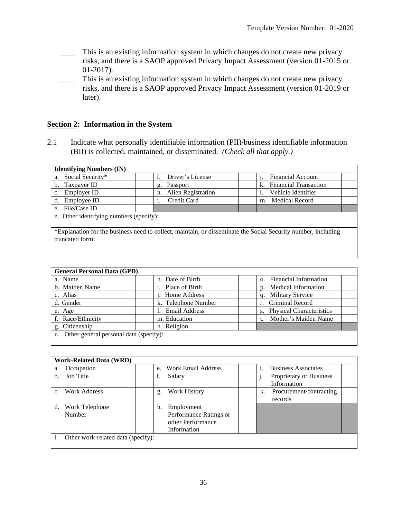- This is an existing information system in which changes do not create new privacy risks, and there is a SAOP approved Privacy Impact Assessment (version 01-2015 or 01-2017).
- This is an existing information system in which changes do not create new privacy risks, and there is a SAOP approved Privacy Impact Assessment (version 01-2019 or later).

#### **Section 2: Information in the System**

2.1 Indicate what personally identifiable information (PII)/business identifiable information (BII) is collected, maintained, or disseminated. *(Check all that apply.)*

| <b>Identifying Numbers (IN)</b>                                                                               |                          |                                                |  |
|---------------------------------------------------------------------------------------------------------------|--------------------------|------------------------------------------------|--|
| Social Security*<br>a.                                                                                        | f.<br>Driver's License   | <b>Financial Account</b>                       |  |
| Taxpayer ID<br>b.                                                                                             | Passport<br>g.           | <b>Financial Transaction</b><br>$\mathbf{k}$ . |  |
| Employer ID<br>$\mathbf{c}$ .                                                                                 | Alien Registration<br>h. | Vehicle Identifier                             |  |
| Employee ID<br>d.                                                                                             | Credit Card<br>1.        | <b>Medical Record</b><br>m.                    |  |
| e. File/Case ID                                                                                               |                          |                                                |  |
| n. Other identifying numbers (specify):                                                                       |                          |                                                |  |
|                                                                                                               |                          |                                                |  |
| *Explanation for the business need to collect, maintain, or disseminate the Social Security number, including |                          |                                                |  |
| truncated form:                                                                                               |                          |                                                |  |
|                                                                                                               |                          |                                                |  |
|                                                                                                               |                          |                                                |  |
|                                                                                                               |                          |                                                |  |
|                                                                                                               |                          |                                                |  |

| <b>General Personal Data (GPD)</b>        |                      |                             |
|-------------------------------------------|----------------------|-----------------------------|
| a. Name                                   | h. Date of Birth     | o. Financial Information    |
| b. Maiden Name                            | Place of Birth       | p. Medical Information      |
| c. Alias                                  | . Home Address       | <b>Military Service</b>     |
| d. Gender                                 | k. Telephone Number  | r. Criminal Record          |
| e. Age                                    | <b>Email Address</b> | s. Physical Characteristics |
| f. Race/Ethnicity                         | m. Education         | Mother's Maiden Name        |
| g. Citizenship                            | n. Religion          |                             |
| u. Other general personal data (specify): |                      |                             |
|                                           |                      |                             |

| <b>Work-Related Data (WRD)</b>     |                                                                                |                                          |
|------------------------------------|--------------------------------------------------------------------------------|------------------------------------------|
| Occupation<br>a.                   | <b>Work Email Address</b><br>e.                                                | <b>Business Associates</b>               |
| Job Title<br>b.                    | Salary<br>f.                                                                   | Proprietary or Business<br>Information   |
| Work Address                       | Work History<br>g.                                                             | Procurement/contracting<br>k.<br>records |
| d.<br>Work Telephone<br>Number     | Employment<br>h.<br>Performance Ratings or<br>other Performance<br>Information |                                          |
| Other work-related data (specify): |                                                                                |                                          |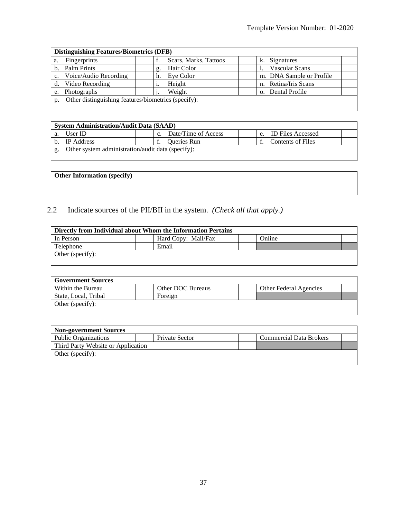| <b>Distinguishing Features/Biometrics (DFB)</b>     |                       |                          |
|-----------------------------------------------------|-----------------------|--------------------------|
| <b>Fingerprints</b><br>a.                           | Scars, Marks, Tattoos | Signatures<br>K.         |
| Palm Prints<br>b.                                   | Hair Color<br>g.      | <b>Vascular Scans</b>    |
| Voice/Audio Recording<br>$c_{\cdot}$                | Eye Color<br>h.       | m. DNA Sample or Profile |
| Video Recording                                     | Height                | n. Retina/Iris Scans     |
| Photographs<br>e.                                   | Weight                | o. Dental Profile        |
| Other distinguishing features/biometrics (specify): |                       |                          |

| <b>System Administration/Audit Data (SAAD)</b>    |  |                     |  |    |                          |  |
|---------------------------------------------------|--|---------------------|--|----|--------------------------|--|
| User ID                                           |  | Date/Time of Access |  | e. | <b>ID Files Accessed</b> |  |
| <b>IP</b> Address                                 |  | <b>Oueries Run</b>  |  |    | <b>Contents of Files</b> |  |
| Other system administration/audit data (specify): |  |                     |  |    |                          |  |

#### 2.2 Indicate sources of the PII/BII in the system. *(Check all that apply.)*

| Directly from Individual about Whom the Information Pertains |                     |        |
|--------------------------------------------------------------|---------------------|--------|
| In Person                                                    | Hard Copy: Mail/Fax | Online |
| Telephone                                                    | Email               |        |
| Other (specify):                                             |                     |        |

| <b>Government Sources</b> |                   |                               |
|---------------------------|-------------------|-------------------------------|
| Within the Bureau         | Other DOC Bureaus | <b>Other Federal Agencies</b> |
| State, Local, Tribal      | Foreign           |                               |
| Other (specify):          |                   |                               |
|                           |                   |                               |

| <b>Non-government Sources</b>      |                |                                |  |
|------------------------------------|----------------|--------------------------------|--|
| <b>Public Organizations</b>        | Private Sector | <b>Commercial Data Brokers</b> |  |
| Third Party Website or Application |                |                                |  |
| Other (specify):                   |                |                                |  |
|                                    |                |                                |  |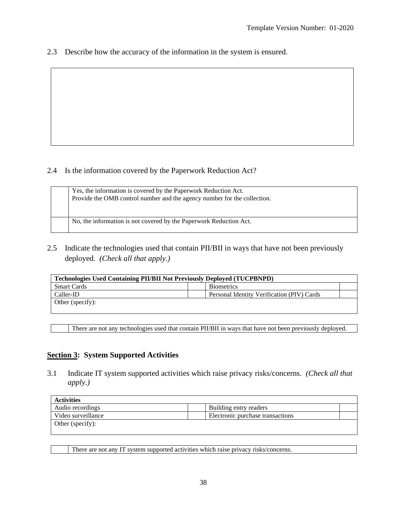2.3 Describe how the accuracy of the information in the system is ensured.

#### 2.4 Is the information covered by the Paperwork Reduction Act?

| Yes, the information is covered by the Paperwork Reduction Act.<br>Provide the OMB control number and the agency number for the collection. |
|---------------------------------------------------------------------------------------------------------------------------------------------|
| No, the information is not covered by the Paperwork Reduction Act.                                                                          |

2.5 Indicate the technologies used that contain PII/BII in ways that have not been previously deployed. *(Check all that apply.)*

| <b>Technologies Used Containing PII/BII Not Previously Deployed (TUCPBNPD)</b> |  |                                            |  |
|--------------------------------------------------------------------------------|--|--------------------------------------------|--|
| <b>Smart Cards</b>                                                             |  | <b>Biometrics</b>                          |  |
| Caller-ID                                                                      |  | Personal Identity Verification (PIV) Cards |  |
| Other (specify):                                                               |  |                                            |  |

There are not any technologies used that contain PII/BII in ways that have not been previously deployed.

#### **Section 3: System Supported Activities**

3.1 Indicate IT system supported activities which raise privacy risks/concerns. *(Check all that apply.)*

| <b>Activities</b>  |                                  |
|--------------------|----------------------------------|
| Audio recordings   | Building entry readers           |
| Video surveillance | Electronic purchase transactions |
| Other (specify):   |                                  |
|                    |                                  |

There are not any IT system supported activities which raise privacy risks/concerns.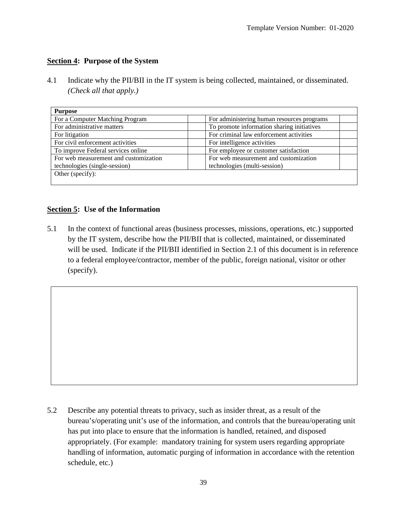#### **Section 4: Purpose of the System**

4.1 Indicate why the PII/BII in the IT system is being collected, maintained, or disseminated. *(Check all that apply.)*

| For administering human resources programs |
|--------------------------------------------|
| To promote information sharing initiatives |
| For criminal law enforcement activities    |
| For intelligence activities                |
| For employee or customer satisfaction      |
| For web measurement and customization      |
| technologies (multi-session)               |
|                                            |
|                                            |

#### **Section 5: Use of the Information**

5.1 In the context of functional areas (business processes, missions, operations, etc.) supported by the IT system, describe how the PII/BII that is collected, maintained, or disseminated will be used. Indicate if the PII/BII identified in Section 2.1 of this document is in reference to a federal employee/contractor, member of the public, foreign national, visitor or other (specify).

5.2 Describe any potential threats to privacy, such as insider threat, as a result of the bureau's/operating unit's use of the information, and controls that the bureau/operating unit has put into place to ensure that the information is handled, retained, and disposed appropriately. (For example: mandatory training for system users regarding appropriate handling of information, automatic purging of information in accordance with the retention schedule, etc.)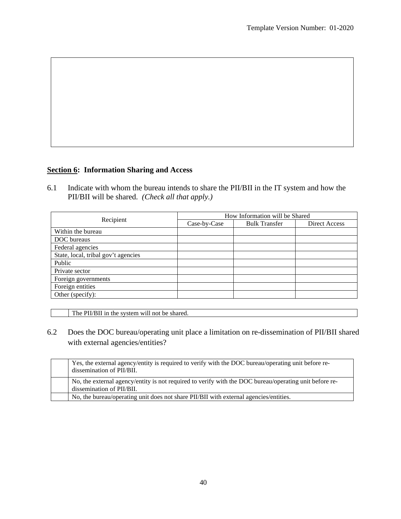#### **Section 6: Information Sharing and Access**

6.1 Indicate with whom the bureau intends to share the PII/BII in the IT system and how the PII/BII will be shared. *(Check all that apply.)*

|                                     | How Information will be Shared |                      |               |
|-------------------------------------|--------------------------------|----------------------|---------------|
| Recipient                           | Case-by-Case                   | <b>Bulk Transfer</b> | Direct Access |
| Within the bureau                   |                                |                      |               |
| DOC bureaus                         |                                |                      |               |
| Federal agencies                    |                                |                      |               |
| State, local, tribal gov't agencies |                                |                      |               |
| Public                              |                                |                      |               |
| Private sector                      |                                |                      |               |
| Foreign governments                 |                                |                      |               |
| Foreign entities                    |                                |                      |               |
| Other (specify):                    |                                |                      |               |

The PII/BII in the system will not be shared.

6.2 Does the DOC bureau/operating unit place a limitation on re-dissemination of PII/BII shared with external agencies/entities?

| Yes, the external agency/entity is required to verify with the DOC bureau/operating unit before re-<br>dissemination of PII/BII.    |
|-------------------------------------------------------------------------------------------------------------------------------------|
| No, the external agency/entity is not required to verify with the DOC bureau/operating unit before re-<br>dissemination of PII/BII. |
| No, the bureau/operating unit does not share PII/BII with external agencies/entities.                                               |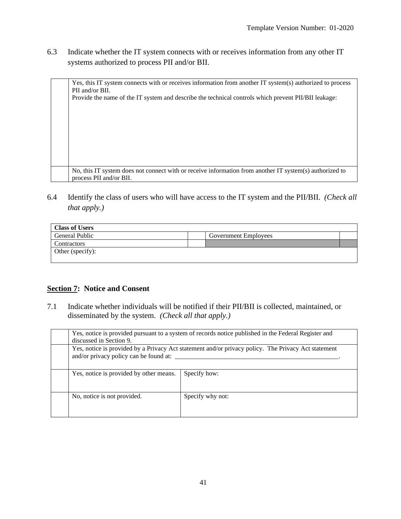6.3 Indicate whether the IT system connects with or receives information from any other IT systems authorized to process PII and/or BII.

| Yes, this IT system connects with or receives information from another IT system(s) authorized to process |
|-----------------------------------------------------------------------------------------------------------|
| PII and/or BII.                                                                                           |
| Provide the name of the IT system and describe the technical controls which prevent PII/BII leakage:      |
|                                                                                                           |
|                                                                                                           |
|                                                                                                           |
|                                                                                                           |
|                                                                                                           |
|                                                                                                           |
|                                                                                                           |
|                                                                                                           |
| No, this IT system does not connect with or receive information from another IT system(s) authorized to   |
| process PII and/or BII.                                                                                   |

6.4 Identify the class of users who will have access to the IT system and the PII/BII. *(Check all that apply.)*

| <b>Class of Users</b> |                             |  |
|-----------------------|-----------------------------|--|
| <b>General Public</b> | <b>Government Employees</b> |  |
| Contractors           |                             |  |
| Other (specify):      |                             |  |

#### **Section 7: Notice and Consent**

7.1 Indicate whether individuals will be notified if their PII/BII is collected, maintained, or disseminated by the system. *(Check all that apply.)*

| discussed in Section 9.                 | Yes, notice is provided pursuant to a system of records notice published in the Federal Register and |
|-----------------------------------------|------------------------------------------------------------------------------------------------------|
| and/or privacy policy can be found at:  | Yes, notice is provided by a Privacy Act statement and/or privacy policy. The Privacy Act statement  |
| Yes, notice is provided by other means. | Specify how:                                                                                         |
| No, notice is not provided.             | Specify why not:                                                                                     |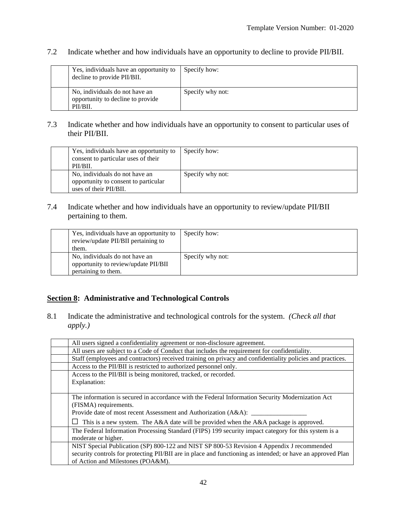#### 7.2 Indicate whether and how individuals have an opportunity to decline to provide PII/BII.

| Yes, individuals have an opportunity to<br>decline to provide PII/BII.          | Specify how:     |
|---------------------------------------------------------------------------------|------------------|
| No, individuals do not have an<br>opportunity to decline to provide<br>PII/BII. | Specify why not: |

#### 7.3 Indicate whether and how individuals have an opportunity to consent to particular uses of their PII/BII.

| Yes, individuals have an opportunity to<br>consent to particular uses of their<br>PII/BII. | Specify how:     |
|--------------------------------------------------------------------------------------------|------------------|
| No, individuals do not have an                                                             | Specify why not: |
| opportunity to consent to particular                                                       |                  |
| uses of their PII/BII.                                                                     |                  |

#### 7.4 Indicate whether and how individuals have an opportunity to review/update PII/BII pertaining to them.

| Yes, individuals have an opportunity to<br>review/update PII/BII pertaining to | Specify how:     |
|--------------------------------------------------------------------------------|------------------|
| them.                                                                          |                  |
| No, individuals do not have an                                                 | Specify why not: |
| opportunity to review/update PII/BII                                           |                  |
| pertaining to them.                                                            |                  |

#### **Section 8: Administrative and Technological Controls**

8.1 Indicate the administrative and technological controls for the system. *(Check all that apply.)*

| All users signed a confidentiality agreement or non-disclosure agreement.                                   |
|-------------------------------------------------------------------------------------------------------------|
| All users are subject to a Code of Conduct that includes the requirement for confidentiality.               |
| Staff (employees and contractors) received training on privacy and confidentiality policies and practices.  |
| Access to the PII/BII is restricted to authorized personnel only.                                           |
| Access to the PII/BII is being monitored, tracked, or recorded.                                             |
| Explanation:                                                                                                |
|                                                                                                             |
| The information is secured in accordance with the Federal Information Security Modernization Act            |
| (FISMA) requirements.                                                                                       |
| Provide date of most recent Assessment and Authorization (A&A): _                                           |
| This is a new system. The A&A date will be provided when the A&A package is approved.<br>ப                  |
| The Federal Information Processing Standard (FIPS) 199 security impact category for this system is a        |
| moderate or higher.                                                                                         |
| NIST Special Publication (SP) 800-122 and NIST SP 800-53 Revision 4 Appendix J recommended                  |
| security controls for protecting PII/BII are in place and functioning as intended; or have an approved Plan |
| of Action and Milestones (POA&M).                                                                           |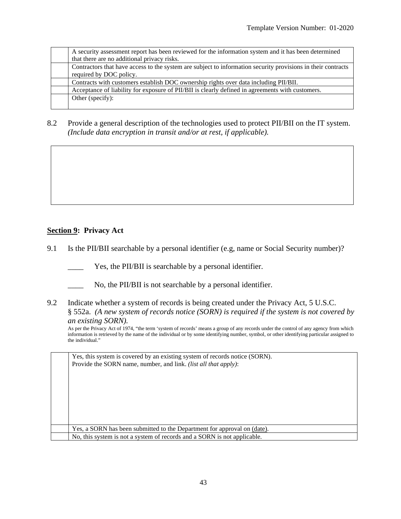|  | A security assessment report has been reviewed for the information system and it has been determined                                    |
|--|-----------------------------------------------------------------------------------------------------------------------------------------|
|  | that there are no additional privacy risks.                                                                                             |
|  | Contractors that have access to the system are subject to information security provisions in their contracts<br>required by DOC policy. |
|  | Contracts with customers establish DOC ownership rights over data including PII/BII.                                                    |
|  | Acceptance of liability for exposure of PII/BII is clearly defined in agreements with customers.                                        |
|  | Other (specify):                                                                                                                        |

8.2 Provide a general description of the technologies used to protect PII/BII on the IT system. *(Include data encryption in transit and/or at rest, if applicable).*

#### **Section 9: Privacy Act**

- 9.1 Is the PII/BII searchable by a personal identifier (e.g, name or Social Security number)?
	- Yes, the PII/BII is searchable by a personal identifier.
	- No, the PII/BII is not searchable by a personal identifier.
- 9.2 Indicate whether a system of records is being created under the Privacy Act, 5 U.S.C. § 552a. *(A new system of records notice (SORN) is required if the system is not covered by an existing SORN).*

As per the Privacy Act of 1974, "the term 'system of records' means a group of any records under the control of any agency from which information is retrieved by the name of the individual or by some identifying number, symbol, or other identifying particular assigned to the individual."

| Yes, this system is covered by an existing system of records notice (SORN). |
|-----------------------------------------------------------------------------|
| Provide the SORN name, number, and link. <i>(list all that apply)</i> :     |
|                                                                             |
|                                                                             |
|                                                                             |
|                                                                             |
|                                                                             |
|                                                                             |
|                                                                             |
| Yes, a SORN has been submitted to the Department for approval on (date).    |
|                                                                             |
| No, this system is not a system of records and a SORN is not applicable.    |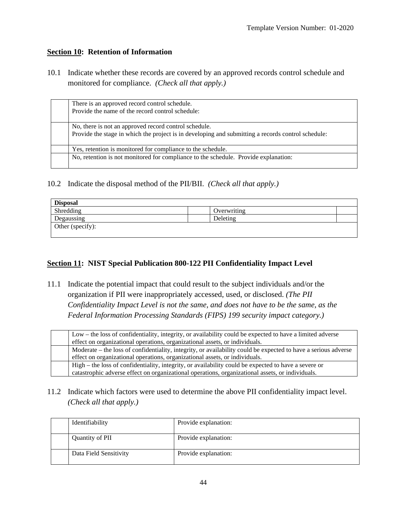#### **Section 10: Retention of Information**

10.1 Indicate whether these records are covered by an approved records control schedule and monitored for compliance. *(Check all that apply.)*

| There is an approved record control schedule.<br>Provide the name of the record control schedule:                                                           |
|-------------------------------------------------------------------------------------------------------------------------------------------------------------|
| No, there is not an approved record control schedule.<br>Provide the stage in which the project is in developing and submitting a records control schedule: |
| Yes, retention is monitored for compliance to the schedule.                                                                                                 |
| No, retention is not monitored for compliance to the schedule. Provide explanation:                                                                         |

10.2 Indicate the disposal method of the PII/BII. *(Check all that apply.)*

| <b>Disposal</b>  |             |  |
|------------------|-------------|--|
| Shredding        | Overwriting |  |
| Degaussing       | Deleting    |  |
| Other (specify): |             |  |

#### **Section 11: NIST Special Publication 800-122 PII Confidentiality Impact Level**

11.1 Indicate the potential impact that could result to the subject individuals and/or the organization if PII were inappropriately accessed, used, or disclosed. *(The PII Confidentiality Impact Level is not the same, and does not have to be the same, as the Federal Information Processing Standards (FIPS) 199 security impact category.)*

|  | Low – the loss of confidentiality, integrity, or availability could be expected to have a limited adverse      |  |
|--|----------------------------------------------------------------------------------------------------------------|--|
|  | effect on organizational operations, organizational assets, or individuals.                                    |  |
|  | Moderate – the loss of confidentiality, integrity, or availability could be expected to have a serious adverse |  |
|  | effect on organizational operations, organizational assets, or individuals.                                    |  |
|  | High – the loss of confidentiality, integrity, or availability could be expected to have a severe or           |  |
|  | catastrophic adverse effect on organizational operations, organizational assets, or individuals.               |  |

11.2 Indicate which factors were used to determine the above PII confidentiality impact level. *(Check all that apply.)*

| Identifiability        | Provide explanation: |
|------------------------|----------------------|
| Quantity of PII        | Provide explanation: |
| Data Field Sensitivity | Provide explanation: |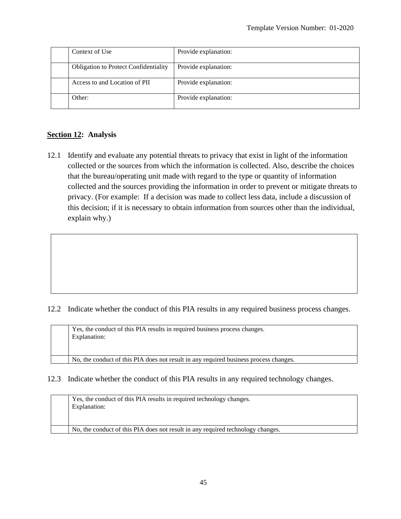| Context of Use                               | Provide explanation: |
|----------------------------------------------|----------------------|
| <b>Obligation to Protect Confidentiality</b> | Provide explanation: |
| Access to and Location of PII                | Provide explanation: |
| Other:                                       | Provide explanation: |

#### **Section 12: Analysis**

12.1 Identify and evaluate any potential threats to privacy that exist in light of the information collected or the sources from which the information is collected. Also, describe the choices that the bureau/operating unit made with regard to the type or quantity of information collected and the sources providing the information in order to prevent or mitigate threats to privacy. (For example: If a decision was made to collect less data, include a discussion of this decision; if it is necessary to obtain information from sources other than the individual, explain why.)

#### 12.2 Indicate whether the conduct of this PIA results in any required business process changes.

| Yes, the conduct of this PIA results in required business process changes.<br>Explanation: |
|--------------------------------------------------------------------------------------------|
| No, the conduct of this PIA does not result in any required business process changes.      |

#### 12.3 Indicate whether the conduct of this PIA results in any required technology changes.

|  | Yes, the conduct of this PIA results in required technology changes.<br>Explanation: |
|--|--------------------------------------------------------------------------------------|
|  | No, the conduct of this PIA does not result in any required technology changes.      |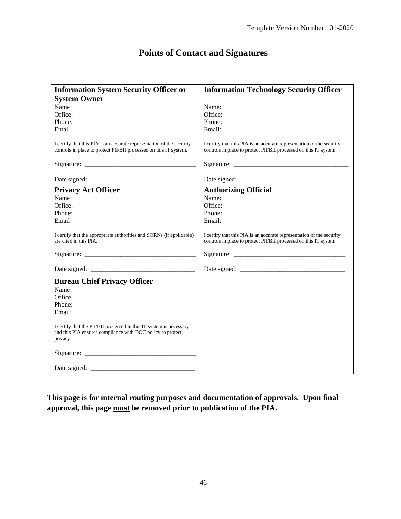## **Points of Contact and Signatures**

| <b>Information System Security Officer or</b>                                                                                                 | <b>Information Technology Security Officer</b>                                                                                             |
|-----------------------------------------------------------------------------------------------------------------------------------------------|--------------------------------------------------------------------------------------------------------------------------------------------|
| <b>System Owner</b>                                                                                                                           |                                                                                                                                            |
| Name:                                                                                                                                         | Name:                                                                                                                                      |
| Office:                                                                                                                                       | Office:                                                                                                                                    |
| Phone:                                                                                                                                        | Phone:                                                                                                                                     |
| Email:                                                                                                                                        | Email:                                                                                                                                     |
| I certify that this PIA is an accurate representation of the security<br>controls in place to protect PII/BII processed on this IT system.    | I certify that this PIA is an accurate representation of the security<br>controls in place to protect PII/BII processed on this IT system. |
|                                                                                                                                               |                                                                                                                                            |
|                                                                                                                                               |                                                                                                                                            |
| <b>Privacy Act Officer</b>                                                                                                                    | <b>Authorizing Official</b>                                                                                                                |
| Name:                                                                                                                                         | Name:                                                                                                                                      |
| Office:                                                                                                                                       | Office:                                                                                                                                    |
| Phone:                                                                                                                                        | Phone:                                                                                                                                     |
| Email:                                                                                                                                        | Email:                                                                                                                                     |
| I certify that the appropriate authorities and SORNs (if applicable)<br>are cited in this PIA.                                                | I certify that this PIA is an accurate representation of the security<br>controls in place to protect PII/BII processed on this IT system. |
|                                                                                                                                               |                                                                                                                                            |
|                                                                                                                                               |                                                                                                                                            |
| <b>Bureau Chief Privacy Officer</b>                                                                                                           |                                                                                                                                            |
| Name:                                                                                                                                         |                                                                                                                                            |
| Office:                                                                                                                                       |                                                                                                                                            |
| Phone:                                                                                                                                        |                                                                                                                                            |
| Email:                                                                                                                                        |                                                                                                                                            |
| I certify that the PII/BII processed in this IT system is necessary<br>and this PIA ensures compliance with DOC policy to protect<br>privacy. |                                                                                                                                            |
|                                                                                                                                               |                                                                                                                                            |
|                                                                                                                                               |                                                                                                                                            |

**This page is for internal routing purposes and documentation of approvals. Upon final approval, this page must be removed prior to publication of the PIA.**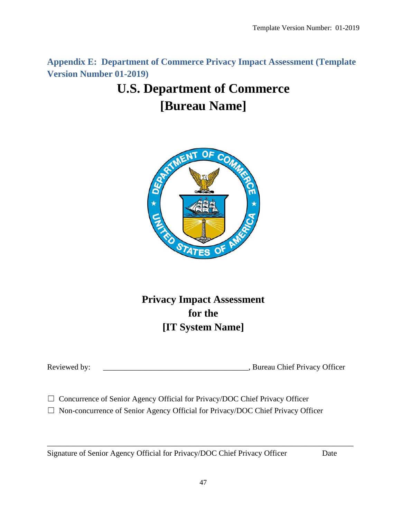<span id="page-46-0"></span>**Appendix E: Department of Commerce Privacy Impact Assessment (Template Version Number 01-2019)**

## **U.S. Department of Commerce [Bureau Name]**



## **Privacy Impact Assessment for the [IT System Name]**

Reviewed by: \_\_\_\_\_\_\_\_\_\_\_\_\_\_\_\_\_\_\_\_\_\_\_\_\_\_\_\_\_\_\_\_\_\_\_\_\_, Bureau Chief Privacy Officer

□ Concurrence of Senior Agency Official for Privacy/DOC Chief Privacy Officer

☐ Non-concurrence of Senior Agency Official for Privacy/DOC Chief Privacy Officer

Signature of Senior Agency Official for Privacy/DOC Chief Privacy Officer Date

\_\_\_\_\_\_\_\_\_\_\_\_\_\_\_\_\_\_\_\_\_\_\_\_\_\_\_\_\_\_\_\_\_\_\_\_\_\_\_\_\_\_\_\_\_\_\_\_\_\_\_\_\_\_\_\_\_\_\_\_\_\_\_\_\_\_\_\_\_\_\_\_\_\_\_\_\_\_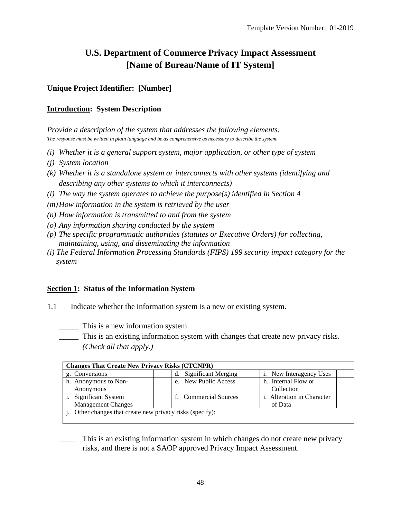## **U.S. Department of Commerce Privacy Impact Assessment [Name of Bureau/Name of IT System]**

#### **Unique Project Identifier: [Number]**

#### **Introduction: System Description**

*Provide a description of the system that addresses the following elements: The response must be written in plain language and be as comprehensive as necessary to describe the system.*

- *(i) Whether it is a general support system, major application, or other type of system*
- *(j) System location*
- *(k) Whether it is a standalone system or interconnects with other systems (identifying and describing any other systems to which it interconnects)*
- *(l) The way the system operates to achieve the purpose(s) identified in Section 4*
- *(m)How information in the system is retrieved by the user*
- *(n) How information is transmitted to and from the system*
- *(o) Any information sharing conducted by the system*
- *(p) The specific programmatic authorities (statutes or Executive Orders) for collecting, maintaining, using, and disseminating the information*
- *(i) The Federal Information Processing Standards (FIPS) 199 security impact category for the system*

#### **Section 1: Status of the Information System**

- 1.1 Indicate whether the information system is a new or existing system.
	- \_\_\_\_\_ This is a new information system.
	- \_\_\_\_\_ This is an existing information system with changes that create new privacy risks. *(Check all that apply.)*

| <b>Changes That Create New Privacy Risks (CTCNPR)</b>  |                        |                                   |
|--------------------------------------------------------|------------------------|-----------------------------------|
| g. Conversions                                         | d. Significant Merging | i. New Interagency Uses           |
| h. Anonymous to Non-                                   | e. New Public Access   | h. Internal Flow or               |
| Anonymous                                              |                        | Collection                        |
| Significant System                                     | f. Commercial Sources  | <i>i.</i> Alteration in Character |
| <b>Management Changes</b>                              |                        | of Data                           |
| Other changes that create new privacy risks (specify): |                        |                                   |
|                                                        |                        |                                   |

This is an existing information system in which changes do not create new privacy risks, and there is not a SAOP approved Privacy Impact Assessment.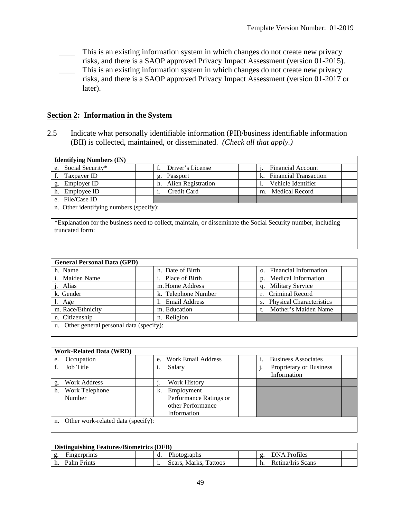- \_\_\_\_ This is an existing information system in which changes do not create new privacy
- risks, and there is a SAOP approved Privacy Impact Assessment (version 01-2015). This is an existing information system in which changes do not create new privacy risks, and there is a SAOP approved Privacy Impact Assessment (version 01-2017 or later).

#### **Section 2: Information in the System**

2.5 Indicate what personally identifiable information (PII)/business identifiable information (BII) is collected, maintained, or disseminated. *(Check all that apply.)*

| <b>Identifying Numbers (IN)</b>                                                                                                  |                                 |                                    |
|----------------------------------------------------------------------------------------------------------------------------------|---------------------------------|------------------------------------|
| Social Security*<br>e.                                                                                                           | Driver's License<br>f.          | <b>Financial Account</b>           |
| Taxpayer ID                                                                                                                      | Passport<br>g.                  | <b>Financial Transaction</b><br>k. |
| Employer ID<br>g.                                                                                                                | <b>Alien Registration</b><br>h. | Vehicle Identifier                 |
| Employee ID<br>h.                                                                                                                | Credit Card                     | m. Medical Record                  |
| File/Case ID<br>e.                                                                                                               |                                 |                                    |
| n. Other identifying numbers (specify):                                                                                          |                                 |                                    |
| *Explanation for the business need to collect, maintain, or disseminate the Social Security number, including<br>truncated form: |                                 |                                    |
|                                                                                                                                  |                                 |                                    |

| <b>General Personal Data (GPD)</b>        |                      |                             |
|-------------------------------------------|----------------------|-----------------------------|
| h. Name                                   | h. Date of Birth     | o. Financial Information    |
| i. Maiden Name                            | Place of Birth<br>i. | p. Medical Information      |
| . Alias                                   | m. Home Address      | q. Military Service         |
| k. Gender                                 | k. Telephone Number  | r. Criminal Record          |
| l. Age                                    | <b>Email Address</b> | s. Physical Characteristics |
| m. Race/Ethnicity                         | m. Education         | Mother's Maiden Name        |
| n. Citizenship                            | n. Religion          |                             |
| u. Other general personal data (specify): |                      |                             |
|                                           |                      |                             |

| <b>Work-Related Data (WRD)</b>        |                                                               |  |
|---------------------------------------|---------------------------------------------------------------|--|
| Occupation<br>e.                      | <b>Work Email Address</b><br><b>Business Associates</b><br>e. |  |
| Job Title                             | Proprietary or Business<br>Salary<br>Information              |  |
| Work Address                          | Work History                                                  |  |
| Work Telephone<br>h.                  | Employment<br>k.                                              |  |
| Number                                | Performance Ratings or                                        |  |
|                                       | other Performance                                             |  |
|                                       | Information                                                   |  |
| n. Other work-related data (specify): |                                                               |  |

| <b>Distinguishing Features/Biometrics (DFB)</b> |                       |                     |
|-------------------------------------------------|-----------------------|---------------------|
| <b>Fingerprints</b>                             | <b>Photographs</b>    | <b>DNA</b> Profiles |
| Palm Prints                                     | Scars, Marks, Tattoos | Retina/Iris Scans   |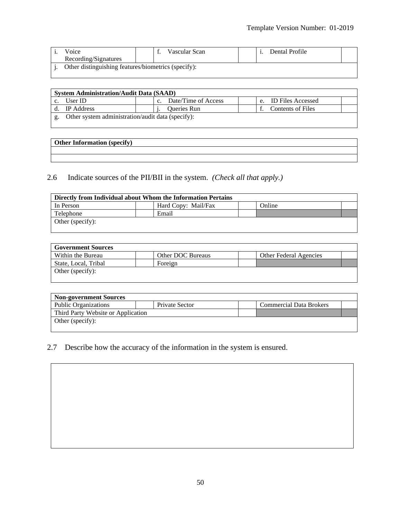| Voice                                               |  | Vascular Scan |  |  | Dental Profile |  |
|-----------------------------------------------------|--|---------------|--|--|----------------|--|
| Recording/Signatures                                |  |               |  |  |                |  |
| Other distinguishing features/biometrics (specify): |  |               |  |  |                |  |

| <b>System Administration/Audit Data (SAAD)</b>    |                     |  |                      |  |  |
|---------------------------------------------------|---------------------|--|----------------------|--|--|
| User ID                                           | Date/Time of Access |  | e. ID Files Accessed |  |  |
| IP Address                                        | <b>Oueries Run</b>  |  | Contents of Files    |  |  |
| Other system administration/audit data (specify): |                     |  |                      |  |  |

| <b>Other Information (specify)</b> |  |  |
|------------------------------------|--|--|
|                                    |  |  |
|                                    |  |  |

#### 2.6 Indicate sources of the PII/BII in the system. *(Check all that apply.)*

<u> 1980 - Johann Stoff, deutscher Stoff, der Stoff, der Stoff, der Stoff, der Stoff, der Stoff, der Stoff, der S</u>

| Directly from Individual about Whom the Information Pertains |  |  |  |  |  |  |
|--------------------------------------------------------------|--|--|--|--|--|--|
| Online<br>Hard Copy: Mail/Fax<br>In Person                   |  |  |  |  |  |  |
| Telephone<br>Email                                           |  |  |  |  |  |  |
| Other (specify):                                             |  |  |  |  |  |  |

| <b>Government Sources</b> |                   |                               |  |  |  |
|---------------------------|-------------------|-------------------------------|--|--|--|
| Within the Bureau         | Other DOC Bureaus | <b>Other Federal Agencies</b> |  |  |  |
| State, Local, Tribal      | Foreign           |                               |  |  |  |
| Other (specify):          |                   |                               |  |  |  |
|                           |                   |                               |  |  |  |

| <b>Non-government Sources</b>      |                |                                |  |  |  |  |
|------------------------------------|----------------|--------------------------------|--|--|--|--|
| <b>Public Organizations</b>        | Private Sector | <b>Commercial Data Brokers</b> |  |  |  |  |
| Third Party Website or Application |                |                                |  |  |  |  |
| Other (specify):                   |                |                                |  |  |  |  |
|                                    |                |                                |  |  |  |  |

#### 2.7 Describe how the accuracy of the information in the system is ensured.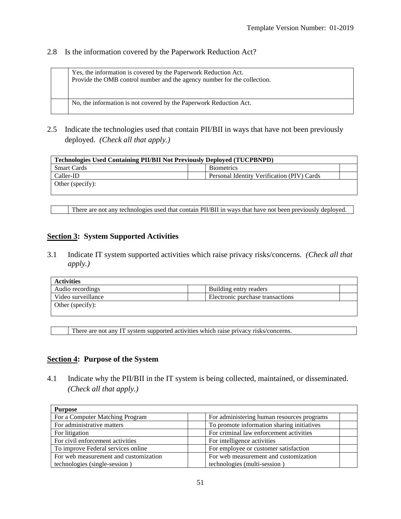#### 2.8 Is the information covered by the Paperwork Reduction Act?

Yes, the information is covered by the Paperwork Reduction Act. Provide the OMB control number and the agency number for the collection.

No, the information is not covered by the Paperwork Reduction Act.

2.5 Indicate the technologies used that contain PII/BII in ways that have not been previously deployed. *(Check all that apply.)*

| <b>Technologies Used Containing PII/BII Not Previously Deployed (TUCPBNPD)</b> |                                            |  |  |  |
|--------------------------------------------------------------------------------|--------------------------------------------|--|--|--|
| <b>Smart Cards</b>                                                             | <b>Biometrics</b>                          |  |  |  |
| Caller-ID                                                                      | Personal Identity Verification (PIV) Cards |  |  |  |
| Other (specify):                                                               |                                            |  |  |  |

There are not any technologies used that contain PII/BII in ways that have not been previously deployed.

#### **Section 3: System Supported Activities**

3.1 Indicate IT system supported activities which raise privacy risks/concerns. *(Check all that apply.)*

| Activities         |                                  |  |
|--------------------|----------------------------------|--|
| Audio recordings   | Building entry readers           |  |
| Video surveillance | Electronic purchase transactions |  |
| Other (specify):   |                                  |  |

There are not any IT system supported activities which raise privacy risks/concerns.

#### **Section 4: Purpose of the System**

4.1 Indicate why the PII/BII in the IT system is being collected, maintained, or disseminated. *(Check all that apply.)*

| <b>Purpose</b>                        |                                            |
|---------------------------------------|--------------------------------------------|
| For a Computer Matching Program       | For administering human resources programs |
| For administrative matters            | To promote information sharing initiatives |
| For litigation                        | For criminal law enforcement activities    |
| For civil enforcement activities      | For intelligence activities                |
| To improve Federal services online    | For employee or customer satisfaction      |
| For web measurement and customization | For web measurement and customization      |
| technologies (single-session)         | technologies (multi-session)               |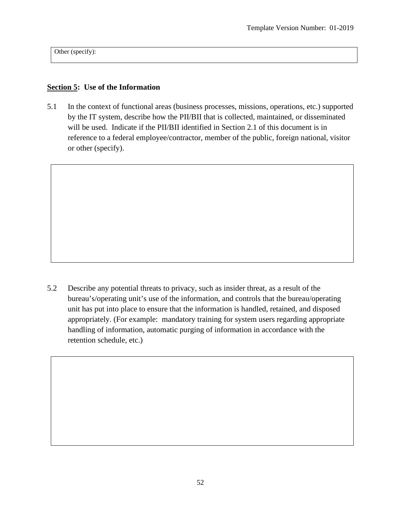Other (specify):

#### **Section 5: Use of the Information**

5.1 In the context of functional areas (business processes, missions, operations, etc.) supported by the IT system, describe how the PII/BII that is collected, maintained, or disseminated will be used. Indicate if the PII/BII identified in Section 2.1 of this document is in reference to a federal employee/contractor, member of the public, foreign national, visitor or other (specify).

5.2 Describe any potential threats to privacy, such as insider threat, as a result of the bureau's/operating unit's use of the information, and controls that the bureau/operating unit has put into place to ensure that the information is handled, retained, and disposed appropriately. (For example: mandatory training for system users regarding appropriate handling of information, automatic purging of information in accordance with the retention schedule, etc.)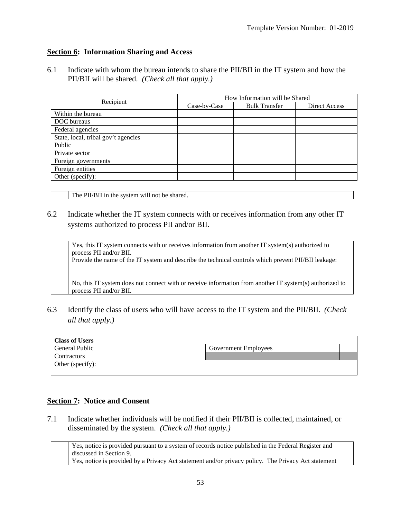#### **Section 6: Information Sharing and Access**

6.1 Indicate with whom the bureau intends to share the PII/BII in the IT system and how the PII/BII will be shared. *(Check all that apply.)*

|                                     | How Information will be Shared |                      |                      |  |  |  |
|-------------------------------------|--------------------------------|----------------------|----------------------|--|--|--|
| Recipient                           | Case-by-Case                   | <b>Bulk Transfer</b> | <b>Direct Access</b> |  |  |  |
| Within the bureau                   |                                |                      |                      |  |  |  |
| DOC bureaus                         |                                |                      |                      |  |  |  |
| Federal agencies                    |                                |                      |                      |  |  |  |
| State, local, tribal gov't agencies |                                |                      |                      |  |  |  |
| Public                              |                                |                      |                      |  |  |  |
| Private sector                      |                                |                      |                      |  |  |  |
| Foreign governments                 |                                |                      |                      |  |  |  |
| Foreign entities                    |                                |                      |                      |  |  |  |
| Other (specify):                    |                                |                      |                      |  |  |  |

The PII/BII in the system will not be shared.

#### 6.2 Indicate whether the IT system connects with or receives information from any other IT systems authorized to process PII and/or BII.

Yes, this IT system connects with or receives information from another IT system(s) authorized to process PII and/or BII. Provide the name of the IT system and describe the technical controls which prevent PII/BII leakage: No, this IT system does not connect with or receive information from another IT system(s) authorized to process PII and/or BII.

6.3 Identify the class of users who will have access to the IT system and the PII/BII. *(Check all that apply.)*

| <b>Class of Users</b> |                             |  |
|-----------------------|-----------------------------|--|
| General Public        | <b>Government Employees</b> |  |
| Contractors           |                             |  |
| Other (specify):      |                             |  |

#### **Section 7: Notice and Consent**

7.1 Indicate whether individuals will be notified if their PII/BII is collected, maintained, or disseminated by the system. *(Check all that apply.)*

| Yes, notice is provided pursuant to a system of records notice published in the Federal Register and<br>discussed in Section 9. |
|---------------------------------------------------------------------------------------------------------------------------------|
| Yes, notice is provided by a Privacy Act statement and/or privacy policy. The Privacy Act statement                             |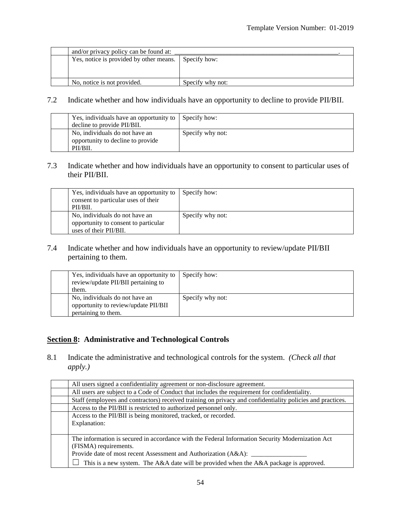|  | and/or privacy policy can be found at:  |                  |  |
|--|-----------------------------------------|------------------|--|
|  | Yes, notice is provided by other means. | Specify how:     |  |
|  |                                         |                  |  |
|  |                                         |                  |  |
|  | No, notice is not provided.             | Specify why not: |  |

#### 7.2 Indicate whether and how individuals have an opportunity to decline to provide PII/BII.

| Yes, individuals have an opportunity to                             | Specify how:     |  |
|---------------------------------------------------------------------|------------------|--|
| decline to provide PII/BII.                                         |                  |  |
| No, individuals do not have an<br>opportunity to decline to provide | Specify why not: |  |
| PII/BII.                                                            |                  |  |

#### 7.3 Indicate whether and how individuals have an opportunity to consent to particular uses of their PII/BII.

| Yes, individuals have an opportunity to<br>consent to particular uses of their<br>PII/BII.       | Specify how:     |
|--------------------------------------------------------------------------------------------------|------------------|
| No, individuals do not have an<br>opportunity to consent to particular<br>uses of their PII/BII. | Specify why not: |

#### 7.4 Indicate whether and how individuals have an opportunity to review/update PII/BII pertaining to them.

| Yes, individuals have an opportunity to<br>review/update PII/BII pertaining to<br>them.       | Specify how:     |
|-----------------------------------------------------------------------------------------------|------------------|
| No, individuals do not have an<br>opportunity to review/update PII/BII<br>pertaining to them. | Specify why not: |

#### **Section 8: Administrative and Technological Controls**

8.1 Indicate the administrative and technological controls for the system. *(Check all that apply.)*

| All users signed a confidentiality agreement or non-disclosure agreement.                                  |  |
|------------------------------------------------------------------------------------------------------------|--|
| All users are subject to a Code of Conduct that includes the requirement for confidentiality.              |  |
| Staff (employees and contractors) received training on privacy and confidentiality policies and practices. |  |
| Access to the PII/BII is restricted to authorized personnel only.                                          |  |
| Access to the PII/BII is being monitored, tracked, or recorded.                                            |  |
| Explanation:                                                                                               |  |
|                                                                                                            |  |
| The information is secured in accordance with the Federal Information Security Modernization Act           |  |
| (FISMA) requirements.                                                                                      |  |
| Provide date of most recent Assessment and Authorization (A&A): _                                          |  |
| This is a new system. The A&A date will be provided when the A&A package is approved.                      |  |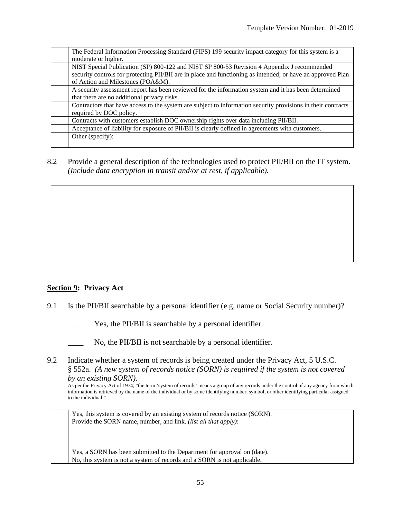| The Federal Information Processing Standard (FIPS) 199 security impact category for this system is a         |
|--------------------------------------------------------------------------------------------------------------|
| moderate or higher.                                                                                          |
| NIST Special Publication (SP) 800-122 and NIST SP 800-53 Revision 4 Appendix J recommended                   |
| security controls for protecting PII/BII are in place and functioning as intended; or have an approved Plan  |
| of Action and Milestones (POA&M).                                                                            |
| A security assessment report has been reviewed for the information system and it has been determined         |
| that there are no additional privacy risks.                                                                  |
| Contractors that have access to the system are subject to information security provisions in their contracts |
| required by DOC policy.                                                                                      |
| Contracts with customers establish DOC ownership rights over data including PII/BII.                         |
| Acceptance of liability for exposure of PII/BII is clearly defined in agreements with customers.             |
| Other (specify):                                                                                             |
|                                                                                                              |

8.2 Provide a general description of the technologies used to protect PII/BII on the IT system. *(Include data encryption in transit and/or at rest, if applicable).*

#### **Section 9: Privacy Act**

- 9.1 Is the PII/BII searchable by a personal identifier (e.g, name or Social Security number)?
	- Yes, the PII/BII is searchable by a personal identifier.
	- No, the PII/BII is not searchable by a personal identifier.
- 9.2 Indicate whether a system of records is being created under the Privacy Act, 5 U.S.C. § 552a. *(A new system of records notice (SORN) is required if the system is not covered by an existing SORN).*

As per the Privacy Act of 1974, "the term 'system of records' means a group of any records under the control of any agency from which information is retrieved by the name of the individual or by some identifying number, symbol, or other identifying particular assigned to the individual."

| Yes, this system is covered by an existing system of records notice (SORN). |
|-----------------------------------------------------------------------------|
| Provide the SORN name, number, and link. <i>(list all that apply)</i> :     |
|                                                                             |
|                                                                             |
|                                                                             |
| Yes, a SORN has been submitted to the Department for approval on (date).    |
| No, this system is not a system of records and a SORN is not applicable.    |
|                                                                             |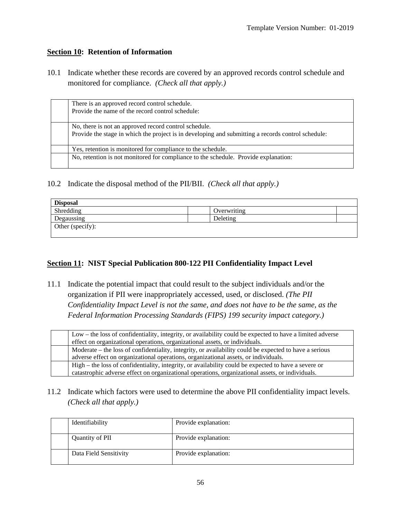#### **Section 10: Retention of Information**

10.1 Indicate whether these records are covered by an approved records control schedule and monitored for compliance. *(Check all that apply.)*

| There is an approved record control schedule.<br>Provide the name of the record control schedule:                                                           |  |
|-------------------------------------------------------------------------------------------------------------------------------------------------------------|--|
| No, there is not an approved record control schedule.<br>Provide the stage in which the project is in developing and submitting a records control schedule: |  |
| Yes, retention is monitored for compliance to the schedule.                                                                                                 |  |
| No, retention is not monitored for compliance to the schedule. Provide explanation:                                                                         |  |

10.2 Indicate the disposal method of the PII/BII. *(Check all that apply.)*

| <b>Disposal</b>  |             |  |
|------------------|-------------|--|
| Shredding        | Overwriting |  |
| Degaussing       | Deleting    |  |
| Other (specify): |             |  |

#### **Section 11: NIST Special Publication 800-122 PII Confidentiality Impact Level**

11.1 Indicate the potential impact that could result to the subject individuals and/or the organization if PII were inappropriately accessed, used, or disclosed. *(The PII Confidentiality Impact Level is not the same, and does not have to be the same, as the Federal Information Processing Standards (FIPS) 199 security impact category.)*

| Low – the loss of confidentiality, integrity, or availability could be expected to have a limited adverse |
|-----------------------------------------------------------------------------------------------------------|
| effect on organizational operations, organizational assets, or individuals.                               |
| Moderate – the loss of confidentiality, integrity, or availability could be expected to have a serious    |
| adverse effect on organizational operations, organizational assets, or individuals.                       |
| High – the loss of confidentiality, integrity, or availability could be expected to have a severe or      |
| catastrophic adverse effect on organizational operations, organizational assets, or individuals.          |

11.2 Indicate which factors were used to determine the above PII confidentiality impact levels. *(Check all that apply.)*

| Identifiability        | Provide explanation: |
|------------------------|----------------------|
| Quantity of PII        | Provide explanation: |
| Data Field Sensitivity | Provide explanation: |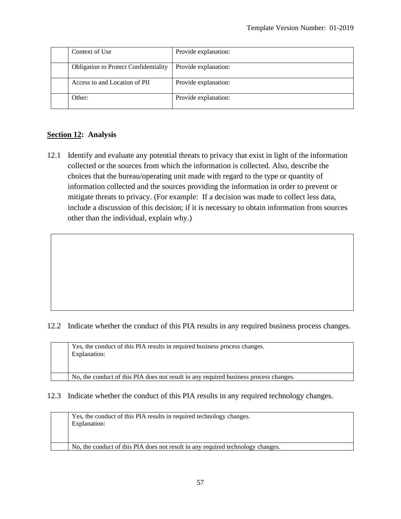| Context of Use                               | Provide explanation: |
|----------------------------------------------|----------------------|
| <b>Obligation to Protect Confidentiality</b> | Provide explanation: |
| Access to and Location of PII                | Provide explanation: |
| Other:                                       | Provide explanation: |

#### **Section 12: Analysis**

12.1 Identify and evaluate any potential threats to privacy that exist in light of the information collected or the sources from which the information is collected. Also, describe the choices that the bureau/operating unit made with regard to the type or quantity of information collected and the sources providing the information in order to prevent or mitigate threats to privacy. (For example: If a decision was made to collect less data, include a discussion of this decision; if it is necessary to obtain information from sources other than the individual, explain why.)

#### 12.2 Indicate whether the conduct of this PIA results in any required business process changes.

| Yes, the conduct of this PIA results in required business process changes.<br>Explanation: |
|--------------------------------------------------------------------------------------------|
| No, the conduct of this PIA does not result in any required business process changes.      |

#### 12.3 Indicate whether the conduct of this PIA results in any required technology changes.

| Yes, the conduct of this PIA results in required technology changes.<br>Explanation: |
|--------------------------------------------------------------------------------------|
| No, the conduct of this PIA does not result in any required technology changes.      |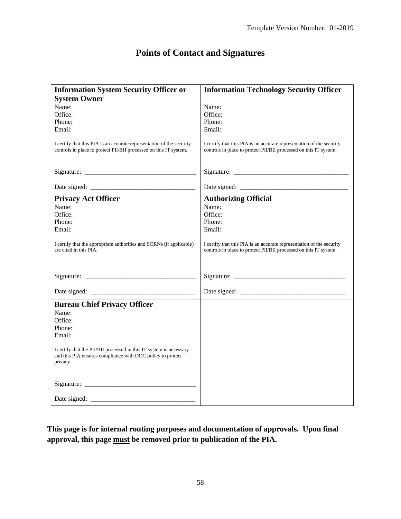## **Points of Contact and Signatures**

| <b>Information System Security Officer or</b>                                                                                              | <b>Information Technology Security Officer</b>                                                                                             |
|--------------------------------------------------------------------------------------------------------------------------------------------|--------------------------------------------------------------------------------------------------------------------------------------------|
|                                                                                                                                            |                                                                                                                                            |
| <b>System Owner</b><br>Name:<br>Name:                                                                                                      |                                                                                                                                            |
| Office:<br>Office:                                                                                                                         |                                                                                                                                            |
| Phone:<br>Phone:                                                                                                                           |                                                                                                                                            |
| Email:<br>Email:                                                                                                                           |                                                                                                                                            |
|                                                                                                                                            |                                                                                                                                            |
| I certify that this PIA is an accurate representation of the security<br>controls in place to protect PII/BII processed on this IT system. | I certify that this PIA is an accurate representation of the security<br>controls in place to protect PII/BII processed on this IT system. |
|                                                                                                                                            |                                                                                                                                            |
|                                                                                                                                            |                                                                                                                                            |
|                                                                                                                                            |                                                                                                                                            |
| <b>Privacy Act Officer</b><br><b>Authorizing Official</b>                                                                                  |                                                                                                                                            |
| Name:<br>Name:                                                                                                                             |                                                                                                                                            |
| Office:<br>Office:                                                                                                                         |                                                                                                                                            |
| Phone:<br>Phone:                                                                                                                           |                                                                                                                                            |
| Email:<br>Email:                                                                                                                           |                                                                                                                                            |
|                                                                                                                                            |                                                                                                                                            |
| I certify that the appropriate authorities and SORNs (if applicable)                                                                       | I certify that this PIA is an accurate representation of the security                                                                      |
| are cited in this PIA.                                                                                                                     | controls in place to protect PII/BII processed on this IT system.                                                                          |
|                                                                                                                                            |                                                                                                                                            |
|                                                                                                                                            |                                                                                                                                            |
|                                                                                                                                            |                                                                                                                                            |
|                                                                                                                                            |                                                                                                                                            |
|                                                                                                                                            |                                                                                                                                            |
| <b>Bureau Chief Privacy Officer</b>                                                                                                        |                                                                                                                                            |
| Name:                                                                                                                                      |                                                                                                                                            |
| Office:                                                                                                                                    |                                                                                                                                            |
| Phone:                                                                                                                                     |                                                                                                                                            |
| Email:                                                                                                                                     |                                                                                                                                            |
|                                                                                                                                            |                                                                                                                                            |
| I certify that the PII/BII processed in this IT system is necessary                                                                        |                                                                                                                                            |
| and this PIA ensures compliance with DOC policy to protect                                                                                 |                                                                                                                                            |
| privacy.                                                                                                                                   |                                                                                                                                            |
|                                                                                                                                            |                                                                                                                                            |
|                                                                                                                                            |                                                                                                                                            |
|                                                                                                                                            |                                                                                                                                            |
|                                                                                                                                            |                                                                                                                                            |

**This page is for internal routing purposes and documentation of approvals. Upon final approval, this page must be removed prior to publication of the PIA.**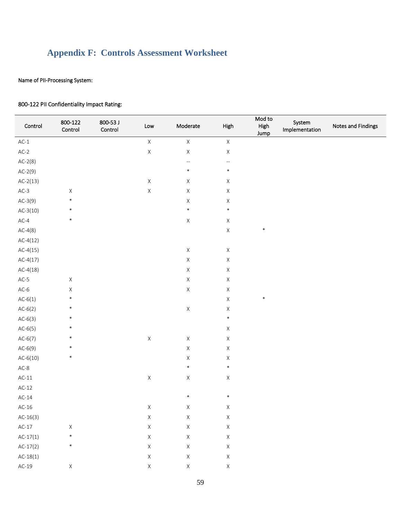## <span id="page-58-0"></span>**Appendix F: Controls Assessment Worksheet**

#### Name of PII-Processing System:

| Control    | 800-122<br>Control | 800-53 J<br>Control | Low         | Moderate                 | High        | Mod to<br>High<br>Jump | System<br>Implementation | Notes and Findings |
|------------|--------------------|---------------------|-------------|--------------------------|-------------|------------------------|--------------------------|--------------------|
| $AC-1$     |                    |                     | $\mathsf X$ | $\mathsf X$              | $\mathsf X$ |                        |                          |                    |
| $AC-2$     |                    |                     | $\mathsf X$ | $\mathsf X$              | $\mathsf X$ |                        |                          |                    |
| $AC-2(8)$  |                    |                     |             | $\overline{\phantom{a}}$ | ٠.          |                        |                          |                    |
| $AC-2(9)$  |                    |                     |             | $\ast$                   | $\ast$      |                        |                          |                    |
| $AC-2(13)$ |                    |                     | $\mathsf X$ | $\mathsf X$              | $\mathsf X$ |                        |                          |                    |
| $AC-3$     | $\mathsf X$        |                     | $\mathsf X$ | $\mathsf X$              | $\mathsf X$ |                        |                          |                    |
| $AC-3(9)$  | $\ast$             |                     |             | $\mathsf X$              | $\mathsf X$ |                        |                          |                    |
| $AC-3(10)$ | $\ast$             |                     |             | $\ast$                   | $\ast$      |                        |                          |                    |
| $AC-4$     | $\ast$             |                     |             | $\mathsf X$              | $\mathsf X$ |                        |                          |                    |
| $AC-4(8)$  |                    |                     |             |                          | $\mathsf X$ | $\ast$                 |                          |                    |
| $AC-4(12)$ |                    |                     |             |                          |             |                        |                          |                    |
| $AC-4(15)$ |                    |                     |             | $\mathsf X$              | $\mathsf X$ |                        |                          |                    |
| $AC-4(17)$ |                    |                     |             | $\mathsf X$              | $\mathsf X$ |                        |                          |                    |
| $AC-4(18)$ |                    |                     |             | $\mathsf X$              | $\mathsf X$ |                        |                          |                    |
| $AC-5$     | $\mathsf X$        |                     |             | $\mathsf X$              | $\mathsf X$ |                        |                          |                    |
| $AC-6$     | $\mathsf X$        |                     |             | $\mathsf X$              | $\mathsf X$ |                        |                          |                    |
| $AC-6(1)$  | $\ast$             |                     |             |                          | $\mathsf X$ | $\ast$                 |                          |                    |
| $AC-6(2)$  | $\ast$             |                     |             | $\mathsf X$              | $\mathsf X$ |                        |                          |                    |
| $AC-6(3)$  | $\ast$             |                     |             |                          | $\ast$      |                        |                          |                    |
| $AC-6(5)$  | $\ast$             |                     |             |                          | $\mathsf X$ |                        |                          |                    |
| $AC-6(7)$  | $\ast$             |                     | $\mathsf X$ | $\mathsf X$              | $\mathsf X$ |                        |                          |                    |
| $AC-6(9)$  | $\ast$             |                     |             | $\mathsf X$              | $\mathsf X$ |                        |                          |                    |
| $AC-6(10)$ | $\ast$             |                     |             | $\mathsf X$              | $\mathsf X$ |                        |                          |                    |
| $AC-8$     |                    |                     |             | $\ast$                   | $\ast$      |                        |                          |                    |
| $AC-11$    |                    |                     | $\mathsf X$ | $\mathsf X$              | $\mathsf X$ |                        |                          |                    |
| $AC-12$    |                    |                     |             |                          |             |                        |                          |                    |
| $AC-14$    |                    |                     |             | $\ast$                   | $\ast$      |                        |                          |                    |
| $AC-16$    |                    |                     | $\mathsf X$ | $\mathsf{X}$             | X           |                        |                          |                    |
| $AC-16(3)$ |                    |                     | $\mathsf X$ | $\mathsf X$              | $\mathsf X$ |                        |                          |                    |
| $AC-17$    | $\mathsf X$        |                     | $\mathsf X$ | $\mathsf X$              | $\mathsf X$ |                        |                          |                    |
| $AC-17(1)$ | $\ast$             |                     | $\mathsf X$ | $\mathsf X$              | $\mathsf X$ |                        |                          |                    |
| $AC-17(2)$ | $\ast$             |                     | $\mathsf X$ | $\mathsf X$              | $\mathsf X$ |                        |                          |                    |
| $AC-18(1)$ |                    |                     | $\mathsf X$ | $\mathsf X$              | $\mathsf X$ |                        |                          |                    |
| $AC-19$    | $\mathsf X$        |                     | $\mathsf X$ | $\mathsf X$              | $\mathsf X$ |                        |                          |                    |
|            |                    |                     |             |                          |             |                        |                          |                    |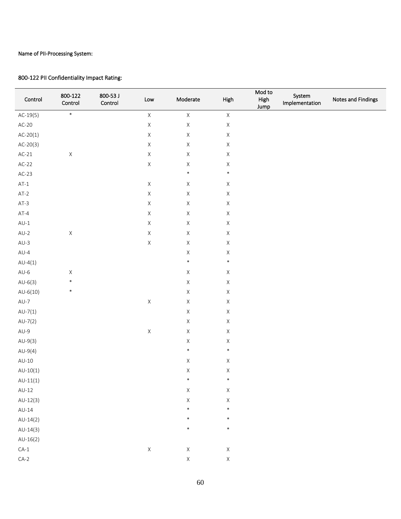$\overline{\phantom{a}}$ 

 $\overline{\phantom{a}}$ 

| Control    | 800-122<br>Control | 800-53 J<br>Control | $\mathsf{Low}$ | Moderate    | High        | Mod to<br>High<br>Jump | System<br>Implementation | Notes and Findings |
|------------|--------------------|---------------------|----------------|-------------|-------------|------------------------|--------------------------|--------------------|
| $AC-19(5)$ | $\ast$             |                     | $\mathsf X$    | $\mathsf X$ | $\mathsf X$ |                        |                          |                    |
| $AC-20$    |                    |                     | $\mathsf X$    | $\mathsf X$ | $\mathsf X$ |                        |                          |                    |
| $AC-20(1)$ |                    |                     | $\mathsf X$    | $\mathsf X$ | $\mathsf X$ |                        |                          |                    |
| $AC-20(3)$ |                    |                     | $\mathsf X$    | $\mathsf X$ | $\mathsf X$ |                        |                          |                    |
| $AC-21$    | $\mathsf X$        |                     | $\mathsf X$    | $\mathsf X$ | $\mathsf X$ |                        |                          |                    |
| $AC-22$    |                    |                     | $\mathsf X$    | $\mathsf X$ | $\mathsf X$ |                        |                          |                    |
| $AC-23$    |                    |                     |                | $\ast$      | $\ast$      |                        |                          |                    |
| $AT-1$     |                    |                     | $\mathsf X$    | $\mathsf X$ | $\mathsf X$ |                        |                          |                    |
| $AT-2$     |                    |                     | $\mathsf X$    | $\mathsf X$ | $\mathsf X$ |                        |                          |                    |
| $AT-3$     |                    |                     | $\mathsf X$    | $\mathsf X$ | $\mathsf X$ |                        |                          |                    |
| $AT-4$     |                    |                     | $\mathsf X$    | $\mathsf X$ | $\mathsf X$ |                        |                          |                    |
| $AU-1$     |                    |                     | $\mathsf X$    | $\mathsf X$ | $\mathsf X$ |                        |                          |                    |
| $AU-2$     | $\mathsf X$        |                     | $\mathsf X$    | $\mathsf X$ | $\mathsf X$ |                        |                          |                    |
| $AU-3$     |                    |                     | $\mathsf X$    | $\mathsf X$ | $\mathsf X$ |                        |                          |                    |
| $AU-4$     |                    |                     |                | $\mathsf X$ | $\mathsf X$ |                        |                          |                    |
| $AU-4(1)$  |                    |                     |                | $\ast$      | $\ast$      |                        |                          |                    |
| $AU-6$     | $\mathsf X$        |                     |                | $\mathsf X$ | $\mathsf X$ |                        |                          |                    |
| $AU-6(3)$  | $\ast$             |                     |                | $\mathsf X$ | $\mathsf X$ |                        |                          |                    |
| $AU-6(10)$ | $\ast$             |                     |                | $\mathsf X$ | $\mathsf X$ |                        |                          |                    |
| $AU-7$     |                    |                     | $\mathsf X$    | $\mathsf X$ | $\mathsf X$ |                        |                          |                    |
| $AU-7(1)$  |                    |                     |                | $\mathsf X$ | $\mathsf X$ |                        |                          |                    |
| $AU-7(2)$  |                    |                     |                | $\mathsf X$ | $\mathsf X$ |                        |                          |                    |
| $AU-9$     |                    |                     | $\mathsf X$    | $\mathsf X$ | $\mathsf X$ |                        |                          |                    |
| $AU-9(3)$  |                    |                     |                | $\mathsf X$ | $\mathsf X$ |                        |                          |                    |
| $AU-9(4)$  |                    |                     |                | $\ast$      | $\ast$      |                        |                          |                    |
| $AU-10$    |                    |                     |                | $\mathsf X$ | $\mathsf X$ |                        |                          |                    |
| $AU-10(1)$ |                    |                     |                | $\mathsf X$ | $\mathsf X$ |                        |                          |                    |
| $AU-11(1)$ |                    |                     |                | ∗           | ∗           |                        |                          |                    |
| $AU-12$    |                    |                     |                | $\mathsf X$ | $\mathsf X$ |                        |                          |                    |
| $AU-12(3)$ |                    |                     |                | $\mathsf X$ | $\mathsf X$ |                        |                          |                    |
| $AU-14$    |                    |                     |                | $\ast$      | $\ast$      |                        |                          |                    |
| $AU-14(2)$ |                    |                     |                | $\ast$      | $\ast$      |                        |                          |                    |
| $AU-14(3)$ |                    |                     |                | $\ast$      | $\ast$      |                        |                          |                    |
| $AU-16(2)$ |                    |                     |                |             |             |                        |                          |                    |
| $CA-1$     |                    |                     | $\mathsf X$    | $\mathsf X$ | $\mathsf X$ |                        |                          |                    |
| $CA-2$     |                    |                     |                | $\mathsf X$ | $\mathsf X$ |                        |                          |                    |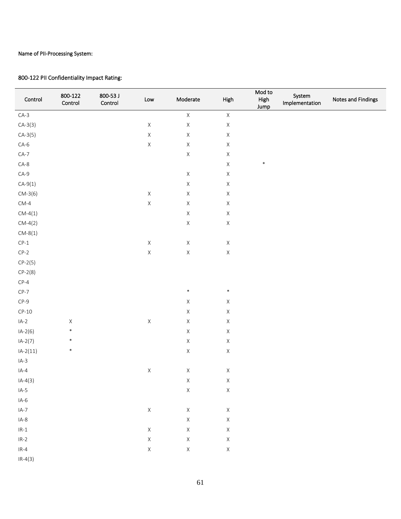| Control                         | 800-122<br>Control | 800-53 J<br>Control | Low         | Moderate    | High        | Mod to<br>High<br>Jump | System<br>Implementation | Notes and Findings |
|---------------------------------|--------------------|---------------------|-------------|-------------|-------------|------------------------|--------------------------|--------------------|
| $CA-3$                          |                    |                     |             | $\mathsf X$ | $\mathsf X$ |                        |                          |                    |
| $CA-3(3)$                       |                    |                     | $\mathsf X$ | $\mathsf X$ | $\mathsf X$ |                        |                          |                    |
| $CA-3(5)$                       |                    |                     | $\mathsf X$ | $\mathsf X$ | $\mathsf X$ |                        |                          |                    |
| $CA-6$                          |                    |                     | $\mathsf X$ | $\mathsf X$ | $\mathsf X$ |                        |                          |                    |
| $CA-7$                          |                    |                     |             | $\mathsf X$ | $\mathsf X$ |                        |                          |                    |
| $CA-8$                          |                    |                     |             |             | $\mathsf X$ | $\ast$                 |                          |                    |
| $CA-9$                          |                    |                     |             | $\mathsf X$ | $\mathsf X$ |                        |                          |                    |
| $CA-9(1)$                       |                    |                     |             | $\mathsf X$ | $\mathsf X$ |                        |                          |                    |
| $CM-3(6)$                       |                    |                     | $\mathsf X$ | $\mathsf X$ | $\mathsf X$ |                        |                          |                    |
| $\mathsf{CM}\text{-}\mathsf{4}$ |                    |                     | $\mathsf X$ | $\mathsf X$ | $\mathsf X$ |                        |                          |                    |
| $CM-4(1)$                       |                    |                     |             | $\mathsf X$ | $\mathsf X$ |                        |                          |                    |
| $CM-4(2)$                       |                    |                     |             | $\mathsf X$ | $\mathsf X$ |                        |                          |                    |
| $CM-8(1)$                       |                    |                     |             |             |             |                        |                          |                    |
| $CP-1$                          |                    |                     | $\mathsf X$ | $\mathsf X$ | $\mathsf X$ |                        |                          |                    |
| $CP-2$                          |                    |                     | $\mathsf X$ | $\mathsf X$ | $\mathsf X$ |                        |                          |                    |
| $CP-2(5)$                       |                    |                     |             |             |             |                        |                          |                    |
| $CP-2(8)$                       |                    |                     |             |             |             |                        |                          |                    |
| $CP-4$                          |                    |                     |             |             |             |                        |                          |                    |
| $CP-7$                          |                    |                     |             | $\ast$      | $\ast$      |                        |                          |                    |
| $CP-9$                          |                    |                     |             | $\mathsf X$ | $\mathsf X$ |                        |                          |                    |
| $CP-10$                         |                    |                     |             | $\mathsf X$ | $\mathsf X$ |                        |                          |                    |
| $IA-2$                          | $\mathsf X$        |                     | $\mathsf X$ | $\mathsf X$ | $\mathsf X$ |                        |                          |                    |
| $IA-2(6)$                       | $\ast$             |                     |             | $\mathsf X$ | $\mathsf X$ |                        |                          |                    |
| $IA-2(7)$                       | $\ast$             |                     |             | $\mathsf X$ | $\mathsf X$ |                        |                          |                    |
| $IA-2(11)$                      | $\ast$             |                     |             | $\mathsf X$ | $\mathsf X$ |                        |                          |                    |
| $IA-3$                          |                    |                     |             |             |             |                        |                          |                    |
| $IA-4$                          |                    |                     | $\mathsf X$ | $\mathsf X$ | $\mathsf X$ |                        |                          |                    |
| $IA-4(3)$                       |                    |                     |             | X           | X           |                        |                          |                    |
| $IA-5$                          |                    |                     |             | $\mathsf X$ | $\mathsf X$ |                        |                          |                    |
| $IA-6$                          |                    |                     |             |             |             |                        |                          |                    |
| $IA-7$                          |                    |                     | $\mathsf X$ | $\mathsf X$ | $\mathsf X$ |                        |                          |                    |
| $IA-8$                          |                    |                     |             | $\mathsf X$ | $\mathsf X$ |                        |                          |                    |
| $IR-1$                          |                    |                     | $\mathsf X$ | $\mathsf X$ | $\mathsf X$ |                        |                          |                    |
| $IR-2$                          |                    |                     | $\mathsf X$ | $\mathsf X$ | $\mathsf X$ |                        |                          |                    |
| $IR-4$                          |                    |                     | $\mathsf X$ | $\mathsf X$ | $\mathsf X$ |                        |                          |                    |
| $IR-4(3)$                       |                    |                     |             |             |             |                        |                          |                    |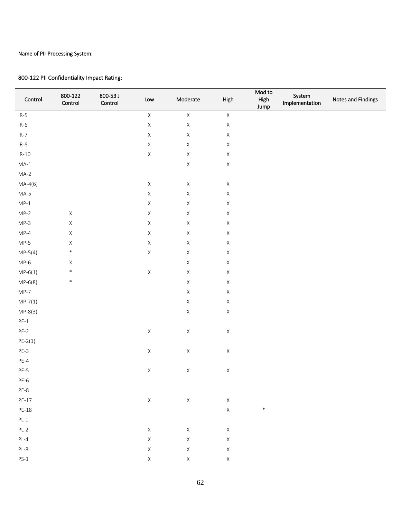$\overline{\phantom{a}}$ 

 $\overline{\phantom{a}}$ 

| Control   | 800-122<br>Control | 800-53 J<br>Control | $\mathsf{Low}$ | Moderate    | High        | Mod to<br>High<br>Jump | System<br>Implementation | Notes and Findings |
|-----------|--------------------|---------------------|----------------|-------------|-------------|------------------------|--------------------------|--------------------|
| $IR-5$    |                    |                     | $\mathsf X$    | $\mathsf X$ | $\mathsf X$ |                        |                          |                    |
| $IR-6$    |                    |                     | $\mathsf X$    | $\mathsf X$ | $\mathsf X$ |                        |                          |                    |
| $IR-7$    |                    |                     | $\mathsf X$    | $\mathsf X$ | $\mathsf X$ |                        |                          |                    |
| $IR-8$    |                    |                     | $\mathsf X$    | $\mathsf X$ | $\mathsf X$ |                        |                          |                    |
| $IR-10$   |                    |                     | $\mathsf X$    | $\mathsf X$ | $\mathsf X$ |                        |                          |                    |
| $MA-1$    |                    |                     |                | $\mathsf X$ | $\mathsf X$ |                        |                          |                    |
| $MA-2$    |                    |                     |                |             |             |                        |                          |                    |
| $MA-4(6)$ |                    |                     | $\mathsf X$    | $\mathsf X$ | $\mathsf X$ |                        |                          |                    |
| $MA-5$    |                    |                     | $\mathsf X$    | $\mathsf X$ | $\mathsf X$ |                        |                          |                    |
| $MP-1$    |                    |                     | $\mathsf X$    | $\mathsf X$ | $\mathsf X$ |                        |                          |                    |
| $MP-2$    | $\mathsf X$        |                     | $\mathsf X$    | $\mathsf X$ | $\mathsf X$ |                        |                          |                    |
| $MP-3$    | $\mathsf X$        |                     | $\mathsf X$    | $\mathsf X$ | $\mathsf X$ |                        |                          |                    |
| $MP-4$    | $\mathsf X$        |                     | $\mathsf X$    | $\mathsf X$ | $\mathsf X$ |                        |                          |                    |
| $MP-5$    | $\mathsf X$        |                     | $\mathsf X$    | $\mathsf X$ | $\mathsf X$ |                        |                          |                    |
| $MP-5(4)$ | $\ast$             |                     | $\mathsf X$    | $\mathsf X$ | $\mathsf X$ |                        |                          |                    |
| $MP-6$    | $\mathsf X$        |                     |                | $\mathsf X$ | $\mathsf X$ |                        |                          |                    |
| $MP-6(1)$ | $\ast$             |                     | $\mathsf X$    | $\mathsf X$ | $\mathsf X$ |                        |                          |                    |
| $MP-6(8)$ | $\ast$             |                     |                | $\mathsf X$ | $\mathsf X$ |                        |                          |                    |
| $MP-7$    |                    |                     |                | $\mathsf X$ | $\mathsf X$ |                        |                          |                    |
| $MP-7(1)$ |                    |                     |                | $\mathsf X$ | $\mathsf X$ |                        |                          |                    |
| $MP-8(3)$ |                    |                     |                | $\mathsf X$ | $\mathsf X$ |                        |                          |                    |
| $PE-1$    |                    |                     |                |             |             |                        |                          |                    |
| $PE-2$    |                    |                     | $\mathsf X$    | $\mathsf X$ | $\mathsf X$ |                        |                          |                    |
| $PE-2(1)$ |                    |                     |                |             |             |                        |                          |                    |
| $PE-3$    |                    |                     | $\mathsf X$    | $\mathsf X$ | $\mathsf X$ |                        |                          |                    |
| $PE-4$    |                    |                     |                |             |             |                        |                          |                    |
| $PE-5$    |                    |                     | $\mathsf X$    | $\mathsf X$ | $\mathsf X$ |                        |                          |                    |
| $PE-6$    |                    |                     |                |             |             |                        |                          |                    |
| PE-8      |                    |                     |                |             |             |                        |                          |                    |
| $PE-17$   |                    |                     | $\mathsf X$    | $\mathsf X$ | $\mathsf X$ |                        |                          |                    |
| PE-18     |                    |                     |                |             | $\mathsf X$ | $\ast$                 |                          |                    |
| $PL-1$    |                    |                     |                |             |             |                        |                          |                    |
| $PL-2$    |                    |                     | $\mathsf X$    | $\mathsf X$ | $\mathsf X$ |                        |                          |                    |
| $PL-4$    |                    |                     | $\mathsf X$    | $\mathsf X$ | $\mathsf X$ |                        |                          |                    |
| $PL-8$    |                    |                     | $\mathsf X$    | $\mathsf X$ | $\mathsf X$ |                        |                          |                    |
| $PS-1$    |                    |                     | $\mathsf X$    | $\mathsf X$ | $\mathsf X$ |                        |                          |                    |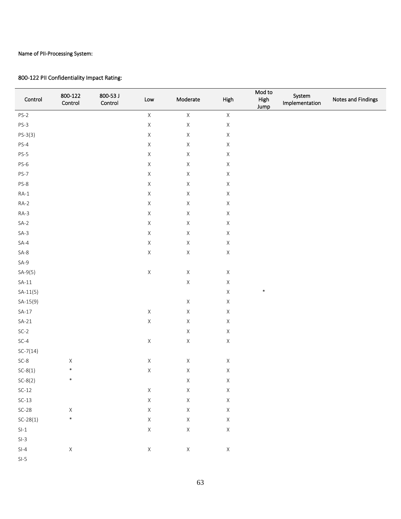| Control                                      | 800-122<br>Control | 800-53 J<br>Control | $\mathsf{Low}$ | Moderate    | High        | Mod to<br>High<br>Jump | System<br>Implementation | Notes and Findings |
|----------------------------------------------|--------------------|---------------------|----------------|-------------|-------------|------------------------|--------------------------|--------------------|
| $PS-2$                                       |                    |                     | $\mathsf X$    | $\mathsf X$ | $\mathsf X$ |                        |                          |                    |
| $PS-3$                                       |                    |                     | $\mathsf X$    | $\mathsf X$ | $\mathsf X$ |                        |                          |                    |
| $PS-3(3)$                                    |                    |                     | $\mathsf X$    | $\mathsf X$ | $\mathsf X$ |                        |                          |                    |
| $PS-4$                                       |                    |                     | $\mathsf X$    | $\mathsf X$ | $\mathsf X$ |                        |                          |                    |
| $PS-5$                                       |                    |                     | $\mathsf X$    | $\mathsf X$ | $\mathsf X$ |                        |                          |                    |
| $PS-6$                                       |                    |                     | $\mathsf X$    | $\mathsf X$ | $\mathsf X$ |                        |                          |                    |
| $PS-7$                                       |                    |                     | $\mathsf X$    | $\mathsf X$ | $\mathsf X$ |                        |                          |                    |
| $PS-8$                                       |                    |                     | $\mathsf X$    | $\mathsf X$ | $\mathsf X$ |                        |                          |                    |
| $RA-1$                                       |                    |                     | $\mathsf X$    | $\mathsf X$ | $\mathsf X$ |                        |                          |                    |
| $RA-2$                                       |                    |                     | $\mathsf X$    | $\mathsf X$ | $\mathsf X$ |                        |                          |                    |
| $RA-3$                                       |                    |                     | $\mathsf X$    | $\mathsf X$ | $\mathsf X$ |                        |                          |                    |
| $SA-2$                                       |                    |                     | $\mathsf X$    | $\mathsf X$ | $\mathsf X$ |                        |                          |                    |
| $SA-3$                                       |                    |                     | $\mathsf X$    | $\mathsf X$ | $\mathsf X$ |                        |                          |                    |
| $SA-4$                                       |                    |                     | $\mathsf X$    | $\mathsf X$ | $\mathsf X$ |                        |                          |                    |
| $SA-8$                                       |                    |                     | $\mathsf X$    | $\mathsf X$ | $\mathsf X$ |                        |                          |                    |
| $SA-9$                                       |                    |                     |                |             |             |                        |                          |                    |
| $SA-9(5)$                                    |                    |                     | $\mathsf X$    | $\mathsf X$ | $\mathsf X$ |                        |                          |                    |
| $SA-11$                                      |                    |                     |                | $\mathsf X$ | $\mathsf X$ |                        |                          |                    |
| $SA-11(5)$                                   |                    |                     |                |             | $\mathsf X$ | $\ast$                 |                          |                    |
| $SA-15(9)$                                   |                    |                     |                | $\mathsf X$ | $\mathsf X$ |                        |                          |                    |
| $SA-17$                                      |                    |                     | $\mathsf X$    | $\mathsf X$ | $\mathsf X$ |                        |                          |                    |
| $SA-21$                                      |                    |                     | $\mathsf X$    | $\mathsf X$ | $\mathsf X$ |                        |                          |                    |
| $SC-2$                                       |                    |                     |                | $\mathsf X$ | $\mathsf X$ |                        |                          |                    |
| $SC-4$                                       |                    |                     | $\mathsf X$    | $\mathsf X$ | $\mathsf X$ |                        |                          |                    |
| $SC-7(14)$                                   |                    |                     |                |             |             |                        |                          |                    |
| $SC-8$                                       | $\mathsf X$        |                     | $\mathsf X$    | $\mathsf X$ | $\mathsf X$ |                        |                          |                    |
| $SC-8(1)$                                    | $\ast$             |                     | $\mathsf X$    | $\mathsf X$ | $\mathsf X$ |                        |                          |                    |
| $SC-8(2)$                                    | ∗                  |                     |                | X           | X           |                        |                          |                    |
| $SC-12$                                      |                    |                     | $\mathsf X$    | $\mathsf X$ | $\mathsf X$ |                        |                          |                    |
| $SC-13$                                      |                    |                     | $\mathsf X$    | $\mathsf X$ | $\mathsf X$ |                        |                          |                    |
| $SC-28$                                      | $\mathsf X$        |                     | $\mathsf X$    | $\mathsf X$ | $\mathsf X$ |                        |                          |                    |
| $SC-28(1)$                                   | $\ast$             |                     | $\mathsf X$    | $\mathsf X$ | $\mathsf X$ |                        |                          |                    |
| $\ensuremath{\mathsf{SI}\text{-}\mathsf{1}}$ |                    |                     | $\mathsf X$    | $\mathsf X$ | $\mathsf X$ |                        |                          |                    |
| $SI-3$                                       |                    |                     |                |             |             |                        |                          |                    |
| $SI-4$                                       | $\mathsf X$        |                     | $\mathsf X$    | $\mathsf X$ | $\mathsf X$ |                        |                          |                    |
| $SI-5$                                       |                    |                     |                |             |             |                        |                          |                    |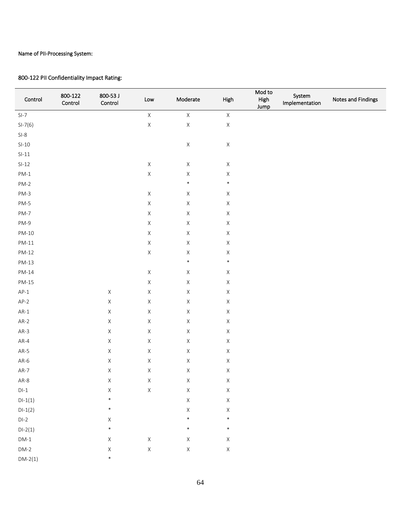| Control   | 800-122<br>Control | 800-53 J<br>Control | $\mathsf{Low}$ | Moderate    | High        | Mod to<br>High<br>Jump | System<br>Implementation | Notes and Findings |
|-----------|--------------------|---------------------|----------------|-------------|-------------|------------------------|--------------------------|--------------------|
| $SI-7$    |                    |                     | $\mathsf X$    | $\mathsf X$ | $\mathsf X$ |                        |                          |                    |
| $SI-7(6)$ |                    |                     | $\mathsf X$    | $\mathsf X$ | $\mathsf X$ |                        |                          |                    |
| $SI-8$    |                    |                     |                |             |             |                        |                          |                    |
| $SI-10$   |                    |                     |                | $\mathsf X$ | $\mathsf X$ |                        |                          |                    |
| $SI-11$   |                    |                     |                |             |             |                        |                          |                    |
| $SI-12$   |                    |                     | $\mathsf X$    | $\mathsf X$ | $\mathsf X$ |                        |                          |                    |
| $PM-1$    |                    |                     | $\mathsf X$    | $\mathsf X$ | $\mathsf X$ |                        |                          |                    |
| $PM-2$    |                    |                     |                | $\ast$      | $\ast$      |                        |                          |                    |
| $PM-3$    |                    |                     | $\mathsf X$    | $\mathsf X$ | $\mathsf X$ |                        |                          |                    |
| $PM-5$    |                    |                     | $\mathsf X$    | $\mathsf X$ | $\mathsf X$ |                        |                          |                    |
| PM-7      |                    |                     | $\mathsf X$    | $\mathsf X$ | $\mathsf X$ |                        |                          |                    |
| $PM-9$    |                    |                     | $\mathsf X$    | $\mathsf X$ | $\mathsf X$ |                        |                          |                    |
| $PM-10$   |                    |                     | $\mathsf X$    | $\mathsf X$ | $\mathsf X$ |                        |                          |                    |
| $PM-11$   |                    |                     | $\mathsf X$    | $\mathsf X$ | $\mathsf X$ |                        |                          |                    |
| $PM-12$   |                    |                     | $\mathsf X$    | $\mathsf X$ | $\mathsf X$ |                        |                          |                    |
| $PM-13$   |                    |                     |                | $\ast$      | $\ast$      |                        |                          |                    |
| $PM-14$   |                    |                     | $\mathsf X$    | $\mathsf X$ | $\mathsf X$ |                        |                          |                    |
| $PM-15$   |                    |                     | $\mathsf X$    | $\mathsf X$ | $\mathsf X$ |                        |                          |                    |
| $AP-1$    |                    | $\mathsf X$         | $\mathsf X$    | $\mathsf X$ | $\mathsf X$ |                        |                          |                    |
| $AP-2$    |                    | $\mathsf X$         | $\mathsf X$    | $\mathsf X$ | $\mathsf X$ |                        |                          |                    |
| $AR-1$    |                    | $\mathsf X$         | $\mathsf X$    | $\mathsf X$ | $\mathsf X$ |                        |                          |                    |
| $AR-2$    |                    | $\mathsf X$         | $\mathsf X$    | $\mathsf X$ | $\mathsf X$ |                        |                          |                    |
| $AR-3$    |                    | $\mathsf X$         | $\mathsf X$    | $\mathsf X$ | $\mathsf X$ |                        |                          |                    |
| AR-4      |                    | $\mathsf X$         | $\mathsf X$    | $\mathsf X$ | $\mathsf X$ |                        |                          |                    |
| $AR-5$    |                    | $\mathsf X$         | $\mathsf X$    | $\mathsf X$ | $\mathsf X$ |                        |                          |                    |
| AR-6      |                    | $\mathsf X$         | $\mathsf X$    | $\mathsf X$ | $\mathsf X$ |                        |                          |                    |
| $AR-7$    |                    | $\mathsf X$         | $\mathsf X$    | $\mathsf X$ | $\mathsf X$ |                        |                          |                    |
| AR-8      |                    | X                   | X              | X           | X           |                        |                          |                    |
| $DI-1$    |                    | $\mathsf X$         | $\mathsf X$    | $\mathsf X$ | $\mathsf X$ |                        |                          |                    |
| $DI-1(1)$ |                    | $\ast$              |                | $\mathsf X$ | $\mathsf X$ |                        |                          |                    |
| $DI-1(2)$ |                    | $\ast$              |                | $\mathsf X$ | $\mathsf X$ |                        |                          |                    |
| $DI-2$    |                    | $\mathsf X$         |                | $\ast$      | $\ast$      |                        |                          |                    |
| $DI-2(1)$ |                    | $\ast$              |                | $\ast$      | $\ast$      |                        |                          |                    |
| $DM-1$    |                    | $\mathsf X$         | $\mathsf X$    | $\mathsf X$ | $\mathsf X$ |                        |                          |                    |
| $DM-2$    |                    | $\mathsf X$         | $\mathsf X$    | $\mathsf X$ | $\mathsf X$ |                        |                          |                    |
| $DM-2(1)$ |                    | $\ast$              |                |             |             |                        |                          |                    |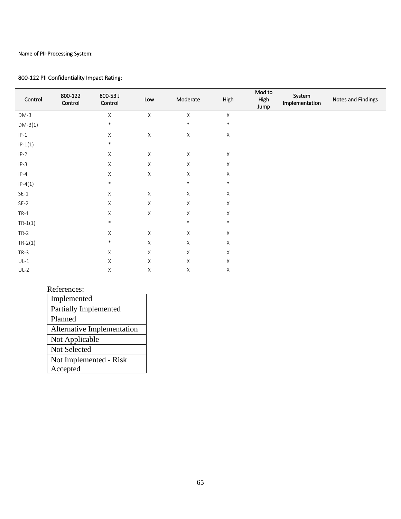#### 800-122 PII Confidentiality Impact Rating:

| Control   | 800-122<br>Control | 800-53 J<br>Control | Low         | Moderate     | High        | Mod to<br>High<br>Jump | System<br>Implementation | Notes and Findings |
|-----------|--------------------|---------------------|-------------|--------------|-------------|------------------------|--------------------------|--------------------|
| $DM-3$    |                    | $\mathsf X$         | $\mathsf X$ | $\mathsf X$  | $\mathsf X$ |                        |                          |                    |
| $DM-3(1)$ |                    | $\ast$              |             | $\ast$       | $\ast$      |                        |                          |                    |
| $IP-1$    |                    | Χ                   | $\mathsf X$ | $\mathsf X$  | Χ           |                        |                          |                    |
| $IP-1(1)$ |                    | $\ast$              |             |              |             |                        |                          |                    |
| $IP-2$    |                    | Χ                   | $\mathsf X$ | $\mathsf X$  | $\mathsf X$ |                        |                          |                    |
| $IP-3$    |                    | $\mathsf X$         | $\mathsf X$ | $\mathsf X$  | $\mathsf X$ |                        |                          |                    |
| $IP-4$    |                    | $\mathsf X$         | $\mathsf X$ | $\mathsf X$  | Χ           |                        |                          |                    |
| $IP-4(1)$ |                    | $\ast$              |             | $\ast$       | $\ast$      |                        |                          |                    |
| $SE-1$    |                    | $\mathsf X$         | $\mathsf X$ | $\mathsf X$  | $\mathsf X$ |                        |                          |                    |
| $SE-2$    |                    | Χ                   | $\mathsf X$ | $\mathsf X$  | $\mathsf X$ |                        |                          |                    |
| $TR-1$    |                    | $\mathsf X$         | $\times$    | $\mathsf{X}$ | X           |                        |                          |                    |
| $TR-1(1)$ |                    | $\ast$              |             | $\ast$       | $\ast$      |                        |                          |                    |
| $TR-2$    |                    | X                   | $\mathsf X$ | $\mathsf X$  | Χ           |                        |                          |                    |
| $TR-2(1)$ |                    | $\ast$              | X           | X            | $\mathsf X$ |                        |                          |                    |
| $TR-3$    |                    | Χ                   | $\mathsf X$ | $\mathsf X$  | $\mathsf X$ |                        |                          |                    |
| $UL-1$    |                    | Χ                   | $\mathsf X$ | $\mathsf X$  | $\mathsf X$ |                        |                          |                    |
| $UL-2$    |                    | Χ                   | $\mathsf X$ | $\mathsf X$  | Χ           |                        |                          |                    |

#### References:

| Implemented                       |
|-----------------------------------|
| Partially Implemented             |
| Planned                           |
| <b>Alternative Implementation</b> |
| Not Applicable                    |
| <b>Not Selected</b>               |
| Not Implemented - Risk            |
| Accepted                          |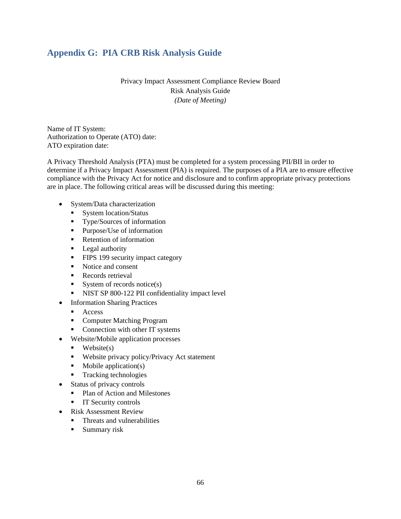## <span id="page-65-0"></span>**Appendix G: PIA CRB Risk Analysis Guide**

Privacy Impact Assessment Compliance Review Board Risk Analysis Guide *(Date of Meeting)*

Name of IT System: Authorization to Operate (ATO) date: ATO expiration date:

A Privacy Threshold Analysis (PTA) must be completed for a system processing PII/BII in order to determine if a Privacy Impact Assessment (PIA) is required. The purposes of a PIA are to ensure effective compliance with the Privacy Act for notice and disclosure and to confirm appropriate privacy protections are in place. The following critical areas will be discussed during this meeting:

- System/Data characterization
	- System location/Status
	- **Type/Sources of information**
	- **Purpose/Use of information**
	- **Retention of information**
	- **Legal authority**
	- **FIPS 199 security impact category**
	- Notice and consent
	- Records retrieval
	- System of records notice $(s)$
	- NIST SP 800-122 PII confidentiality impact level
- Information Sharing Practices
	- **Access**
	- **Computer Matching Program**
	- Connection with other IT systems
- Website/Mobile application processes
	- $\blacksquare$  Website(s)
	- **Website privacy policy/Privacy Act statement**
	- $\blacksquare$  Mobile application(s)
	- **Tracking technologies**
- Status of privacy controls
	- Plan of Action and Milestones
	- **IT Security controls**
- Risk Assessment Review
	- **Threats and vulnerabilities**
	- **Summary risk**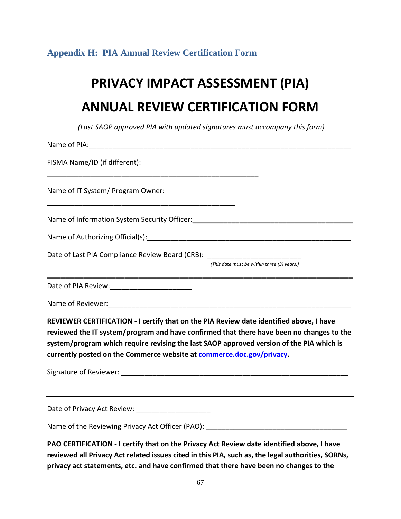## <span id="page-66-0"></span>**Appendix H: PIA Annual Review Certification Form**

# **PRIVACY IMPACT ASSESSMENT (PIA) ANNUAL REVIEW CERTIFICATION FORM**

*(Last SAOP approved PIA with updated signatures must accompany this form)*

| FISMA Name/ID (if different):                                                                                                                                                                                                                                                                                                                            |                                             |  |
|----------------------------------------------------------------------------------------------------------------------------------------------------------------------------------------------------------------------------------------------------------------------------------------------------------------------------------------------------------|---------------------------------------------|--|
|                                                                                                                                                                                                                                                                                                                                                          |                                             |  |
|                                                                                                                                                                                                                                                                                                                                                          |                                             |  |
|                                                                                                                                                                                                                                                                                                                                                          |                                             |  |
| Date of Last PIA Compliance Review Board (CRB): ________________________________                                                                                                                                                                                                                                                                         |                                             |  |
|                                                                                                                                                                                                                                                                                                                                                          | (This date must be within three (3) years.) |  |
|                                                                                                                                                                                                                                                                                                                                                          |                                             |  |
|                                                                                                                                                                                                                                                                                                                                                          |                                             |  |
| REVIEWER CERTIFICATION - I certify that on the PIA Review date identified above, I have<br>reviewed the IT system/program and have confirmed that there have been no changes to the<br>system/program which require revising the last SAOP approved version of the PIA which is<br>currently posted on the Commerce website at commerce.doc.gov/privacy. |                                             |  |
|                                                                                                                                                                                                                                                                                                                                                          |                                             |  |
|                                                                                                                                                                                                                                                                                                                                                          |                                             |  |
|                                                                                                                                                                                                                                                                                                                                                          |                                             |  |
| PAO CERTIFICATION - I certify that on the Privacy Act Review date identified above, I have<br>reviewed all Privacy Act related issues cited in this PIA, such as, the legal authorities, SORNs,<br>privacy act statements, etc. and have confirmed that there have been no changes to the                                                                |                                             |  |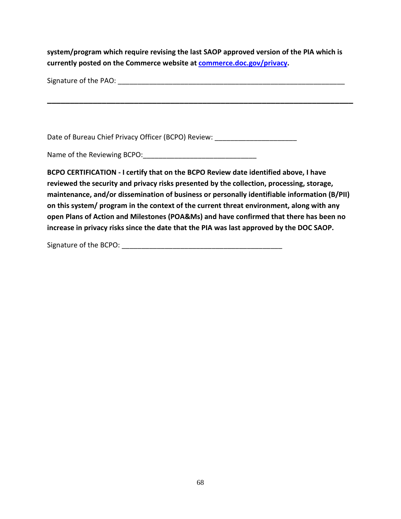**system/program which require revising the last SAOP approved version of the PIA which is currently posted on the Commerce website at commerce.doc.gov/privacy.**

| Signature of the PAO: |  |
|-----------------------|--|
|                       |  |

**\_\_\_\_\_\_\_\_\_\_\_\_\_\_\_\_\_\_\_\_\_\_\_\_\_\_\_\_\_\_\_\_\_\_\_\_\_\_\_\_\_\_\_\_\_\_\_\_\_\_\_\_\_\_\_\_\_\_\_\_\_\_\_\_\_\_\_**

Date of Bureau Chief Privacy Officer (BCPO) Review:

Name of the Reviewing BCPO:

**BCPO CERTIFICATION - I certify that on the BCPO Review date identified above, I have reviewed the security and privacy risks presented by the collection, processing, storage, maintenance, and/or dissemination of business or personally identifiable information (B/PII) on this system/ program in the context of the current threat environment, along with any open Plans of Action and Milestones (POA&Ms) and have confirmed that there has been no increase in privacy risks since the date that the PIA was last approved by the DOC SAOP.**

Signature of the BCPO: **with the set of the set of the BCPO**: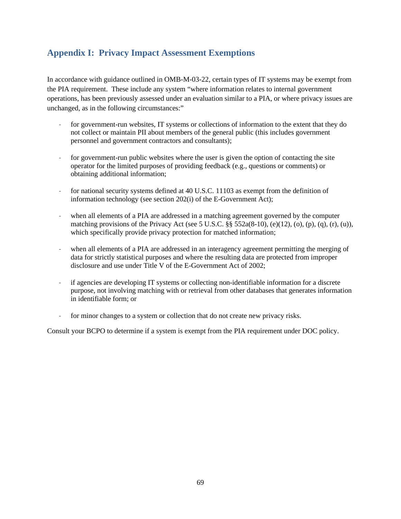## <span id="page-68-0"></span>**Appendix I: Privacy Impact Assessment Exemptions**

In accordance with guidance outlined in OMB-M-03-22, certain types of IT systems may be exempt from the PIA requirement. These include any system "where information relates to internal government operations, has been previously assessed under an evaluation similar to a PIA, or where privacy issues are unchanged, as in the following circumstances:"

- for government-run websites, IT systems or collections of information to the extent that they do not collect or maintain PII about members of the general public (this includes government personnel and government contractors and consultants);
- for government-run public websites where the user is given the option of contacting the site operator for the limited purposes of providing feedback (e.g., questions or comments) or obtaining additional information;
- for national security systems defined at 40 U.S.C. 11103 as exempt from the definition of information technology (see section 202(i) of the E-Government Act);
- when all elements of a PIA are addressed in a matching agreement governed by the computer matching provisions of the Privacy Act (see 5 U.S.C.  $\S$  552a(8-10), (e)(12), (o), (p), (q), (r), (u)), which specifically provide privacy protection for matched information;
- when all elements of a PIA are addressed in an interagency agreement permitting the merging of data for strictly statistical purposes and where the resulting data are protected from improper disclosure and use under Title V of the E-Government Act of 2002;
- if agencies are developing IT systems or collecting non-identifiable information for a discrete purpose, not involving matching with or retrieval from other databases that generates information in identifiable form; or
- for minor changes to a system or collection that do not create new privacy risks.

Consult your BCPO to determine if a system is exempt from the PIA requirement under DOC policy.